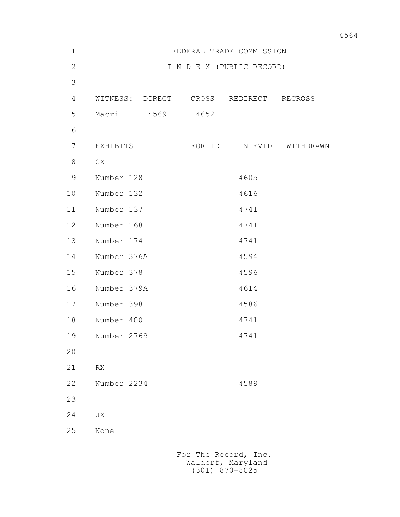| $\mathbf 1$    | FEDERAL TRADE COMMISSION  |  |        |                  |                   |  |  |
|----------------|---------------------------|--|--------|------------------|-------------------|--|--|
| $\overline{2}$ | I N D E X (PUBLIC RECORD) |  |        |                  |                   |  |  |
| 3              |                           |  |        |                  |                   |  |  |
| 4              | WITNESS: DIRECT CROSS     |  |        | REDIRECT RECROSS |                   |  |  |
| 5              | Macri 4569                |  | 4652   |                  |                   |  |  |
| 6              |                           |  |        |                  |                   |  |  |
| 7              | EXHIBITS                  |  | FOR ID |                  | IN EVID WITHDRAWN |  |  |
| 8              | CX                        |  |        |                  |                   |  |  |
| $\mathsf 9$    | Number 128                |  |        | 4605             |                   |  |  |
| 10             | Number 132                |  |        | 4616             |                   |  |  |
| 11             | Number 137                |  |        | 4741             |                   |  |  |
| 12             | Number 168                |  |        | 4741             |                   |  |  |
| 13             | Number 174                |  |        | 4741             |                   |  |  |
| 14             | Number 376A               |  |        | 4594             |                   |  |  |
| 15             | Number 378                |  |        | 4596             |                   |  |  |
| 16             | Number 379A               |  |        | 4614             |                   |  |  |
| 17             | Number 398                |  |        | 4586             |                   |  |  |
| 18             | Number 400                |  |        | 4741             |                   |  |  |
| 19             | Number 2769               |  |        | 4741             |                   |  |  |
| 20             |                           |  |        |                  |                   |  |  |
| 21             | ${\sf RX}$                |  |        |                  |                   |  |  |
| 22             | Number 2234               |  |        | 4589             |                   |  |  |
| 23             |                           |  |        |                  |                   |  |  |
| 24             | ${\rm J}{\rm X}$          |  |        |                  |                   |  |  |
| 25             | None                      |  |        |                  |                   |  |  |
|                |                           |  |        |                  |                   |  |  |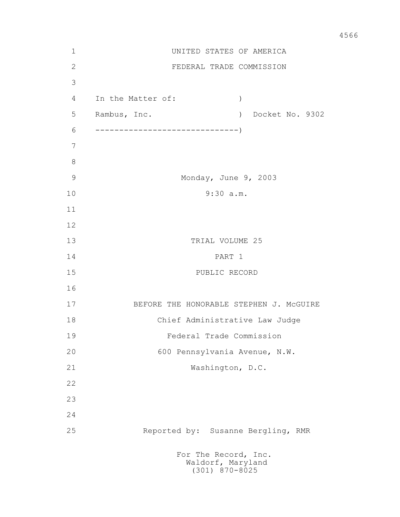| $\mathbf 1$   | UNITED STATES OF AMERICA                                      |                   |  |  |  |  |
|---------------|---------------------------------------------------------------|-------------------|--|--|--|--|
| $\mathbf{2}$  | FEDERAL TRADE COMMISSION                                      |                   |  |  |  |  |
| 3             |                                                               |                   |  |  |  |  |
| 4             | In the Matter of:                                             | $\left( \right)$  |  |  |  |  |
| 5             | Rambus, Inc.                                                  | ) Docket No. 9302 |  |  |  |  |
| 6             |                                                               |                   |  |  |  |  |
| 7             |                                                               |                   |  |  |  |  |
| $8\,$         |                                                               |                   |  |  |  |  |
| $\mathcal{G}$ | Monday, June 9, 2003                                          |                   |  |  |  |  |
| 10            | 9:30 a.m.                                                     |                   |  |  |  |  |
| 11            |                                                               |                   |  |  |  |  |
| 12            |                                                               |                   |  |  |  |  |
| 13            | TRIAL VOLUME 25                                               |                   |  |  |  |  |
| 14            | PART 1                                                        |                   |  |  |  |  |
| 15            | PUBLIC RECORD                                                 |                   |  |  |  |  |
| 16            |                                                               |                   |  |  |  |  |
| 17            | BEFORE THE HONORABLE STEPHEN J. MCGUIRE                       |                   |  |  |  |  |
| 18            | Chief Administrative Law Judge                                |                   |  |  |  |  |
| 19            | Federal Trade Commission                                      |                   |  |  |  |  |
| 20            | 600 Pennsylvania Avenue, N.W.                                 |                   |  |  |  |  |
| 21            | Washington, D.C.                                              |                   |  |  |  |  |
| 22            |                                                               |                   |  |  |  |  |
| 23            |                                                               |                   |  |  |  |  |
| 24            |                                                               |                   |  |  |  |  |
| 25            | Reported by: Susanne Bergling, RMR                            |                   |  |  |  |  |
|               | For The Record, Inc.<br>Waldorf, Maryland<br>$(301)$ 870-8025 |                   |  |  |  |  |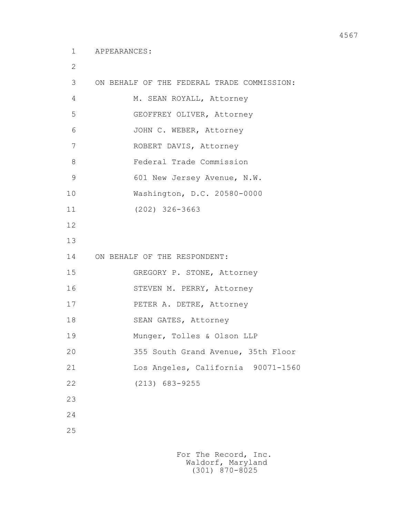2

```
 3 ON BEHALF OF THE FEDERAL TRADE COMMISSION: 
4 M. SEAN ROYALL, Attorney
 5 GEOFFREY OLIVER, Attorney
 6 JOHN C. WEBER, Attorney
7 ROBERT DAVIS, Attorney
 8 Federal Trade Commission
9 601 New Jersey Avenue, N.W.
 10 Washington, D.C. 20580-0000
 11 (202) 326-3663
 12
 13
 14 ON BEHALF OF THE RESPONDENT:
 15 GREGORY P. STONE, Attorney
 16 STEVEN M. PERRY, Attorney
 17 PETER A. DETRE, Attorney
18 SEAN GATES, Attorney
 19 Munger, Tolles & Olson LLP
 20 355 South Grand Avenue, 35th Floor
 21 Los Angeles, California 90071-1560
 22 (213) 683-9255
 23
 24
 25
```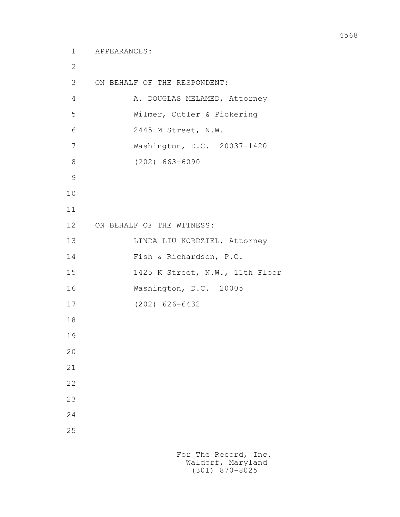```
 1 APPEARANCES:
 2
        3 ON BEHALF OF THE RESPONDENT:
       4 A. DOUGLAS MELAMED, Attorney
        5 Wilmer, Cutler & Pickering
        6 2445 M Street, N.W.
        7 Washington, D.C. 20037-1420
        8 (202) 663-6090
 9
       10
       11
       12 ON BEHALF OF THE WITNESS:
       13 LINDA LIU KORDZIEL, Attorney
      14 Fish & Richardson, P.C.
       15 1425 K Street, N.W., 11th Floor
       16 Washington, D.C. 20005
       17 (202) 626-6432
       18
       19
       20
       21
       22
```
 23 24

25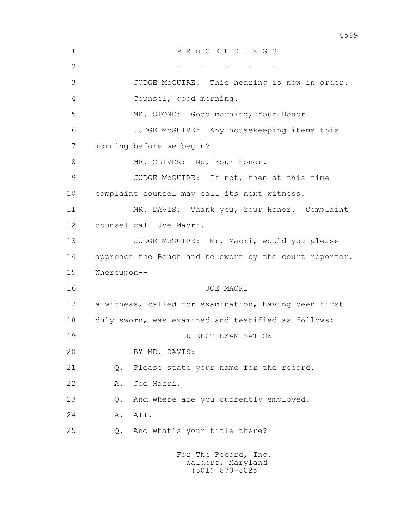1 P R O C E E D I N G S  $2$  - - - - - 3 JUDGE McGUIRE: This hearing is now in order. 4 Counsel, good morning. 5 MR. STONE: Good morning, Your Honor. 6 JUDGE McGUIRE: Any housekeeping items this 7 morning before we begin? 8 MR. OLIVER: No, Your Honor. 9 JUDGE McGUIRE: If not, then at this time 10 complaint counsel may call its next witness. 11 MR. DAVIS: Thank you, Your Honor. Complaint 12 counsel call Joe Macri. 13 JUDGE McGUIRE: Mr. Macri, would you please 14 approach the Bench and be sworn by the court reporter. 15 Whereupon-- 16 JOE MACRI 17 a witness, called for examination, having been first 18 duly sworn, was examined and testified as follows: 19 DIRECT EXAMINATION 20 BY MR. DAVIS: 21 Q. Please state your name for the record. 22 A. Joe Macri. 23 Q. And where are you currently employed? 24 A. ATI. 25 Q. And what's your title there?

 For The Record, Inc. Waldorf, Maryland (301) 870-8025

4569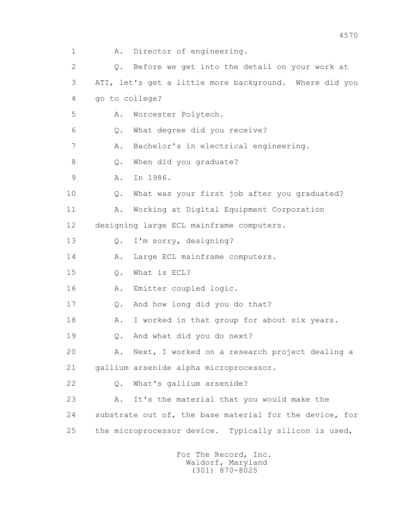1 A. Director of engineering. 2 Q. Before we get into the detail on your work at 3 ATI, let's get a little more background. Where did you 4 go to college? 5 A. Worcester Polytech. 6 Q. What degree did you receive? 7 A. Bachelor's in electrical engineering. 8 Q. When did you graduate? 9 A. In 1986. 10 Q. What was your first job after you graduated? 11 A. Working at Digital Equipment Corporation 12 designing large ECL mainframe computers. 13 Q. I'm sorry, designing? 14 A. Large ECL mainframe computers. 15 Q. What is ECL? 16 A. Emitter coupled logic. 17 Q. And how long did you do that? 18 A. I worked in that group for about six years. 19 Q. And what did you do next? 20 A. Next, I worked on a research project dealing a 21 gallium arsenide alpha microprocessor. 22 Q. What's gallium arsenide? 23 A. It's the material that you would make the 24 substrate out of, the base material for the device, for 25 the microprocessor device. Typically silicon is used,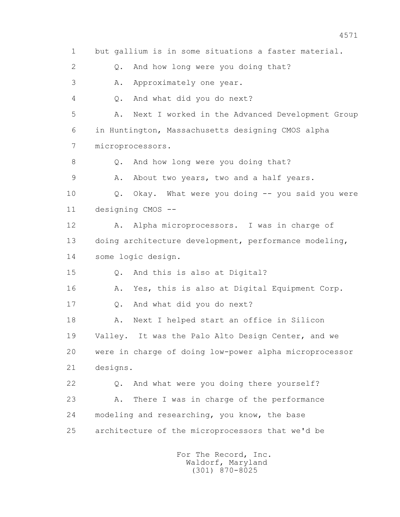1 but gallium is in some situations a faster material. 2 0. And how long were you doing that? 3 A. Approximately one year. 4 Q. And what did you do next? 5 A. Next I worked in the Advanced Development Group 6 in Huntington, Massachusetts designing CMOS alpha 7 microprocessors. 8 Q. And how long were you doing that? 9 A. About two years, two and a half years. 10 Q. Okay. What were you doing -- you said you were 11 designing CMOS -- 12 A. Alpha microprocessors. I was in charge of 13 doing architecture development, performance modeling, 14 some logic design. 15 Q. And this is also at Digital? 16 A. Yes, this is also at Digital Equipment Corp. 17 Q. And what did you do next? 18 A. Next I helped start an office in Silicon 19 Valley. It was the Palo Alto Design Center, and we 20 were in charge of doing low-power alpha microprocessor 21 designs. 22 Q. And what were you doing there yourself? 23 A. There I was in charge of the performance 24 modeling and researching, you know, the base 25 architecture of the microprocessors that we'd be For The Record, Inc. Waldorf, Maryland

(301) 870-8025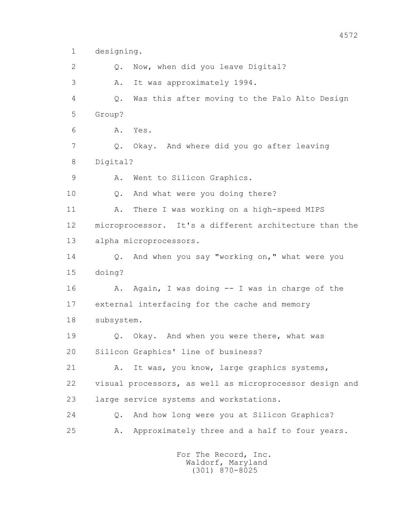1 designing.

2 0. Now, when did you leave Digital?

3 A. It was approximately 1994.

 4 Q. Was this after moving to the Palo Alto Design 5 Group?

6 A. Yes.

 7 Q. Okay. And where did you go after leaving 8 Digital?

9 A. Went to Silicon Graphics.

10 Q. And what were you doing there?

 11 A. There I was working on a high-speed MIPS 12 microprocessor. It's a different architecture than the

13 alpha microprocessors.

 14 Q. And when you say "working on," what were you 15 doing?

16 A. Again, I was doing -- I was in charge of the 17 external interfacing for the cache and memory 18 subsystem.

19 Q. Okay. And when you were there, what was 20 Silicon Graphics' line of business?

21 A. It was, you know, large graphics systems, 22 visual processors, as well as microprocessor design and 23 large service systems and workstations.

 24 Q. And how long were you at Silicon Graphics? 25 A. Approximately three and a half to four years.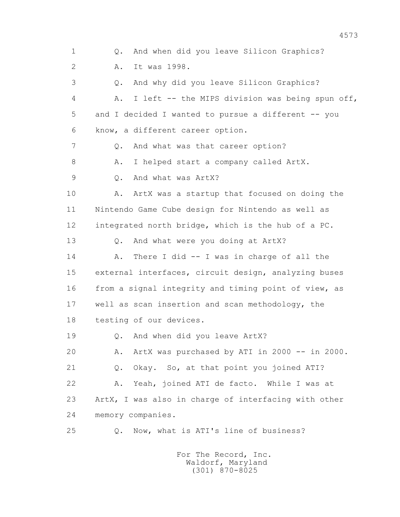1 Q. And when did you leave Silicon Graphics? 2 A. It was 1998. 3 Q. And why did you leave Silicon Graphics? 4 A. I left -- the MIPS division was being spun off, 5 and I decided I wanted to pursue a different -- you 6 know, a different career option. 7 Q. And what was that career option? 8 A. I helped start a company called ArtX. 9 0. And what was ArtX? 10 A. ArtX was a startup that focused on doing the 11 Nintendo Game Cube design for Nintendo as well as 12 integrated north bridge, which is the hub of a PC. 13 Q. And what were you doing at ArtX? 14 A. There I did -- I was in charge of all the 15 external interfaces, circuit design, analyzing buses 16 from a signal integrity and timing point of view, as 17 well as scan insertion and scan methodology, the 18 testing of our devices. 19 Q. And when did you leave ArtX? 20 A. ArtX was purchased by ATI in 2000 -- in 2000. 21 Q. Okay. So, at that point you joined ATI? 22 A. Yeah, joined ATI de facto. While I was at 23 ArtX, I was also in charge of interfacing with other 24 memory companies. 25 Q. Now, what is ATI's line of business?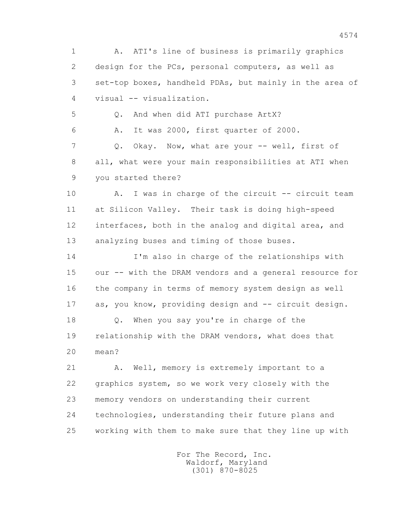1 A. ATI's line of business is primarily graphics 2 design for the PCs, personal computers, as well as 3 set-top boxes, handheld PDAs, but mainly in the area of 4 visual -- visualization.

5 Q. And when did ATI purchase ArtX?

6 A. It was 2000, first quarter of 2000.

7 0. Okay. Now, what are your -- well, first of 8 all, what were your main responsibilities at ATI when 9 you started there?

10 A. I was in charge of the circuit -- circuit team 11 at Silicon Valley. Their task is doing high-speed 12 interfaces, both in the analog and digital area, and 13 analyzing buses and timing of those buses.

 14 I'm also in charge of the relationships with 15 our -- with the DRAM vendors and a general resource for 16 the company in terms of memory system design as well 17 as, you know, providing design and -- circuit design. 18 Q. When you say you're in charge of the 19 relationship with the DRAM vendors, what does that 20 mean?

21 A. Well, memory is extremely important to a 22 graphics system, so we work very closely with the 23 memory vendors on understanding their current 24 technologies, understanding their future plans and 25 working with them to make sure that they line up with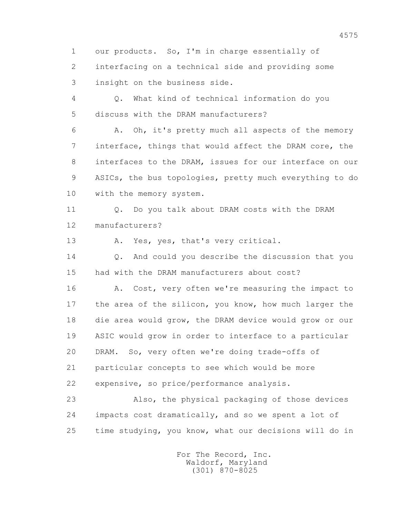1 our products. So, I'm in charge essentially of 2 interfacing on a technical side and providing some 3 insight on the business side.

 4 Q. What kind of technical information do you 5 discuss with the DRAM manufacturers?

 6 A. Oh, it's pretty much all aspects of the memory 7 interface, things that would affect the DRAM core, the 8 interfaces to the DRAM, issues for our interface on our 9 ASICs, the bus topologies, pretty much everything to do 10 with the memory system.

 11 Q. Do you talk about DRAM costs with the DRAM 12 manufacturers?

13 A. Yes, yes, that's very critical.

14 0. And could you describe the discussion that you 15 had with the DRAM manufacturers about cost?

16 A. Cost, very often we're measuring the impact to 17 the area of the silicon, you know, how much larger the 18 die area would grow, the DRAM device would grow or our 19 ASIC would grow in order to interface to a particular 20 DRAM. So, very often we're doing trade-offs of 21 particular concepts to see which would be more 22 expensive, so price/performance analysis.

 23 Also, the physical packaging of those devices 24 impacts cost dramatically, and so we spent a lot of 25 time studying, you know, what our decisions will do in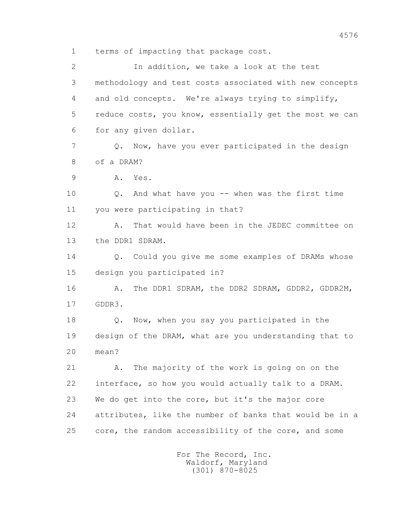1 terms of impacting that package cost.

 2 In addition, we take a look at the test 3 methodology and test costs associated with new concepts 4 and old concepts. We're always trying to simplify, 5 reduce costs, you know, essentially get the most we can 6 for any given dollar. 7 Q. Now, have you ever participated in the design 8 of a DRAM? 9 A. Yes. 10 Q. And what have you -- when was the first time 11 you were participating in that? 12 A. That would have been in the JEDEC committee on 13 the DDR1 SDRAM. 14 0. Could you give me some examples of DRAMs whose 15 design you participated in? 16 A. The DDR1 SDRAM, the DDR2 SDRAM, GDDR2, GDDR2M, 17 GDDR3. 18 Q. Now, when you say you participated in the 19 design of the DRAM, what are you understanding that to 20 mean? 21 A. The majority of the work is going on on the 22 interface, so how you would actually talk to a DRAM. 23 We do get into the core, but it's the major core 24 attributes, like the number of banks that would be in a 25 core, the random accessibility of the core, and some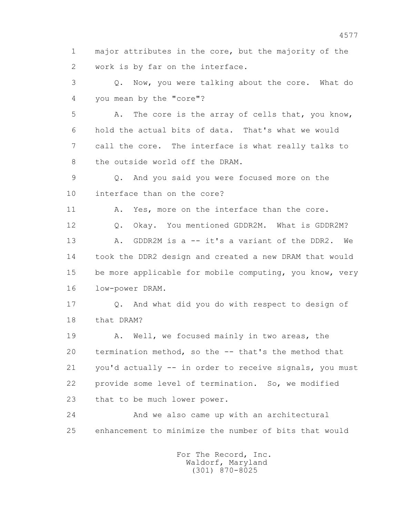1 major attributes in the core, but the majority of the 2 work is by far on the interface.

 3 Q. Now, you were talking about the core. What do 4 you mean by the "core"?

 5 A. The core is the array of cells that, you know, 6 hold the actual bits of data. That's what we would 7 call the core. The interface is what really talks to 8 the outside world off the DRAM.

 9 Q. And you said you were focused more on the 10 interface than on the core?

11 A. Yes, more on the interface than the core.

 12 Q. Okay. You mentioned GDDR2M. What is GDDR2M? 13 A. GDDR2M is a -- it's a variant of the DDR2. We 14 took the DDR2 design and created a new DRAM that would 15 be more applicable for mobile computing, you know, very 16 low-power DRAM.

 17 Q. And what did you do with respect to design of 18 that DRAM?

 19 A. Well, we focused mainly in two areas, the 20 termination method, so the -- that's the method that 21 you'd actually -- in order to receive signals, you must 22 provide some level of termination. So, we modified 23 that to be much lower power.

 24 And we also came up with an architectural 25 enhancement to minimize the number of bits that would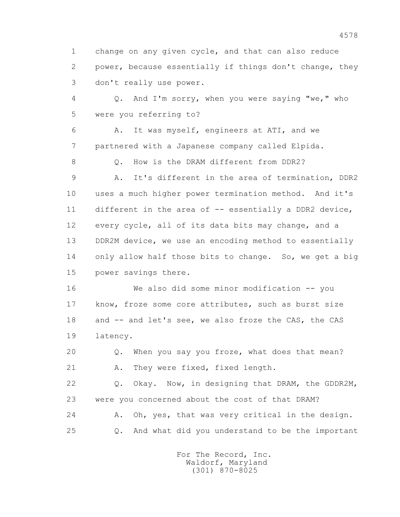1 change on any given cycle, and that can also reduce 2 power, because essentially if things don't change, they 3 don't really use power.

 4 Q. And I'm sorry, when you were saying "we," who 5 were you referring to?

 6 A. It was myself, engineers at ATI, and we 7 partnered with a Japanese company called Elpida.

8 0. How is the DRAM different from DDR2?

 9 A. It's different in the area of termination, DDR2 10 uses a much higher power termination method. And it's 11 different in the area of -- essentially a DDR2 device, 12 every cycle, all of its data bits may change, and a 13 DDR2M device, we use an encoding method to essentially 14 only allow half those bits to change. So, we get a big 15 power savings there.

 16 We also did some minor modification -- you 17 know, froze some core attributes, such as burst size 18 and -- and let's see, we also froze the CAS, the CAS 19 latency.

 20 Q. When you say you froze, what does that mean? 21 A. They were fixed, fixed length.

 22 Q. Okay. Now, in designing that DRAM, the GDDR2M, 23 were you concerned about the cost of that DRAM? 24 A. Oh, yes, that was very critical in the design. 25 Q. And what did you understand to be the important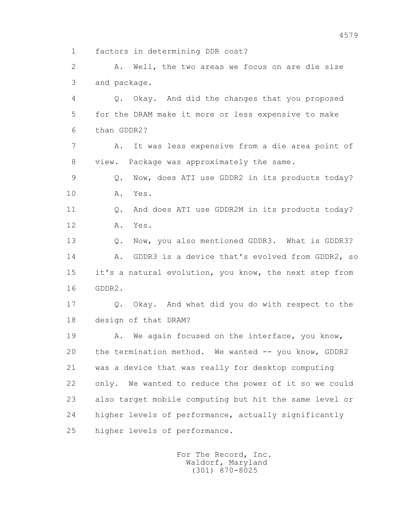1 factors in determining DDR cost? 2 A. Well, the two areas we focus on are die size 3 and package. 4 Q. Okay. And did the changes that you proposed 5 for the DRAM make it more or less expensive to make 6 than GDDR2? 7 A. It was less expensive from a die area point of 8 view. Package was approximately the same. 9 Q. Now, does ATI use GDDR2 in its products today? 10 A. Yes. 11 0. And does ATI use GDDR2M in its products today? 12 A. Yes. 13 Q. Now, you also mentioned GDDR3. What is GDDR3? 14 A. GDDR3 is a device that's evolved from GDDR2, so 15 it's a natural evolution, you know, the next step from 16 GDDR2. 17 Q. Okay. And what did you do with respect to the 18 design of that DRAM? 19 A. We again focused on the interface, you know, 20 the termination method. We wanted -- you know, GDDR2 21 was a device that was really for desktop computing 22 only. We wanted to reduce the power of it so we could 23 also target mobile computing but hit the same level or 24 higher levels of performance, actually significantly 25 higher levels of performance.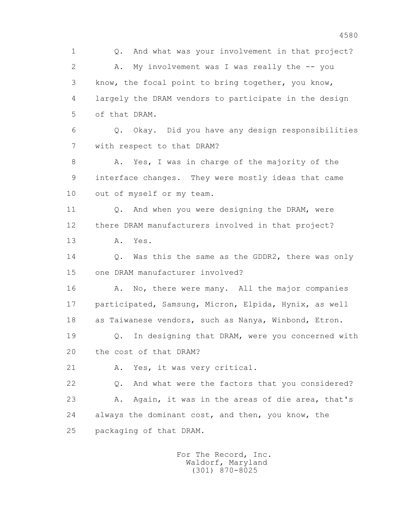1 Q. And what was your involvement in that project? 2 A. My involvement was I was really the -- you 3 know, the focal point to bring together, you know, 4 largely the DRAM vendors to participate in the design 5 of that DRAM. 6 Q. Okay. Did you have any design responsibilities 7 with respect to that DRAM? 8 A. Yes, I was in charge of the majority of the 9 interface changes. They were mostly ideas that came 10 out of myself or my team. 11 O. And when you were designing the DRAM, were 12 there DRAM manufacturers involved in that project? 13 A. Yes. 14 0. Was this the same as the GDDR2, there was only 15 one DRAM manufacturer involved? 16 A. No, there were many. All the major companies 19 Q. In designing that DRAM, were you concerned with 20 the cost of that DRAM? 21 A. Yes, it was very critical. 22 Q. And what were the factors that you considered? 23 A. Again, it was in the areas of die area, that's 24 always the dominant cost, and then, you know, the 25 packaging of that DRAM. For The Record, Inc.

 17 participated, Samsung, Micron, Elpida, Hynix, as well 18 as Taiwanese vendors, such as Nanya, Winbond, Etron.

 Waldorf, Maryland (301) 870-8025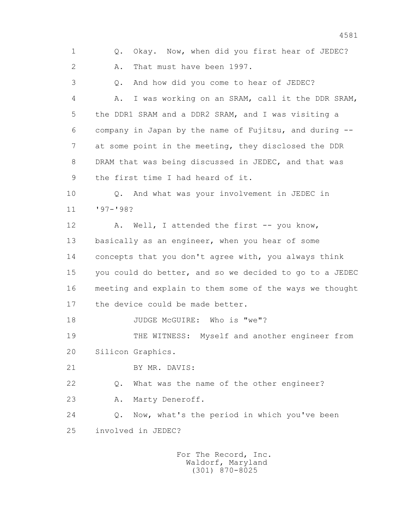1 Q. Okay. Now, when did you first hear of JEDEC? 2 A. That must have been 1997. 3 Q. And how did you come to hear of JEDEC? 4 A. I was working on an SRAM, call it the DDR SRAM, 5 the DDR1 SRAM and a DDR2 SRAM, and I was visiting a 6 company in Japan by the name of Fujitsu, and during -- 7 at some point in the meeting, they disclosed the DDR 8 DRAM that was being discussed in JEDEC, and that was 9 the first time I had heard of it. 10 Q. And what was your involvement in JEDEC in 11 '97-'98? 12 A. Well, I attended the first -- you know, 13 basically as an engineer, when you hear of some 14 concepts that you don't agree with, you always think 15 you could do better, and so we decided to go to a JEDEC 16 meeting and explain to them some of the ways we thought 17 the device could be made better. 18 JUDGE McGUIRE: Who is "we"? 19 THE WITNESS: Myself and another engineer from 20 Silicon Graphics. 21 BY MR. DAVIS: 22 Q. What was the name of the other engineer? 23 A. Marty Deneroff. 24 Q. Now, what's the period in which you've been 25 involved in JEDEC? For The Record, Inc.

 Waldorf, Maryland (301) 870-8025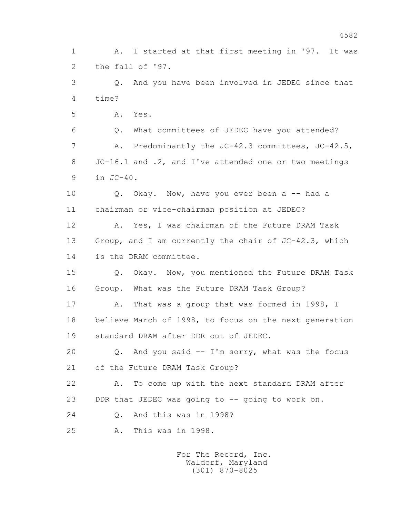1 A. I started at that first meeting in '97. It was 2 the fall of '97.

 3 Q. And you have been involved in JEDEC since that 4 time?

5 A. Yes.

 6 Q. What committees of JEDEC have you attended? 7 A. Predominantly the JC-42.3 committees, JC-42.5, 8 JC-16.1 and .2, and I've attended one or two meetings 9 in JC-40.

 10 Q. Okay. Now, have you ever been a -- had a 11 chairman or vice-chairman position at JEDEC?

 12 A. Yes, I was chairman of the Future DRAM Task 13 Group, and I am currently the chair of JC-42.3, which 14 is the DRAM committee.

 15 Q. Okay. Now, you mentioned the Future DRAM Task 16 Group. What was the Future DRAM Task Group?

17 A. That was a group that was formed in 1998, I 18 believe March of 1998, to focus on the next generation 19 standard DRAM after DDR out of JEDEC.

 20 Q. And you said -- I'm sorry, what was the focus 21 of the Future DRAM Task Group?

22 A. To come up with the next standard DRAM after 23 DDR that JEDEC was going to -- going to work on.

24 Q. And this was in 1998?

25 A. This was in 1998.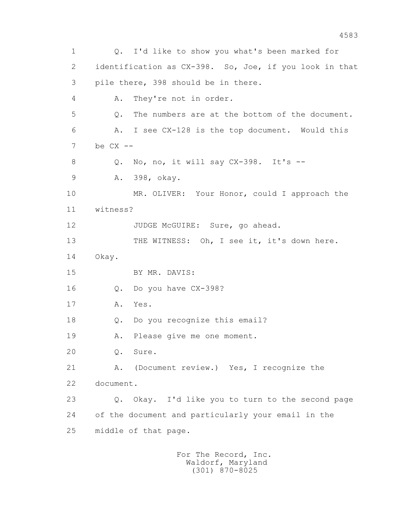1 Q. I'd like to show you what's been marked for 2 identification as CX-398. So, Joe, if you look in that 3 pile there, 398 should be in there. 4 A. They're not in order. 5 Q. The numbers are at the bottom of the document. 6 A. I see CX-128 is the top document. Would this  $7$  be  $CX$  -- 8 Q. No, no, it will say CX-398. It's -- 9 A. 398, okay. 10 MR. OLIVER: Your Honor, could I approach the 11 witness? 12 JUDGE McGUIRE: Sure, go ahead. 13 THE WITNESS: Oh, I see it, it's down here. 14 Okay. 15 BY MR. DAVIS: 16 Q. Do you have CX-398? 17 A. Yes. 18 Q. Do you recognize this email? 19 A. Please give me one moment. 20 Q. Sure. 21 A. (Document review.) Yes, I recognize the 22 document. 23 Q. Okay. I'd like you to turn to the second page 24 of the document and particularly your email in the 25 middle of that page.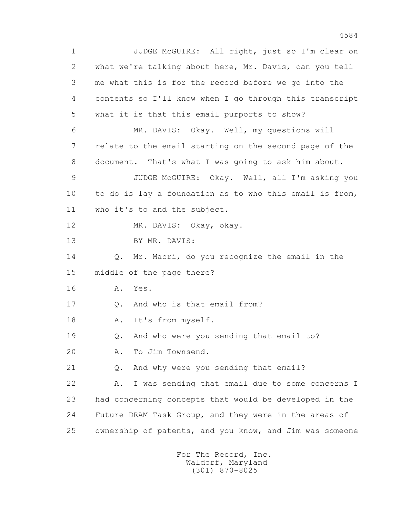1 JUDGE McGUIRE: All right, just so I'm clear on 2 what we're talking about here, Mr. Davis, can you tell 3 me what this is for the record before we go into the 4 contents so I'll know when I go through this transcript 5 what it is that this email purports to show? 6 MR. DAVIS: Okay. Well, my questions will 7 relate to the email starting on the second page of the 8 document. That's what I was going to ask him about. 9 JUDGE McGUIRE: Okay. Well, all I'm asking you 10 to do is lay a foundation as to who this email is from, 11 who it's to and the subject. 12 MR. DAVIS: Okay, okay. 13 BY MR. DAVIS: 14 Q. Mr. Macri, do you recognize the email in the 15 middle of the page there? 16 A. Yes. 17 Q. And who is that email from? 18 A. It's from myself. 19 Q. And who were you sending that email to? 20 A. To Jim Townsend. 21 Q. And why were you sending that email? 22 A. I was sending that email due to some concerns I 23 had concerning concepts that would be developed in the 24 Future DRAM Task Group, and they were in the areas of 25 ownership of patents, and you know, and Jim was someone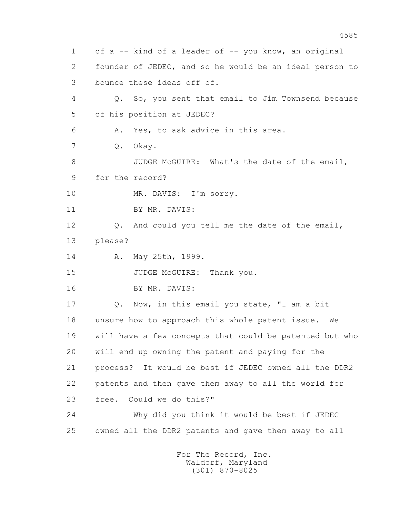1 of a -- kind of a leader of -- you know, an original 2 founder of JEDEC, and so he would be an ideal person to 3 bounce these ideas off of. 4 Q. So, you sent that email to Jim Townsend because 5 of his position at JEDEC? 6 A. Yes, to ask advice in this area. 7 Q. Okay. 8 JUDGE McGUIRE: What's the date of the email, 9 for the record? 10 MR. DAVIS: I'm sorry. 11 BY MR. DAVIS: 12 Q. And could you tell me the date of the email, 13 please? 14 A. May 25th, 1999. 15 JUDGE McGUIRE: Thank you. 16 BY MR. DAVIS: 17 Q. Now, in this email you state, "I am a bit 18 unsure how to approach this whole patent issue. We 19 will have a few concepts that could be patented but who 20 will end up owning the patent and paying for the 21 process? It would be best if JEDEC owned all the DDR2 22 patents and then gave them away to all the world for 23 free. Could we do this?" 24 Why did you think it would be best if JEDEC 25 owned all the DDR2 patents and gave them away to all For The Record, Inc.

 Waldorf, Maryland (301) 870-8025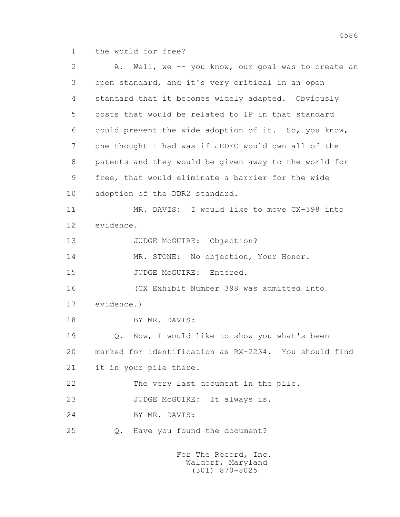1 the world for free?

 2 A. Well, we -- you know, our goal was to create an 3 open standard, and it's very critical in an open 4 standard that it becomes widely adapted. Obviously 5 costs that would be related to IP in that standard 6 could prevent the wide adoption of it. So, you know, 7 one thought I had was if JEDEC would own all of the 8 patents and they would be given away to the world for 9 free, that would eliminate a barrier for the wide 10 adoption of the DDR2 standard. 11 MR. DAVIS: I would like to move CX-398 into 12 evidence. 13 JUDGE McGUIRE: Objection? 14 MR. STONE: No objection, Your Honor. 15 JUDGE McGUIRE: Entered. 16 (CX Exhibit Number 398 was admitted into 17 evidence.) 18 BY MR. DAVIS: 19 0. Now, I would like to show you what's been 20 marked for identification as RX-2234. You should find 21 it in your pile there. 22 The very last document in the pile. 23 JUDGE McGUIRE: It always is. 24 BY MR. DAVIS: 25 Q. Have you found the document?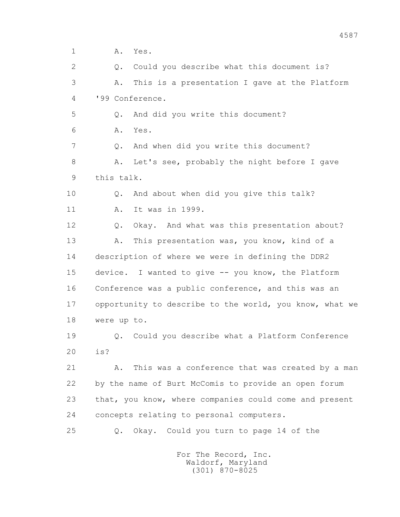1 A. Yes.

 2 Q. Could you describe what this document is? 3 A. This is a presentation I gave at the Platform 4 '99 Conference.

5 0. And did you write this document?

6 A. Yes.

 7 Q. And when did you write this document? 8 A. Let's see, probably the night before I gave 9 this talk.

 10 Q. And about when did you give this talk? 11 A. It was in 1999.

 12 Q. Okay. And what was this presentation about? 13 A. This presentation was, you know, kind of a 14 description of where we were in defining the DDR2 15 device. I wanted to give -- you know, the Platform 16 Conference was a public conference, and this was an 17 opportunity to describe to the world, you know, what we 18 were up to.

 19 Q. Could you describe what a Platform Conference 20 is?

21 A. This was a conference that was created by a man 22 by the name of Burt McComis to provide an open forum 23 that, you know, where companies could come and present 24 concepts relating to personal computers.

25 Q. Okay. Could you turn to page 14 of the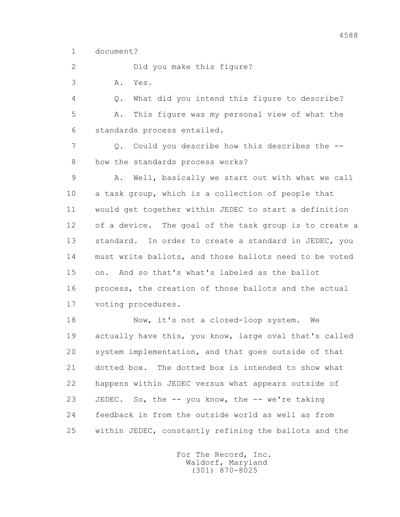1 document?

2 Did you make this figure?

3 A. Yes.

 4 Q. What did you intend this figure to describe? 5 A. This figure was my personal view of what the 6 standards process entailed.

 7 Q. Could you describe how this describes the -- 8 how the standards process works?

 9 A. Well, basically we start out with what we call 10 a task group, which is a collection of people that 11 would get together within JEDEC to start a definition 12 of a device. The goal of the task group is to create a 13 standard. In order to create a standard in JEDEC, you 14 must write ballots, and those ballots need to be voted 15 on. And so that's what's labeled as the ballot 16 process, the creation of those ballots and the actual 17 voting procedures.

18 Now, it's not a closed-loop system. We 19 actually have this, you know, large oval that's called 20 system implementation, and that goes outside of that 21 dotted box. The dotted box is intended to show what 22 happens within JEDEC versus what appears outside of 23 JEDEC. So, the -- you know, the -- we're taking 24 feedback in from the outside world as well as from 25 within JEDEC, constantly refining the ballots and the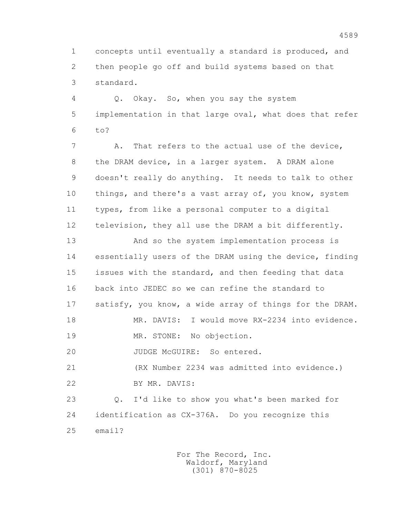1 concepts until eventually a standard is produced, and 2 then people go off and build systems based on that 3 standard.

 4 Q. Okay. So, when you say the system 5 implementation in that large oval, what does that refer 6 to?

 7 A. That refers to the actual use of the device, 8 the DRAM device, in a larger system. A DRAM alone 9 doesn't really do anything. It needs to talk to other 10 things, and there's a vast array of, you know, system 11 types, from like a personal computer to a digital 12 television, they all use the DRAM a bit differently.

 13 And so the system implementation process is 14 essentially users of the DRAM using the device, finding 15 issues with the standard, and then feeding that data 16 back into JEDEC so we can refine the standard to 17 satisfy, you know, a wide array of things for the DRAM. 18 MR. DAVIS: I would move RX-2234 into evidence. 19 MR. STONE: No objection.

20 JUDGE McGUIRE: So entered.

 21 (RX Number 2234 was admitted into evidence.) 22 BY MR. DAVIS:

 23 Q. I'd like to show you what's been marked for 24 identification as CX-376A. Do you recognize this 25 email?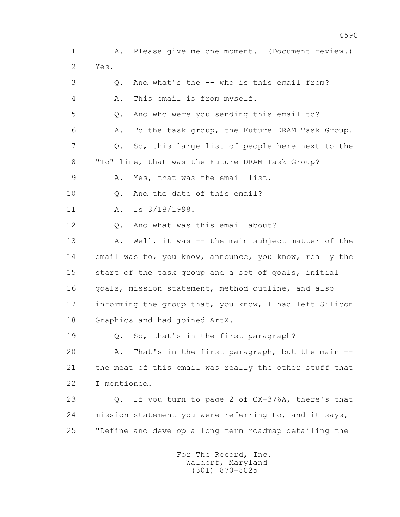1 A. Please give me one moment. (Document review.) 2 Yes. 3 Q. And what's the -- who is this email from? 4 A. This email is from myself. 5 Q. And who were you sending this email to? 6 A. To the task group, the Future DRAM Task Group. 7 Q. So, this large list of people here next to the 8 "To" line, that was the Future DRAM Task Group? 9 A. Yes, that was the email list. 10 Q. And the date of this email? 11 A. Is 3/18/1998. 12 Q. And what was this email about? 13 A. Well, it was -- the main subject matter of the 14 email was to, you know, announce, you know, really the 15 start of the task group and a set of goals, initial 16 goals, mission statement, method outline, and also 17 informing the group that, you know, I had left Silicon 18 Graphics and had joined ArtX. 19 Q. So, that's in the first paragraph? 20 A. That's in the first paragraph, but the main -- 21 the meat of this email was really the other stuff that 22 I mentioned. 23 Q. If you turn to page 2 of CX-376A, there's that 24 mission statement you were referring to, and it says, 25 "Define and develop a long term roadmap detailing the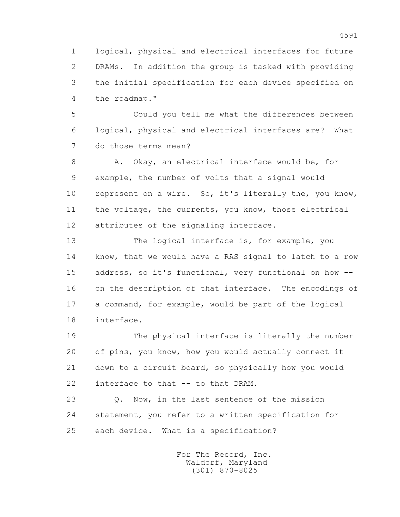1 logical, physical and electrical interfaces for future 2 DRAMs. In addition the group is tasked with providing 3 the initial specification for each device specified on 4 the roadmap."

 5 Could you tell me what the differences between 6 logical, physical and electrical interfaces are? What 7 do those terms mean?

8 A. Okay, an electrical interface would be, for 9 example, the number of volts that a signal would 10 represent on a wire. So, it's literally the, you know, 11 the voltage, the currents, you know, those electrical 12 attributes of the signaling interface.

 13 The logical interface is, for example, you 14 know, that we would have a RAS signal to latch to a row 15 address, so it's functional, very functional on how -- 16 on the description of that interface. The encodings of 17 a command, for example, would be part of the logical 18 interface.

 19 The physical interface is literally the number 20 of pins, you know, how you would actually connect it 21 down to a circuit board, so physically how you would 22 interface to that -- to that DRAM.

 23 Q. Now, in the last sentence of the mission 24 statement, you refer to a written specification for 25 each device. What is a specification?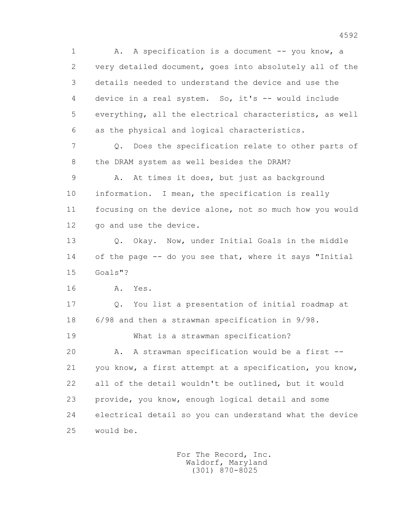1 A. A specification is a document -- you know, a 2 very detailed document, goes into absolutely all of the 3 details needed to understand the device and use the 4 device in a real system. So, it's -- would include 5 everything, all the electrical characteristics, as well 6 as the physical and logical characteristics. 7 Q. Does the specification relate to other parts of 8 the DRAM system as well besides the DRAM?

 9 A. At times it does, but just as background 10 information. I mean, the specification is really 11 focusing on the device alone, not so much how you would 12 go and use the device.

 13 Q. Okay. Now, under Initial Goals in the middle 14 of the page -- do you see that, where it says "Initial 15 Goals"?

16 A. Yes.

 17 Q. You list a presentation of initial roadmap at 18 6/98 and then a strawman specification in 9/98.

 19 What is a strawman specification? 20 A. A strawman specification would be a first -- 21 you know, a first attempt at a specification, you know, 22 all of the detail wouldn't be outlined, but it would 23 provide, you know, enough logical detail and some 24 electrical detail so you can understand what the device 25 would be.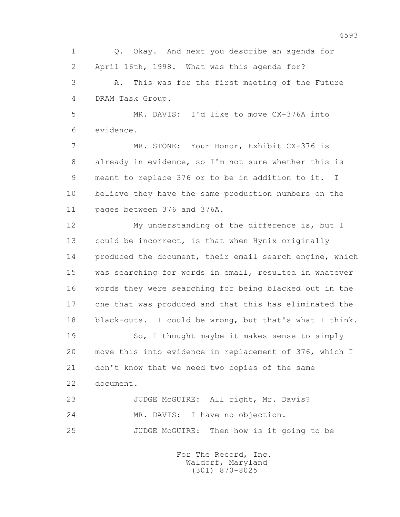1 Q. Okay. And next you describe an agenda for 2 April 16th, 1998. What was this agenda for? 3 A. This was for the first meeting of the Future

 5 MR. DAVIS: I'd like to move CX-376A into 6 evidence.

4 DRAM Task Group.

7 MR. STONE: Your Honor, Exhibit CX-376 is 8 already in evidence, so I'm not sure whether this is 9 meant to replace 376 or to be in addition to it. I 10 believe they have the same production numbers on the 11 pages between 376 and 376A.

 12 My understanding of the difference is, but I 13 could be incorrect, is that when Hynix originally 14 produced the document, their email search engine, which 15 was searching for words in email, resulted in whatever 16 words they were searching for being blacked out in the 17 one that was produced and that this has eliminated the 18 black-outs. I could be wrong, but that's what I think.

 19 So, I thought maybe it makes sense to simply 20 move this into evidence in replacement of 376, which I 21 don't know that we need two copies of the same 22 document.

23 JUDGE McGUIRE: All right, Mr. Davis? 24 MR. DAVIS: I have no objection. 25 JUDGE McGUIRE: Then how is it going to be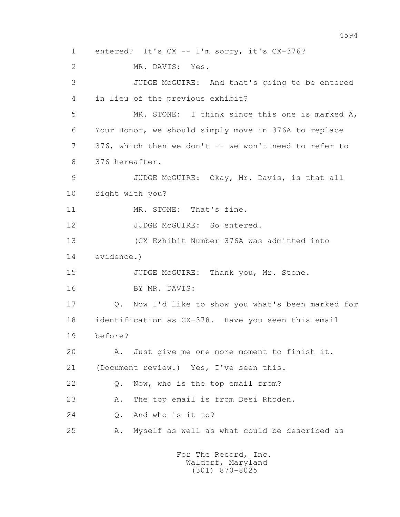1 entered? It's CX -- I'm sorry, it's CX-376? 2 MR. DAVIS: Yes. 3 JUDGE McGUIRE: And that's going to be entered 4 in lieu of the previous exhibit? 5 MR. STONE: I think since this one is marked A, 6 Your Honor, we should simply move in 376A to replace 7 376, which then we don't -- we won't need to refer to 8 376 hereafter. 9 JUDGE McGUIRE: Okay, Mr. Davis, is that all 10 right with you? 11 MR. STONE: That's fine. 12 JUDGE McGUIRE: So entered. 13 (CX Exhibit Number 376A was admitted into 14 evidence.) 15 JUDGE McGUIRE: Thank you, Mr. Stone. 16 BY MR. DAVIS: 17 Q. Now I'd like to show you what's been marked for 18 identification as CX-378. Have you seen this email 19 before? 20 A. Just give me one more moment to finish it. 21 (Document review.) Yes, I've seen this. 22 Q. Now, who is the top email from? 23 A. The top email is from Desi Rhoden. 24 Q. And who is it to? 25 A. Myself as well as what could be described as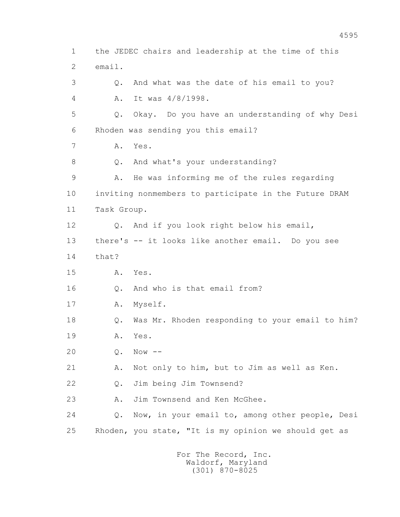1 the JEDEC chairs and leadership at the time of this 2 email. 3 Q. And what was the date of his email to you? 4 A. It was 4/8/1998. 5 Q. Okay. Do you have an understanding of why Desi 6 Rhoden was sending you this email? 7 A. Yes. 8 Q. And what's your understanding? 9 A. He was informing me of the rules regarding 10 inviting nonmembers to participate in the Future DRAM 11 Task Group. 12 Q. And if you look right below his email, 13 there's -- it looks like another email. Do you see 14 that? 15 A. Yes. 16 Q. And who is that email from? 17 A. Myself. 18 Q. Was Mr. Rhoden responding to your email to him? 19 A. Yes. 20 Q. Now -- 21 A. Not only to him, but to Jim as well as Ken. 22 Q. Jim being Jim Townsend? 23 A. Jim Townsend and Ken McGhee. 24 Q. Now, in your email to, among other people, Desi 25 Rhoden, you state, "It is my opinion we should get as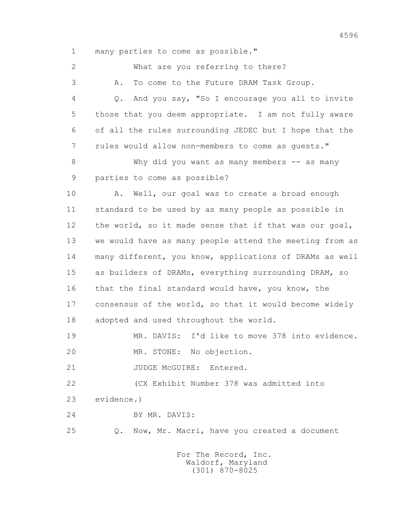1 many parties to come as possible."

 2 What are you referring to there? 3 A. To come to the Future DRAM Task Group. 4 Q. And you say, "So I encourage you all to invite 5 those that you deem appropriate. I am not fully aware 6 of all the rules surrounding JEDEC but I hope that the 7 rules would allow non-members to come as quests." 8 Why did you want as many members -- as many 9 parties to come as possible? 10 A. Well, our goal was to create a broad enough 11 standard to be used by as many people as possible in 12 the world, so it made sense that if that was our goal, 13 we would have as many people attend the meeting from as 14 many different, you know, applications of DRAMs as well 15 as builders of DRAMs, everything surrounding DRAM, so 16 that the final standard would have, you know, the 17 consensus of the world, so that it would become widely 18 adopted and used throughout the world. 19 MR. DAVIS: I'd like to move 378 into evidence. 20 MR. STONE: No objection. 21 JUDGE McGUIRE: Entered. 22 (CX Exhibit Number 378 was admitted into 23 evidence.) 24 BY MR. DAVIS: 25 Q. Now, Mr. Macri, have you created a document For The Record, Inc.

 Waldorf, Maryland (301) 870-8025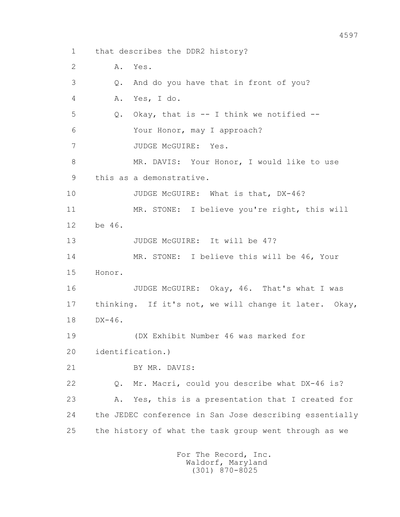3 Q. And do you have that in front of you? 4 A. Yes, I do. 5 Q. Okay, that is -- I think we notified -- 6 Your Honor, may I approach? 7 JUDGE McGUIRE: Yes. 8 MR. DAVIS: Your Honor, I would like to use 9 this as a demonstrative. 10 JUDGE McGUIRE: What is that, DX-46? 11 MR. STONE: I believe you're right, this will 12 be 46. 13 JUDGE McGUIRE: It will be 47? 14 MR. STONE: I believe this will be 46, Your 15 Honor. 16 JUDGE McGUIRE: Okay, 46. That's what I was 17 thinking. If it's not, we will change it later. Okay, 18 DX-46. 19 (DX Exhibit Number 46 was marked for 20 identification.) 21 BY MR. DAVIS: 22 Q. Mr. Macri, could you describe what DX-46 is? 23 A. Yes, this is a presentation that I created for

1 that describes the DDR2 history?

2 A. Yes.

25 the history of what the task group went through as we

24 the JEDEC conference in San Jose describing essentially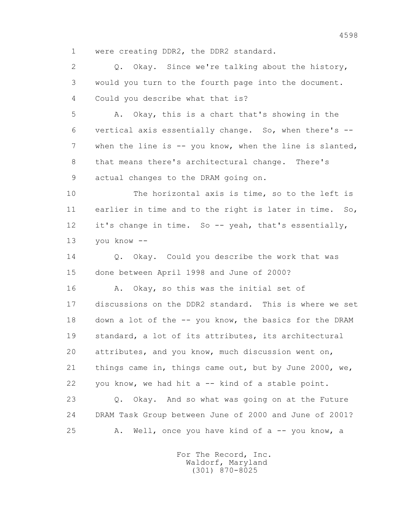1 were creating DDR2, the DDR2 standard.

2 0. Okay. Since we're talking about the history, 3 would you turn to the fourth page into the document. 4 Could you describe what that is?

 5 A. Okay, this is a chart that's showing in the 6 vertical axis essentially change. So, when there's -- 7 when the line is -- you know, when the line is slanted, 8 that means there's architectural change. There's 9 actual changes to the DRAM going on.

 10 The horizontal axis is time, so to the left is 11 earlier in time and to the right is later in time. So, 12 it's change in time. So -- yeah, that's essentially, 13 you know --

14 0. Okay. Could you describe the work that was 15 done between April 1998 and June of 2000?

 16 A. Okay, so this was the initial set of 17 discussions on the DDR2 standard. This is where we set 18 down a lot of the -- you know, the basics for the DRAM 19 standard, a lot of its attributes, its architectural 20 attributes, and you know, much discussion went on, 21 things came in, things came out, but by June 2000, we, 22 you know, we had hit a -- kind of a stable point.

 23 Q. Okay. And so what was going on at the Future 24 DRAM Task Group between June of 2000 and June of 2001? 25 A. Well, once you have kind of a -- you know, a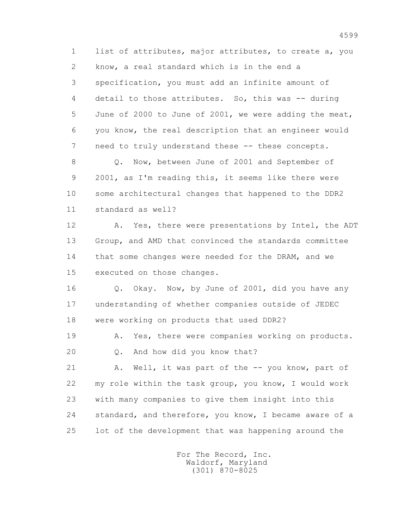1 list of attributes, major attributes, to create a, you 2 know, a real standard which is in the end a 3 specification, you must add an infinite amount of 4 detail to those attributes. So, this was -- during 5 June of 2000 to June of 2001, we were adding the meat, 6 you know, the real description that an engineer would 7 need to truly understand these -- these concepts.

 8 Q. Now, between June of 2001 and September of 9 2001, as I'm reading this, it seems like there were 10 some architectural changes that happened to the DDR2 11 standard as well?

 12 A. Yes, there were presentations by Intel, the ADT 13 Group, and AMD that convinced the standards committee 14 that some changes were needed for the DRAM, and we 15 executed on those changes.

16 0. Okay. Now, by June of 2001, did you have any 17 understanding of whether companies outside of JEDEC 18 were working on products that used DDR2?

19 A. Yes, there were companies working on products.

20 Q. And how did you know that?

21 A. Well, it was part of the -- you know, part of 22 my role within the task group, you know, I would work 23 with many companies to give them insight into this 24 standard, and therefore, you know, I became aware of a 25 lot of the development that was happening around the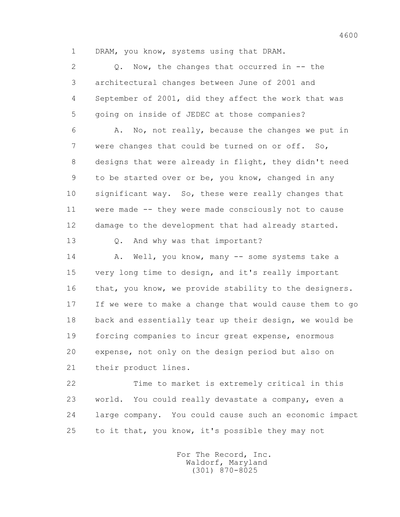1 DRAM, you know, systems using that DRAM.

2 0. Now, the changes that occurred in -- the 3 architectural changes between June of 2001 and 4 September of 2001, did they affect the work that was 5 going on inside of JEDEC at those companies?

 6 A. No, not really, because the changes we put in 7 were changes that could be turned on or off. So, 8 designs that were already in flight, they didn't need 9 to be started over or be, you know, changed in any 10 significant way. So, these were really changes that 11 were made -- they were made consciously not to cause 12 damage to the development that had already started.

13 Q. And why was that important?

14 A. Well, you know, many -- some systems take a 15 very long time to design, and it's really important 16 that, you know, we provide stability to the designers. 17 If we were to make a change that would cause them to go 18 back and essentially tear up their design, we would be 19 forcing companies to incur great expense, enormous 20 expense, not only on the design period but also on 21 their product lines.

 22 Time to market is extremely critical in this 23 world. You could really devastate a company, even a 24 large company. You could cause such an economic impact 25 to it that, you know, it's possible they may not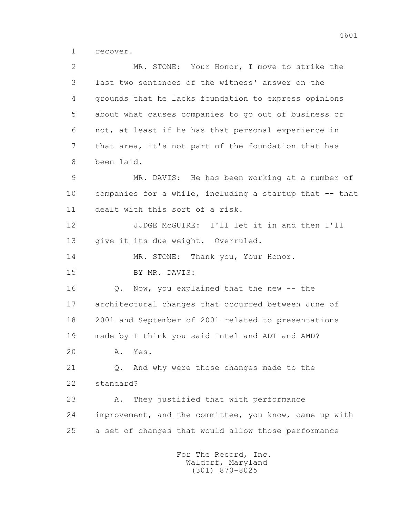1 recover.

 2 MR. STONE: Your Honor, I move to strike the 3 last two sentences of the witness' answer on the 4 grounds that he lacks foundation to express opinions 5 about what causes companies to go out of business or 6 not, at least if he has that personal experience in 7 that area, it's not part of the foundation that has 8 been laid. 9 MR. DAVIS: He has been working at a number of 10 companies for a while, including a startup that -- that 11 dealt with this sort of a risk. 12 JUDGE McGUIRE: I'll let it in and then I'll 13 give it its due weight. Overruled. 14 MR. STONE: Thank you, Your Honor. 15 BY MR. DAVIS: 16 Q. Now, you explained that the new -- the 17 architectural changes that occurred between June of 18 2001 and September of 2001 related to presentations 19 made by I think you said Intel and ADT and AMD? 20 A. Yes. 21 Q. And why were those changes made to the 22 standard? 23 A. They justified that with performance 24 improvement, and the committee, you know, came up with 25 a set of changes that would allow those performance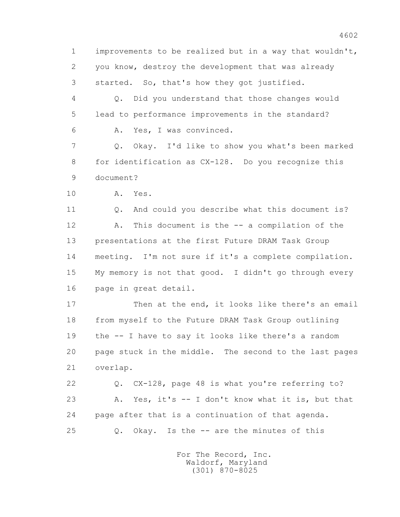1 improvements to be realized but in a way that wouldn't, 2 you know, destroy the development that was already 3 started. So, that's how they got justified.

 4 Q. Did you understand that those changes would 5 lead to performance improvements in the standard?

6 A. Yes, I was convinced.

 7 Q. Okay. I'd like to show you what's been marked 8 for identification as CX-128. Do you recognize this 9 document?

10 A. Yes.

11 0. And could you describe what this document is? 12 A. This document is the -- a compilation of the 13 presentations at the first Future DRAM Task Group 14 meeting. I'm not sure if it's a complete compilation. 15 My memory is not that good. I didn't go through every 16 page in great detail.

 17 Then at the end, it looks like there's an email 18 from myself to the Future DRAM Task Group outlining 19 the -- I have to say it looks like there's a random 20 page stuck in the middle. The second to the last pages 21 overlap.

 22 Q. CX-128, page 48 is what you're referring to? 23 A. Yes, it's -- I don't know what it is, but that 24 page after that is a continuation of that agenda. 25 Q. Okay. Is the -- are the minutes of this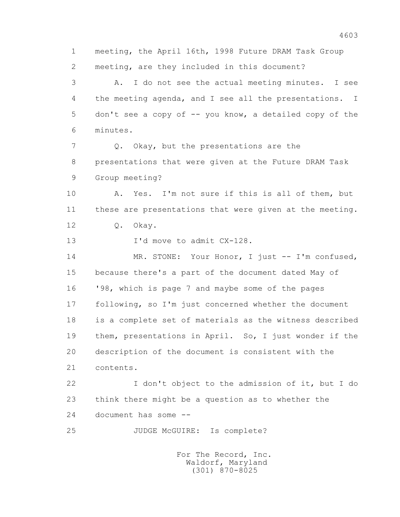1 meeting, the April 16th, 1998 Future DRAM Task Group 2 meeting, are they included in this document? 3 A. I do not see the actual meeting minutes. I see 4 the meeting agenda, and I see all the presentations. I 5 don't see a copy of -- you know, a detailed copy of the 6 minutes. 7 Q. Okay, but the presentations are the 8 presentations that were given at the Future DRAM Task 9 Group meeting? 10 A. Yes. I'm not sure if this is all of them, but 11 these are presentations that were given at the meeting. 12 Q. Okay. 13 I'd move to admit  $CX-128$ . 14 MR. STONE: Your Honor, I just -- I'm confused, 15 because there's a part of the document dated May of 16 '98, which is page 7 and maybe some of the pages 17 following, so I'm just concerned whether the document 18 is a complete set of materials as the witness described 19 them, presentations in April. So, I just wonder if the 20 description of the document is consistent with the 21 contents. 22 I don't object to the admission of it, but I do 23 think there might be a question as to whether the 24 document has some -- 25 JUDGE McGUIRE: Is complete?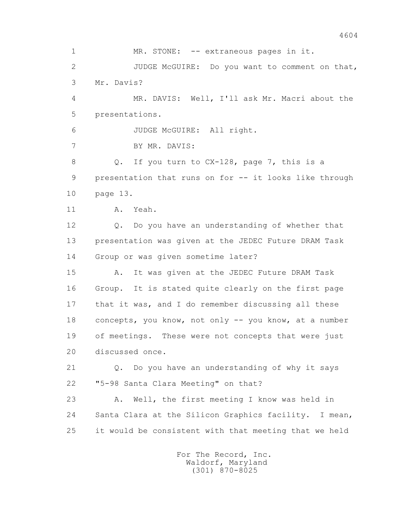1 MR. STONE: -- extraneous pages in it. 2 JUDGE McGUIRE: Do you want to comment on that, 3 Mr. Davis? 4 MR. DAVIS: Well, I'll ask Mr. Macri about the 5 presentations. 6 JUDGE McGUIRE: All right. 7 BY MR. DAVIS: 8 Q. If you turn to CX-128, page 7, this is a 9 presentation that runs on for -- it looks like through 10 page 13. 11 A. Yeah. 12 Q. Do you have an understanding of whether that 13 presentation was given at the JEDEC Future DRAM Task 14 Group or was given sometime later? 15 A. It was given at the JEDEC Future DRAM Task 16 Group. It is stated quite clearly on the first page 17 that it was, and I do remember discussing all these 18 concepts, you know, not only -- you know, at a number 19 of meetings. These were not concepts that were just 20 discussed once. 21 Q. Do you have an understanding of why it says 22 "5-98 Santa Clara Meeting" on that? 23 A. Well, the first meeting I know was held in 24 Santa Clara at the Silicon Graphics facility. I mean, 25 it would be consistent with that meeting that we held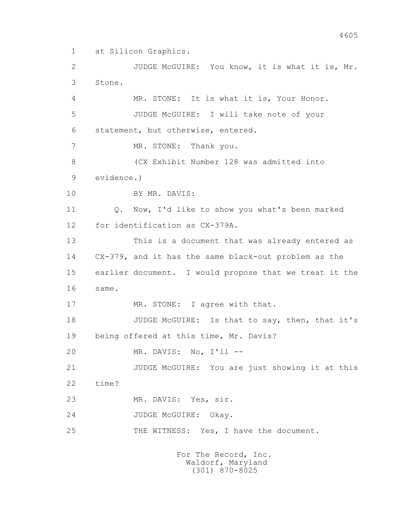1 at Silicon Graphics.

 2 JUDGE McGUIRE: You know, it is what it is, Mr. 3 Stone. 4 MR. STONE: It is what it is, Your Honor. 5 JUDGE McGUIRE: I will take note of your 6 statement, but otherwise, entered. 7 MR. STONE: Thank you. 8 (CX Exhibit Number 128 was admitted into 9 evidence.) 10 BY MR. DAVIS: 11 Q. Now, I'd like to show you what's been marked 12 for identification as CX-379A. 13 This is a document that was already entered as 14 CX-379, and it has the same black-out problem as the 15 earlier document. I would propose that we treat it the 16 same. 17 MR. STONE: I agree with that. 18 JUDGE McGUIRE: Is that to say, then, that it's 19 being offered at this time, Mr. Davis? 20 MR. DAVIS: No, I'll -- 21 JUDGE McGUIRE: You are just showing it at this 22 time? 23 MR. DAVIS: Yes, sir. 24 JUDGE McGUIRE: Okay. 25 THE WITNESS: Yes, I have the document.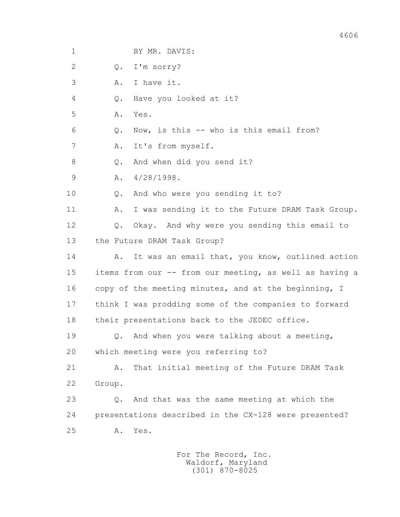| $\mathbf 1$ | BY MR. DAVIS:                                           |
|-------------|---------------------------------------------------------|
| 2           | I'm sorry?<br>$Q$ .                                     |
| 3           | I have it.<br>Α.                                        |
| 4           | Have you looked at it?<br>Q.                            |
| 5           | Yes.<br>Α.                                              |
| 6           | Now, is this -- who is this email from?<br>Q.           |
| 7           | It's from myself.<br>Α.                                 |
| 8           | And when did you send it?<br>Q.                         |
| 9           | 4/28/1998.<br>Α.                                        |
| 10          | And who were you sending it to?<br>Q.                   |
| 11          | I was sending it to the Future DRAM Task Group.<br>Α.   |
| 12          | Okay. And why were you sending this email to<br>Q.      |
| 13          | the Future DRAM Task Group?                             |
| 14          | It was an email that, you know, outlined action<br>Α.   |
| 15          | items from our -- from our meeting, as well as having a |
| 16          | copy of the meeting minutes, and at the beginning, I    |
| 17          | think I was prodding some of the companies to forward   |
| 18          | their presentations back to the JEDEC office.           |
| 19          | Q. And when you were talking about a meeting,           |
| 20          | which meeting were you referring to?                    |
| 21          | That initial meeting of the Future DRAM Task<br>Α.      |
| 22          | Group.                                                  |
| 23          | And that was the same meeting at which the<br>Q.        |
| 24          | presentations described in the CX-128 were presented?   |
| 25          | Α.<br>Yes.                                              |
|             | For The Record, Inc.                                    |
|             |                                                         |

Waldorf, Maryland (301) 870-8025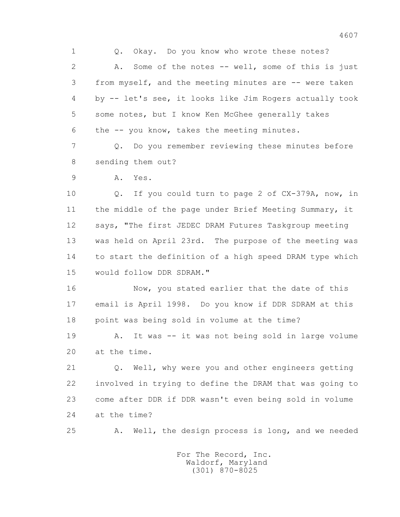1 Q. Okay. Do you know who wrote these notes? 2 A. Some of the notes -- well, some of this is just 3 from myself, and the meeting minutes are -- were taken 4 by -- let's see, it looks like Jim Rogers actually took 5 some notes, but I know Ken McGhee generally takes 6 the -- you know, takes the meeting minutes.

 7 Q. Do you remember reviewing these minutes before 8 sending them out?

9 A. Yes.

 10 Q. If you could turn to page 2 of CX-379A, now, in 11 the middle of the page under Brief Meeting Summary, it 12 says, "The first JEDEC DRAM Futures Taskgroup meeting 13 was held on April 23rd. The purpose of the meeting was 14 to start the definition of a high speed DRAM type which 15 would follow DDR SDRAM."

 16 Now, you stated earlier that the date of this 17 email is April 1998. Do you know if DDR SDRAM at this 18 point was being sold in volume at the time?

 19 A. It was -- it was not being sold in large volume 20 at the time.

 21 Q. Well, why were you and other engineers getting 22 involved in trying to define the DRAM that was going to 23 come after DDR if DDR wasn't even being sold in volume 24 at the time?

25 A. Well, the design process is long, and we needed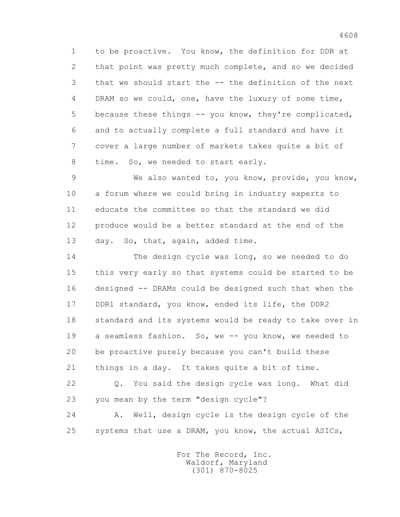1 to be proactive. You know, the definition for DDR at 2 that point was pretty much complete, and so we decided 3 that we should start the -- the definition of the next 4 DRAM so we could, one, have the luxury of some time, 5 because these things -- you know, they're complicated, 6 and to actually complete a full standard and have it 7 cover a large number of markets takes quite a bit of 8 time. So, we needed to start early.

9 We also wanted to, you know, provide, you know, 10 a forum where we could bring in industry experts to 11 educate the committee so that the standard we did 12 produce would be a better standard at the end of the 13 day. So, that, again, added time.

 14 The design cycle was long, so we needed to do 15 this very early so that systems could be started to be 16 designed -- DRAMs could be designed such that when the 17 DDR1 standard, you know, ended its life, the DDR2 18 standard and its systems would be ready to take over in 19 a seamless fashion. So, we -- you know, we needed to 20 be proactive purely because you can't build these 21 things in a day. It takes quite a bit of time.

 22 Q. You said the design cycle was long. What did 23 you mean by the term "design cycle"?

 24 A. Well, design cycle is the design cycle of the 25 systems that use a DRAM, you know, the actual ASICs,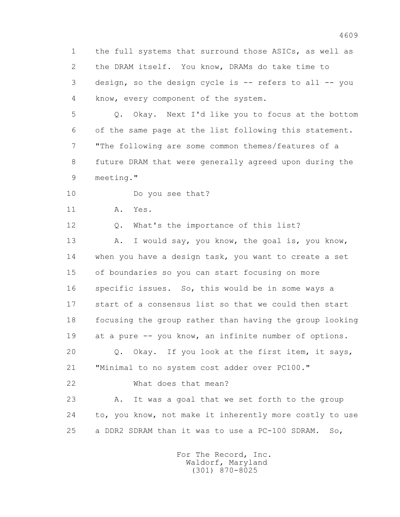1 the full systems that surround those ASICs, as well as 2 the DRAM itself. You know, DRAMs do take time to 3 design, so the design cycle is -- refers to all -- you 4 know, every component of the system.

 5 Q. Okay. Next I'd like you to focus at the bottom 6 of the same page at the list following this statement. 7 "The following are some common themes/features of a 8 future DRAM that were generally agreed upon during the 9 meeting."

10 Do you see that?

11 A. Yes.

12 Q. What's the importance of this list?

 13 A. I would say, you know, the goal is, you know, 14 when you have a design task, you want to create a set 15 of boundaries so you can start focusing on more 16 specific issues. So, this would be in some ways a 17 start of a consensus list so that we could then start 18 focusing the group rather than having the group looking 19 at a pure -- you know, an infinite number of options. 20 Q. Okay. If you look at the first item, it says, 21 "Minimal to no system cost adder over PC100." 22 What does that mean?

23 A. It was a goal that we set forth to the group 24 to, you know, not make it inherently more costly to use 25 a DDR2 SDRAM than it was to use a PC-100 SDRAM. So,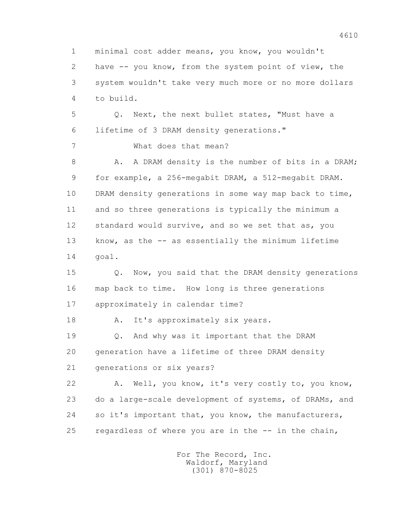1 minimal cost adder means, you know, you wouldn't 2 have -- you know, from the system point of view, the 3 system wouldn't take very much more or no more dollars 4 to build. 5 Q. Next, the next bullet states, "Must have a 6 lifetime of 3 DRAM density generations." 7 What does that mean? 8 A. A DRAM density is the number of bits in a DRAM; 9 for example, a 256-megabit DRAM, a 512-megabit DRAM. 10 DRAM density generations in some way map back to time, 11 and so three generations is typically the minimum a 12 standard would survive, and so we set that as, you 13 know, as the -- as essentially the minimum lifetime 14 goal. 15 Q. Now, you said that the DRAM density generations 16 map back to time. How long is three generations 17 approximately in calendar time? 18 A. It's approximately six years. 19 Q. And why was it important that the DRAM 20 generation have a lifetime of three DRAM density 21 generations or six years? 22 A. Well, you know, it's very costly to, you know, 23 do a large-scale development of systems, of DRAMs, and 24 so it's important that, you know, the manufacturers, 25 regardless of where you are in the -- in the chain,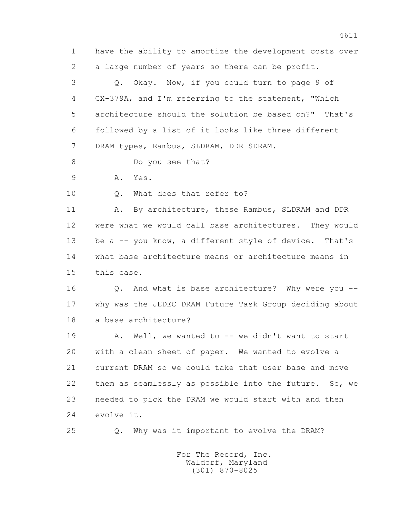1 have the ability to amortize the development costs over 2 a large number of years so there can be profit. 3 Q. Okay. Now, if you could turn to page 9 of 4 CX-379A, and I'm referring to the statement, "Which 5 architecture should the solution be based on?" That's 6 followed by a list of it looks like three different 7 DRAM types, Rambus, SLDRAM, DDR SDRAM. 8 Do you see that? 9 A. Yes. 10 Q. What does that refer to? 11 A. By architecture, these Rambus, SLDRAM and DDR 12 were what we would call base architectures. They would 13 be a -- you know, a different style of device. That's 14 what base architecture means or architecture means in 15 this case. 16 Q. And what is base architecture? Why were you -- 17 why was the JEDEC DRAM Future Task Group deciding about 18 a base architecture? 19 A. Well, we wanted to -- we didn't want to start 20 with a clean sheet of paper. We wanted to evolve a 21 current DRAM so we could take that user base and move 22 them as seamlessly as possible into the future. So, we 23 needed to pick the DRAM we would start with and then 24 evolve it. 25 Q. Why was it important to evolve the DRAM?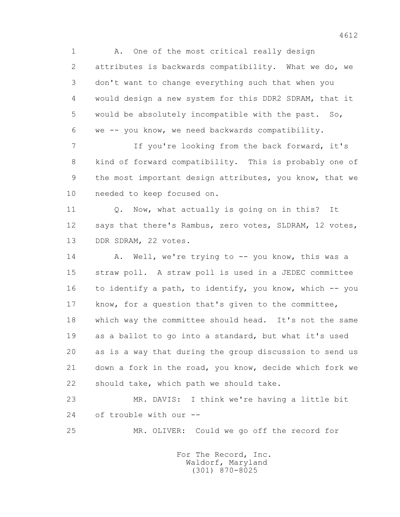1 A. One of the most critical really design 2 attributes is backwards compatibility. What we do, we 3 don't want to change everything such that when you 4 would design a new system for this DDR2 SDRAM, that it 5 would be absolutely incompatible with the past. So, 6 we -- you know, we need backwards compatibility. 7 If you're looking from the back forward, it's

 8 kind of forward compatibility. This is probably one of 9 the most important design attributes, you know, that we 10 needed to keep focused on.

 11 Q. Now, what actually is going on in this? It 12 says that there's Rambus, zero votes, SLDRAM, 12 votes, 13 DDR SDRAM, 22 votes.

14 A. Well, we're trying to -- you know, this was a 15 straw poll. A straw poll is used in a JEDEC committee 16 to identify a path, to identify, you know, which -- you 17 know, for a question that's given to the committee, 18 which way the committee should head. It's not the same 19 as a ballot to go into a standard, but what it's used 20 as is a way that during the group discussion to send us 21 down a fork in the road, you know, decide which fork we 22 should take, which path we should take.

 23 MR. DAVIS: I think we're having a little bit 24 of trouble with our --

25 MR. OLIVER: Could we go off the record for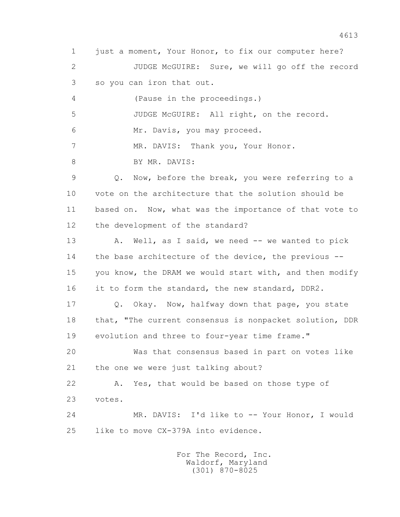1 just a moment, Your Honor, to fix our computer here? 2 JUDGE McGUIRE: Sure, we will go off the record 3 so you can iron that out. 4 (Pause in the proceedings.) 5 JUDGE McGUIRE: All right, on the record. 6 Mr. Davis, you may proceed. 7 MR. DAVIS: Thank you, Your Honor. 8 BY MR. DAVIS: 9 Q. Now, before the break, you were referring to a 10 vote on the architecture that the solution should be 11 based on. Now, what was the importance of that vote to 12 the development of the standard? 13 A. Well, as I said, we need -- we wanted to pick 14 the base architecture of the device, the previous -- 15 you know, the DRAM we would start with, and then modify 16 it to form the standard, the new standard, DDR2. 17 Q. Okay. Now, halfway down that page, you state 18 that, "The current consensus is nonpacket solution, DDR 19 evolution and three to four-year time frame." 20 Was that consensus based in part on votes like 21 the one we were just talking about? 22 A. Yes, that would be based on those type of 23 votes. 24 MR. DAVIS: I'd like to -- Your Honor, I would 25 like to move CX-379A into evidence.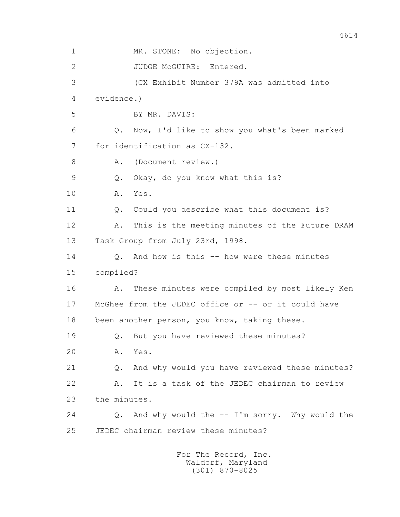1 MR. STONE: No objection. 2 JUDGE McGUIRE: Entered. 3 (CX Exhibit Number 379A was admitted into 4 evidence.) 5 BY MR. DAVIS: 6 Q. Now, I'd like to show you what's been marked 7 for identification as CX-132. 8 A. (Document review.) 9 Q. Okay, do you know what this is? 10 A. Yes. 11 0. Could you describe what this document is? 12 A. This is the meeting minutes of the Future DRAM 13 Task Group from July 23rd, 1998. 14 Q. And how is this -- how were these minutes 15 compiled? 16 A. These minutes were compiled by most likely Ken 17 McGhee from the JEDEC office or -- or it could have 18 been another person, you know, taking these. 19 Q. But you have reviewed these minutes? 20 A. Yes. 21 Q. And why would you have reviewed these minutes? 22 A. It is a task of the JEDEC chairman to review 23 the minutes. 24 Q. And why would the -- I'm sorry. Why would the 25 JEDEC chairman review these minutes?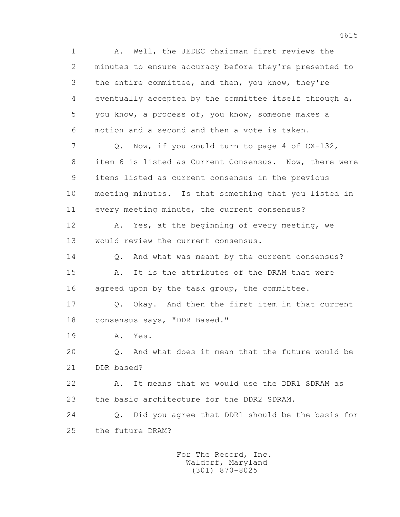1 A. Well, the JEDEC chairman first reviews the 2 minutes to ensure accuracy before they're presented to 3 the entire committee, and then, you know, they're 4 eventually accepted by the committee itself through a, 5 you know, a process of, you know, someone makes a 6 motion and a second and then a vote is taken. 7 Q. Now, if you could turn to page 4 of CX-132, 8 item 6 is listed as Current Consensus. Now, there were 9 items listed as current consensus in the previous 10 meeting minutes. Is that something that you listed in 11 every meeting minute, the current consensus? 12 A. Yes, at the beginning of every meeting, we 13 would review the current consensus. 14 0. And what was meant by the current consensus? 15 A. It is the attributes of the DRAM that were 16 agreed upon by the task group, the committee. 17 Q. Okay. And then the first item in that current 18 consensus says, "DDR Based." 19 A. Yes. 20 Q. And what does it mean that the future would be 21 DDR based? 22 A. It means that we would use the DDR1 SDRAM as 23 the basic architecture for the DDR2 SDRAM. 24 Q. Did you agree that DDR1 should be the basis for 25 the future DRAM?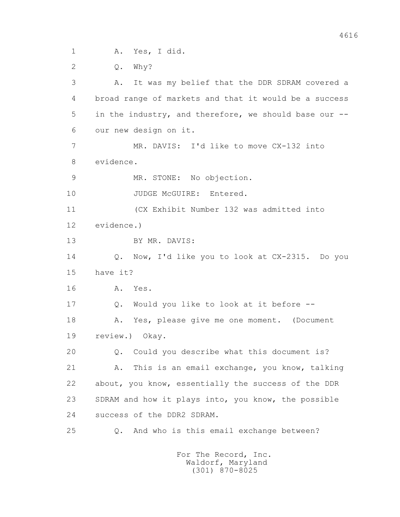1 A. Yes, I did.

2 Q. Why?

 3 A. It was my belief that the DDR SDRAM covered a 4 broad range of markets and that it would be a success 5 in the industry, and therefore, we should base our -- 6 our new design on it. 7 MR. DAVIS: I'd like to move CX-132 into 8 evidence. 9 MR. STONE: No objection. 10 JUDGE McGUIRE: Entered. 11 (CX Exhibit Number 132 was admitted into 12 evidence.) 13 BY MR. DAVIS: 14 Q. Now, I'd like you to look at CX-2315. Do you 15 have it? 16 A. Yes. 17 Q. Would you like to look at it before -- 18 A. Yes, please give me one moment. (Document 19 review.) Okay. 20 Q. Could you describe what this document is? 21 A. This is an email exchange, you know, talking 22 about, you know, essentially the success of the DDR 23 SDRAM and how it plays into, you know, the possible 24 success of the DDR2 SDRAM. 25 Q. And who is this email exchange between?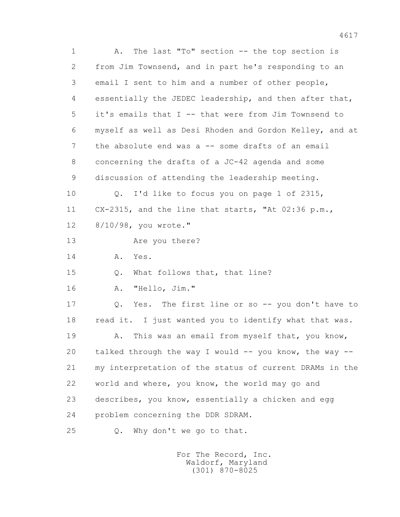1 A. The last "To" section -- the top section is 2 from Jim Townsend, and in part he's responding to an 3 email I sent to him and a number of other people, 4 essentially the JEDEC leadership, and then after that, 5 it's emails that I -- that were from Jim Townsend to 6 myself as well as Desi Rhoden and Gordon Kelley, and at 7 the absolute end was a -- some drafts of an email 8 concerning the drafts of a JC-42 agenda and some 9 discussion of attending the leadership meeting. 10 Q. I'd like to focus you on page 1 of 2315, 11 CX-2315, and the line that starts, "At 02:36 p.m., 12 8/10/98, you wrote." 13 Are you there? 14 A. Yes. 15 Q. What follows that, that line? 16 A. "Hello, Jim." 17 Q. Yes. The first line or so -- you don't have to 18 read it. I just wanted you to identify what that was. 19 A. This was an email from myself that, you know, 20 talked through the way I would  $--$  you know, the way  $--$  21 my interpretation of the status of current DRAMs in the 22 world and where, you know, the world may go and 23 describes, you know, essentially a chicken and egg 24 problem concerning the DDR SDRAM. 25 Q. Why don't we go to that.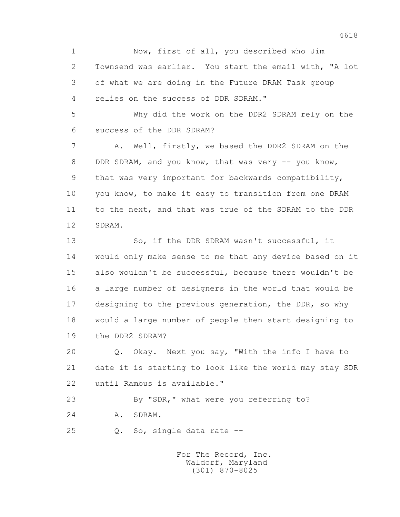1 Now, first of all, you described who Jim 2 Townsend was earlier. You start the email with, "A lot 3 of what we are doing in the Future DRAM Task group 4 relies on the success of DDR SDRAM."

 5 Why did the work on the DDR2 SDRAM rely on the 6 success of the DDR SDRAM?

 7 A. Well, firstly, we based the DDR2 SDRAM on the 8 DDR SDRAM, and you know, that was very -- you know, 9 that was very important for backwards compatibility, 10 you know, to make it easy to transition from one DRAM 11 to the next, and that was true of the SDRAM to the DDR 12 SDRAM.

13 So, if the DDR SDRAM wasn't successful, it 14 would only make sense to me that any device based on it 15 also wouldn't be successful, because there wouldn't be 16 a large number of designers in the world that would be 17 designing to the previous generation, the DDR, so why 18 would a large number of people then start designing to 19 the DDR2 SDRAM?

 20 Q. Okay. Next you say, "With the info I have to 21 date it is starting to look like the world may stay SDR 22 until Rambus is available."

23 By "SDR," what were you referring to? 24 A. SDRAM.

25 Q. So, single data rate --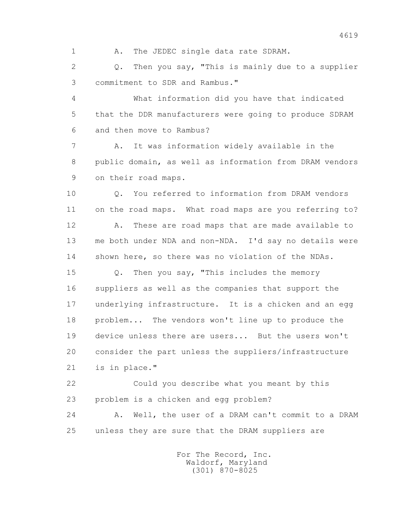1 A. The JEDEC single data rate SDRAM.

 2 Q. Then you say, "This is mainly due to a supplier 3 commitment to SDR and Rambus."

 4 What information did you have that indicated 5 that the DDR manufacturers were going to produce SDRAM 6 and then move to Rambus?

 7 A. It was information widely available in the 8 public domain, as well as information from DRAM vendors 9 on their road maps.

 10 Q. You referred to information from DRAM vendors 11 on the road maps. What road maps are you referring to?

 12 A. These are road maps that are made available to 13 me both under NDA and non-NDA. I'd say no details were 14 shown here, so there was no violation of the NDAs.

 15 Q. Then you say, "This includes the memory 16 suppliers as well as the companies that support the 17 underlying infrastructure. It is a chicken and an egg 18 problem... The vendors won't line up to produce the 19 device unless there are users... But the users won't 20 consider the part unless the suppliers/infrastructure 21 is in place."

 22 Could you describe what you meant by this 23 problem is a chicken and egg problem?

 24 A. Well, the user of a DRAM can't commit to a DRAM 25 unless they are sure that the DRAM suppliers are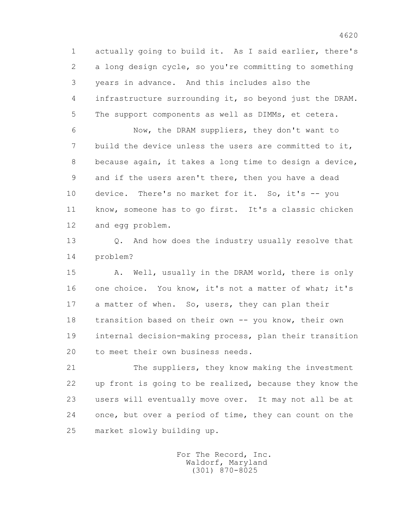1 actually going to build it. As I said earlier, there's 2 a long design cycle, so you're committing to something 3 years in advance. And this includes also the 4 infrastructure surrounding it, so beyond just the DRAM. 5 The support components as well as DIMMs, et cetera.

 6 Now, the DRAM suppliers, they don't want to 7 build the device unless the users are committed to it, 8 because again, it takes a long time to design a device, 9 and if the users aren't there, then you have a dead 10 device. There's no market for it. So, it's -- you 11 know, someone has to go first. It's a classic chicken 12 and egg problem.

 13 Q. And how does the industry usually resolve that 14 problem?

15 A. Well, usually in the DRAM world, there is only 16 one choice. You know, it's not a matter of what; it's 17 a matter of when. So, users, they can plan their 18 transition based on their own -- you know, their own 19 internal decision-making process, plan their transition 20 to meet their own business needs.

 21 The suppliers, they know making the investment 22 up front is going to be realized, because they know the 23 users will eventually move over. It may not all be at 24 once, but over a period of time, they can count on the 25 market slowly building up.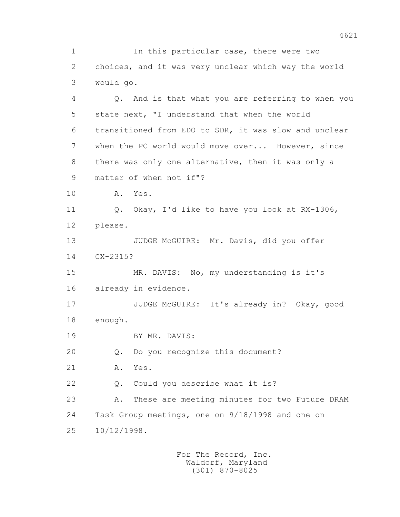1 In this particular case, there were two 2 choices, and it was very unclear which way the world 3 would go.

 4 Q. And is that what you are referring to when you 5 state next, "I understand that when the world 6 transitioned from EDO to SDR, it was slow and unclear 7 when the PC world would move over... However, since 8 there was only one alternative, then it was only a 9 matter of when not if"? 10 A. Yes.

 11 Q. Okay, I'd like to have you look at RX-1306, 12 please.

 13 JUDGE McGUIRE: Mr. Davis, did you offer 14 CX-2315?

 15 MR. DAVIS: No, my understanding is it's 16 already in evidence.

 17 JUDGE McGUIRE: It's already in? Okay, good 18 enough.

19 BY MR. DAVIS:

20 Q. Do you recognize this document?

21 A. Yes.

22 Q. Could you describe what it is?

 23 A. These are meeting minutes for two Future DRAM 24 Task Group meetings, one on 9/18/1998 and one on 25 10/12/1998.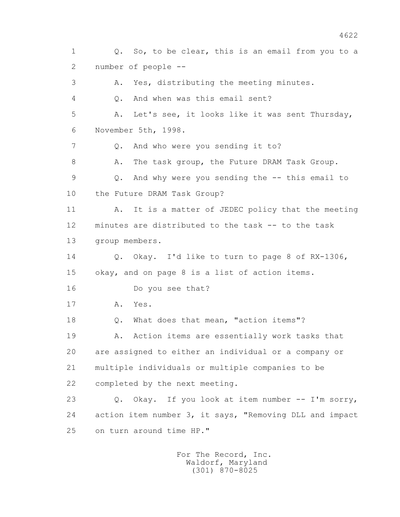1 Q. So, to be clear, this is an email from you to a 2 number of people -- 3 A. Yes, distributing the meeting minutes. 4 Q. And when was this email sent? 5 A. Let's see, it looks like it was sent Thursday, 6 November 5th, 1998. 7 Q. And who were you sending it to? 8 A. The task group, the Future DRAM Task Group. 9 Q. And why were you sending the -- this email to 10 the Future DRAM Task Group? 11 A. It is a matter of JEDEC policy that the meeting 12 minutes are distributed to the task -- to the task 13 group members. 14 Q. Okay. I'd like to turn to page 8 of RX-1306, 15 okay, and on page 8 is a list of action items. 16 Do you see that? 17 A. Yes. 18 Q. What does that mean, "action items"? 19 A. Action items are essentially work tasks that 20 are assigned to either an individual or a company or 21 multiple individuals or multiple companies to be 22 completed by the next meeting. 23 Q. Okay. If you look at item number -- I'm sorry, 24 action item number 3, it says, "Removing DLL and impact 25 on turn around time HP."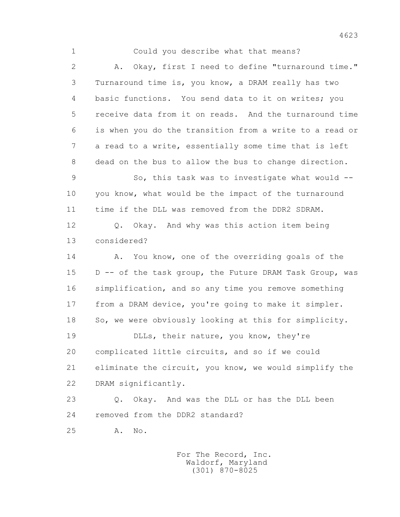1 Could you describe what that means? 2 A. Okay, first I need to define "turnaround time." 3 Turnaround time is, you know, a DRAM really has two 4 basic functions. You send data to it on writes; you 5 receive data from it on reads. And the turnaround time 6 is when you do the transition from a write to a read or 7 a read to a write, essentially some time that is left 8 dead on the bus to allow the bus to change direction. 9 So, this task was to investigate what would -- 10 you know, what would be the impact of the turnaround 11 time if the DLL was removed from the DDR2 SDRAM. 12 Q. Okay. And why was this action item being 13 considered? 14 A. You know, one of the overriding goals of the 15 D -- of the task group, the Future DRAM Task Group, was 16 simplification, and so any time you remove something 17 from a DRAM device, you're going to make it simpler. 18 So, we were obviously looking at this for simplicity. 19 DLLs, their nature, you know, they're 20 complicated little circuits, and so if we could 21 eliminate the circuit, you know, we would simplify the 22 DRAM significantly. 23 Q. Okay. And was the DLL or has the DLL been 24 removed from the DDR2 standard? 25 A. No.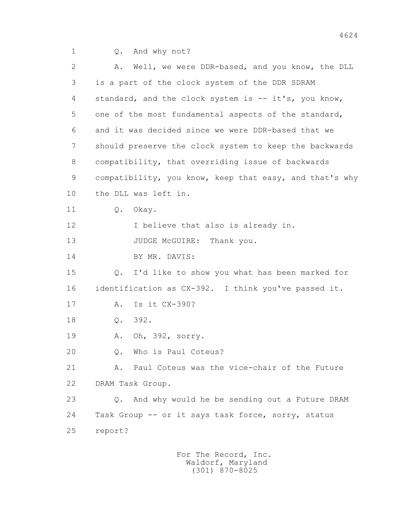1 Q. And why not?

 2 A. Well, we were DDR-based, and you know, the DLL 3 is a part of the clock system of the DDR SDRAM 4 standard, and the clock system is -- it's, you know, 5 one of the most fundamental aspects of the standard, 6 and it was decided since we were DDR-based that we 7 should preserve the clock system to keep the backwards 8 compatibility, that overriding issue of backwards 9 compatibility, you know, keep that easy, and that's why 10 the DLL was left in. 11 0. Okav. 12 I believe that also is already in. 13 JUDGE McGUIRE: Thank you. 14 BY MR. DAVIS: 15 Q. I'd like to show you what has been marked for 16 identification as CX-392. I think you've passed it. 17 A. Is it CX-390? 18 Q. 392. 19 A. Oh, 392, sorry. 20 0. Who is Paul Coteus? 21 A. Paul Coteus was the vice-chair of the Future 22 DRAM Task Group. 23 Q. And why would he be sending out a Future DRAM 24 Task Group -- or it says task force, sorry, status 25 report?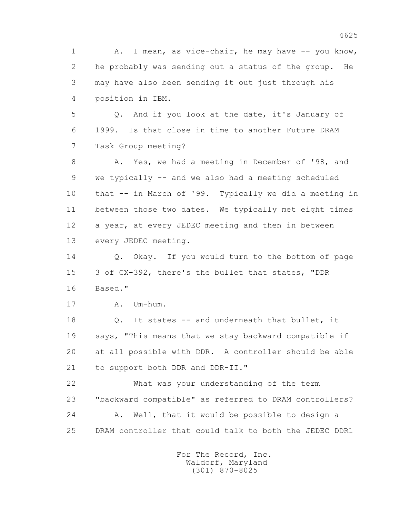1 A. I mean, as vice-chair, he may have -- you know, 2 he probably was sending out a status of the group. He 3 may have also been sending it out just through his 4 position in IBM.

 5 Q. And if you look at the date, it's January of 6 1999. Is that close in time to another Future DRAM 7 Task Group meeting?

8 A. Yes, we had a meeting in December of '98, and 9 we typically -- and we also had a meeting scheduled 10 that -- in March of '99. Typically we did a meeting in 11 between those two dates. We typically met eight times 12 a year, at every JEDEC meeting and then in between 13 every JEDEC meeting.

14 0. Okay. If you would turn to the bottom of page 15 3 of CX-392, there's the bullet that states, "DDR 16 Based."

17 A. Um-hum.

 18 Q. It states -- and underneath that bullet, it 19 says, "This means that we stay backward compatible if 20 at all possible with DDR. A controller should be able 21 to support both DDR and DDR-II."

 22 What was your understanding of the term 23 "backward compatible" as referred to DRAM controllers? 24 A. Well, that it would be possible to design a 25 DRAM controller that could talk to both the JEDEC DDR1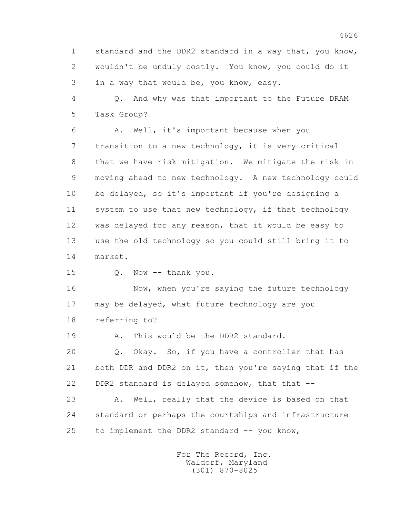1 standard and the DDR2 standard in a way that, you know, 2 wouldn't be unduly costly. You know, you could do it 3 in a way that would be, you know, easy.

 4 Q. And why was that important to the Future DRAM 5 Task Group?

 6 A. Well, it's important because when you 7 transition to a new technology, it is very critical 8 that we have risk mitigation. We mitigate the risk in 9 moving ahead to new technology. A new technology could 10 be delayed, so it's important if you're designing a 11 system to use that new technology, if that technology 12 was delayed for any reason, that it would be easy to 13 use the old technology so you could still bring it to 14 market.

15 Q. Now -- thank you.

16 Now, when you're saying the future technology 17 may be delayed, what future technology are you 18 referring to?

19 A. This would be the DDR2 standard.

 20 Q. Okay. So, if you have a controller that has 21 both DDR and DDR2 on it, then you're saying that if the 22 DDR2 standard is delayed somehow, that that --

 23 A. Well, really that the device is based on that 24 standard or perhaps the courtships and infrastructure 25 to implement the DDR2 standard -- you know,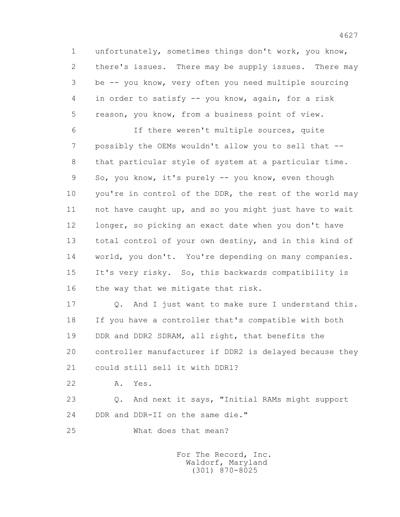1 unfortunately, sometimes things don't work, you know, 2 there's issues. There may be supply issues. There may 3 be -- you know, very often you need multiple sourcing 4 in order to satisfy -- you know, again, for a risk 5 reason, you know, from a business point of view.

 6 If there weren't multiple sources, quite 7 possibly the OEMs wouldn't allow you to sell that -- 8 that particular style of system at a particular time. 9 So, you know, it's purely -- you know, even though 10 you're in control of the DDR, the rest of the world may 11 not have caught up, and so you might just have to wait 12 longer, so picking an exact date when you don't have 13 total control of your own destiny, and in this kind of 14 world, you don't. You're depending on many companies. 15 It's very risky. So, this backwards compatibility is 16 the way that we mitigate that risk.

 17 Q. And I just want to make sure I understand this. 18 If you have a controller that's compatible with both 19 DDR and DDR2 SDRAM, all right, that benefits the 20 controller manufacturer if DDR2 is delayed because they 21 could still sell it with DDR1?

22 A. Yes.

 23 Q. And next it says, "Initial RAMs might support 24 DDR and DDR-II on the same die."

25 What does that mean?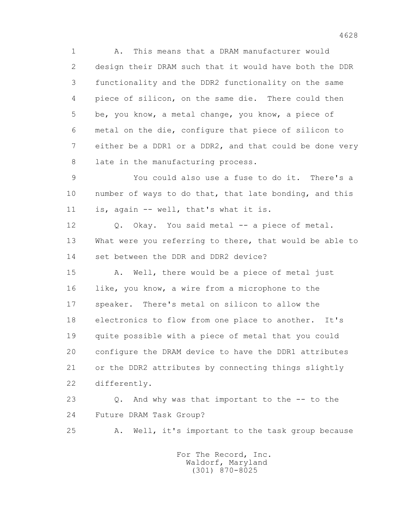1 A. This means that a DRAM manufacturer would 2 design their DRAM such that it would have both the DDR 3 functionality and the DDR2 functionality on the same 4 piece of silicon, on the same die. There could then 5 be, you know, a metal change, you know, a piece of 6 metal on the die, configure that piece of silicon to 7 either be a DDR1 or a DDR2, and that could be done very 8 late in the manufacturing process.

 9 You could also use a fuse to do it. There's a 10 number of ways to do that, that late bonding, and this 11 is, again -- well, that's what it is.

 12 Q. Okay. You said metal -- a piece of metal. 13 What were you referring to there, that would be able to 14 set between the DDR and DDR2 device?

 15 A. Well, there would be a piece of metal just 16 like, you know, a wire from a microphone to the 17 speaker. There's metal on silicon to allow the 18 electronics to flow from one place to another. It's 19 quite possible with a piece of metal that you could 20 configure the DRAM device to have the DDR1 attributes 21 or the DDR2 attributes by connecting things slightly 22 differently.

 23 Q. And why was that important to the -- to the 24 Future DRAM Task Group?

25 A. Well, it's important to the task group because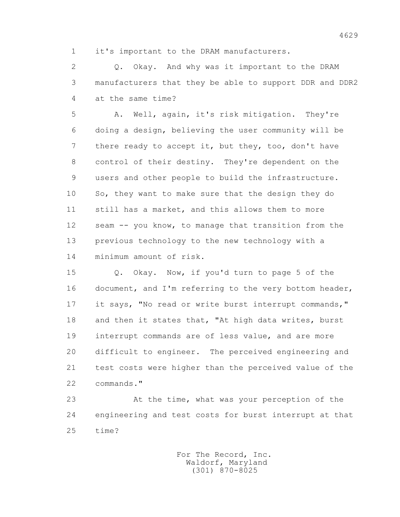1 it's important to the DRAM manufacturers.

 2 Q. Okay. And why was it important to the DRAM 3 manufacturers that they be able to support DDR and DDR2 4 at the same time?

 5 A. Well, again, it's risk mitigation. They're 6 doing a design, believing the user community will be 7 there ready to accept it, but they, too, don't have 8 control of their destiny. They're dependent on the 9 users and other people to build the infrastructure. 10 So, they want to make sure that the design they do 11 still has a market, and this allows them to more 12 seam -- you know, to manage that transition from the 13 previous technology to the new technology with a 14 minimum amount of risk.

 15 Q. Okay. Now, if you'd turn to page 5 of the 16 document, and I'm referring to the very bottom header, 17 it says, "No read or write burst interrupt commands," 18 and then it states that, "At high data writes, burst 19 interrupt commands are of less value, and are more 20 difficult to engineer. The perceived engineering and 21 test costs were higher than the perceived value of the 22 commands."

 23 At the time, what was your perception of the 24 engineering and test costs for burst interrupt at that 25 time?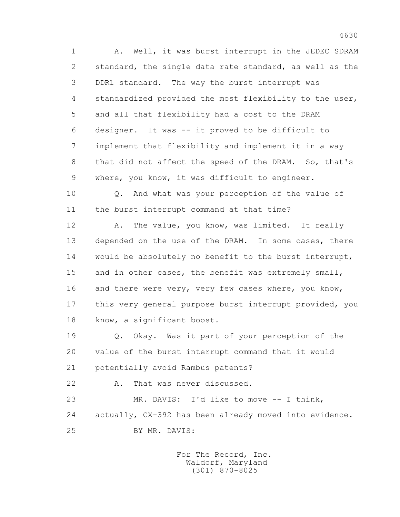1 A. Well, it was burst interrupt in the JEDEC SDRAM 2 standard, the single data rate standard, as well as the 3 DDR1 standard. The way the burst interrupt was 4 standardized provided the most flexibility to the user, 5 and all that flexibility had a cost to the DRAM 6 designer. It was -- it proved to be difficult to 7 implement that flexibility and implement it in a way 8 that did not affect the speed of the DRAM. So, that's 9 where, you know, it was difficult to engineer.

 10 Q. And what was your perception of the value of 11 the burst interrupt command at that time?

12 A. The value, you know, was limited. It really 13 depended on the use of the DRAM. In some cases, there 14 would be absolutely no benefit to the burst interrupt, 15 and in other cases, the benefit was extremely small, 16 and there were very, very few cases where, you know, 17 this very general purpose burst interrupt provided, you 18 know, a significant boost.

 19 Q. Okay. Was it part of your perception of the 20 value of the burst interrupt command that it would 21 potentially avoid Rambus patents?

22 A. That was never discussed.

 23 MR. DAVIS: I'd like to move -- I think, 24 actually, CX-392 has been already moved into evidence. 25 BY MR. DAVIS: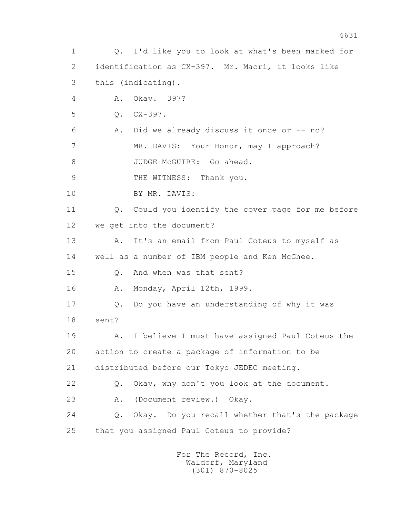1 Q. I'd like you to look at what's been marked for 2 identification as CX-397. Mr. Macri, it looks like 3 this (indicating). 4 A. Okay. 397? 5 Q. CX-397. 6 A. Did we already discuss it once or -- no? 7 MR. DAVIS: Your Honor, may I approach? 8 JUDGE McGUIRE: Go ahead. 9 THE WITNESS: Thank you. 10 BY MR. DAVIS: 11 Q. Could you identify the cover page for me before 12 we get into the document? 13 A. It's an email from Paul Coteus to myself as 14 well as a number of IBM people and Ken McGhee. 15 0. And when was that sent? 16 A. Monday, April 12th, 1999. 17 Q. Do you have an understanding of why it was 18 sent? 19 A. I believe I must have assigned Paul Coteus the 20 action to create a package of information to be 21 distributed before our Tokyo JEDEC meeting. 22 Q. Okay, why don't you look at the document. 23 A. (Document review.) Okay. 24 Q. Okay. Do you recall whether that's the package 25 that you assigned Paul Coteus to provide?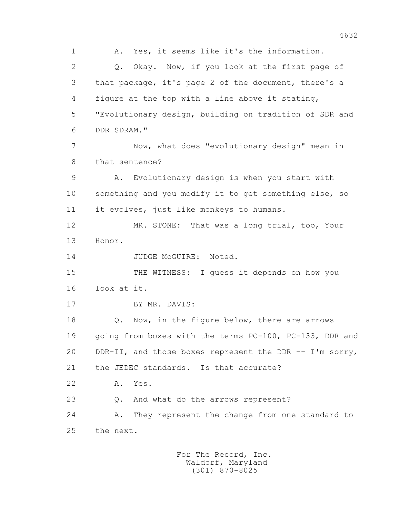1 A. Yes, it seems like it's the information. 2 Q. Okay. Now, if you look at the first page of 3 that package, it's page 2 of the document, there's a 4 figure at the top with a line above it stating, 5 "Evolutionary design, building on tradition of SDR and 6 DDR SDRAM." 7 Now, what does "evolutionary design" mean in 8 that sentence? 9 A. Evolutionary design is when you start with 10 something and you modify it to get something else, so 11 it evolves, just like monkeys to humans. 12 MR. STONE: That was a long trial, too, Your 13 Honor. 14 JUDGE McGUIRE: Noted. 15 THE WITNESS: I guess it depends on how you 16 look at it. 17 BY MR. DAVIS: 18 Q. Now, in the figure below, there are arrows 19 going from boxes with the terms PC-100, PC-133, DDR and 20 DDR-II, and those boxes represent the DDR -- I'm sorry, 21 the JEDEC standards. Is that accurate? 22 A. Yes. 23 Q. And what do the arrows represent? 24 A. They represent the change from one standard to 25 the next.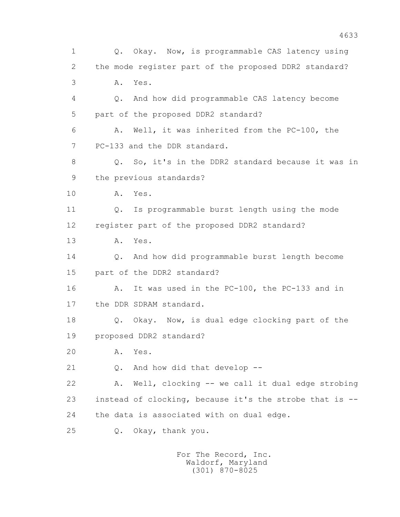1 Q. Okay. Now, is programmable CAS latency using 2 the mode register part of the proposed DDR2 standard? 3 A. Yes. 4 Q. And how did programmable CAS latency become 5 part of the proposed DDR2 standard? 6 A. Well, it was inherited from the PC-100, the 7 PC-133 and the DDR standard. 8 0. So, it's in the DDR2 standard because it was in 9 the previous standards? 10 A. Yes. 11 Q. Is programmable burst length using the mode 12 register part of the proposed DDR2 standard? 13 A. Yes. 14 Q. And how did programmable burst length become 15 part of the DDR2 standard? 16 A. It was used in the PC-100, the PC-133 and in 17 the DDR SDRAM standard. 18 Q. Okay. Now, is dual edge clocking part of the 19 proposed DDR2 standard? 20 A. Yes. 21 Q. And how did that develop -- 22 A. Well, clocking -- we call it dual edge strobing 23 instead of clocking, because it's the strobe that is -- 24 the data is associated with on dual edge. 25 Q. Okay, thank you.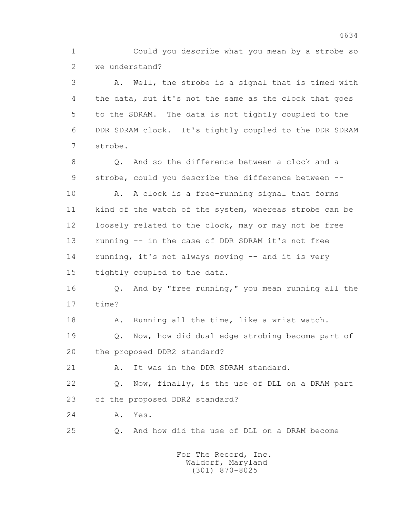1 Could you describe what you mean by a strobe so 2 we understand?

 3 A. Well, the strobe is a signal that is timed with 4 the data, but it's not the same as the clock that goes 5 to the SDRAM. The data is not tightly coupled to the 6 DDR SDRAM clock. It's tightly coupled to the DDR SDRAM 7 strobe.

8 0. And so the difference between a clock and a 9 strobe, could you describe the difference between --

 10 A. A clock is a free-running signal that forms 11 kind of the watch of the system, whereas strobe can be 12 loosely related to the clock, may or may not be free 13 running -- in the case of DDR SDRAM it's not free 14 running, it's not always moving -- and it is very 15 tightly coupled to the data.

 16 Q. And by "free running," you mean running all the 17 time?

18 A. Running all the time, like a wrist watch.

 19 Q. Now, how did dual edge strobing become part of 20 the proposed DDR2 standard?

21 A. It was in the DDR SDRAM standard.

 22 Q. Now, finally, is the use of DLL on a DRAM part 23 of the proposed DDR2 standard?

24 A. Yes.

25 Q. And how did the use of DLL on a DRAM become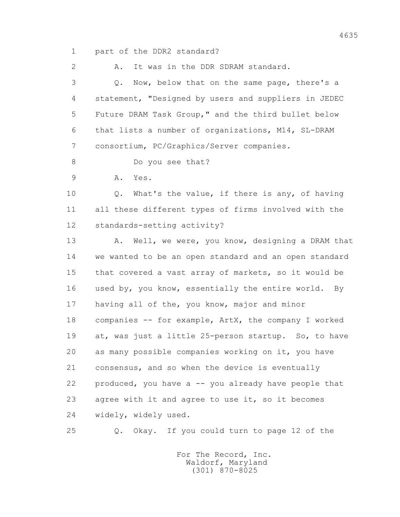1 part of the DDR2 standard?

2 A. It was in the DDR SDRAM standard.

 3 Q. Now, below that on the same page, there's a 4 statement, "Designed by users and suppliers in JEDEC 5 Future DRAM Task Group," and the third bullet below 6 that lists a number of organizations, M14, SL-DRAM 7 consortium, PC/Graphics/Server companies.

8 Do you see that?

9 A. Yes.

 10 Q. What's the value, if there is any, of having 11 all these different types of firms involved with the 12 standards-setting activity?

13 A. Well, we were, you know, designing a DRAM that 14 we wanted to be an open standard and an open standard 15 that covered a vast array of markets, so it would be 16 used by, you know, essentially the entire world. By 17 having all of the, you know, major and minor 18 companies -- for example, ArtX, the company I worked 19 at, was just a little 25-person startup. So, to have 20 as many possible companies working on it, you have 21 consensus, and so when the device is eventually 22 produced, you have a -- you already have people that 23 agree with it and agree to use it, so it becomes 24 widely, widely used.

25 Q. Okay. If you could turn to page 12 of the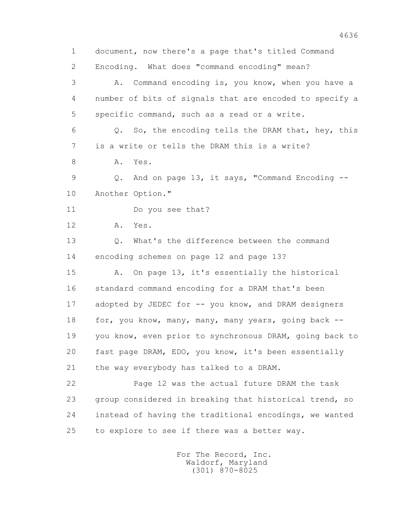1 document, now there's a page that's titled Command 2 Encoding. What does "command encoding" mean? 3 A. Command encoding is, you know, when you have a 4 number of bits of signals that are encoded to specify a 5 specific command, such as a read or a write.  $6$  Q. So, the encoding tells the DRAM that, hey, this 7 is a write or tells the DRAM this is a write? 8 A. Yes. 9 Q. And on page 13, it says, "Command Encoding -- 10 Another Option." 11 Do you see that? 12 A. Yes. 13 Q. What's the difference between the command 14 encoding schemes on page 12 and page 13? 15 A. On page 13, it's essentially the historical 16 standard command encoding for a DRAM that's been 17 adopted by JEDEC for -- you know, and DRAM designers 18 for, you know, many, many, many years, going back -- 19 you know, even prior to synchronous DRAM, going back to 20 fast page DRAM, EDO, you know, it's been essentially 21 the way everybody has talked to a DRAM. 22 Page 12 was the actual future DRAM the task 23 group considered in breaking that historical trend, so 24 instead of having the traditional encodings, we wanted 25 to explore to see if there was a better way.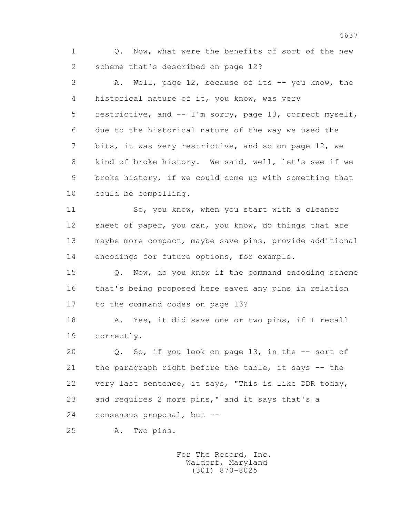1 0. Now, what were the benefits of sort of the new 2 scheme that's described on page 12?

 3 A. Well, page 12, because of its -- you know, the 4 historical nature of it, you know, was very 5 restrictive, and -- I'm sorry, page 13, correct myself, 6 due to the historical nature of the way we used the 7 bits, it was very restrictive, and so on page 12, we 8 kind of broke history. We said, well, let's see if we 9 broke history, if we could come up with something that 10 could be compelling.

 11 So, you know, when you start with a cleaner 12 sheet of paper, you can, you know, do things that are 13 maybe more compact, maybe save pins, provide additional 14 encodings for future options, for example.

 15 Q. Now, do you know if the command encoding scheme 16 that's being proposed here saved any pins in relation 17 to the command codes on page 13?

 18 A. Yes, it did save one or two pins, if I recall 19 correctly.

 20 Q. So, if you look on page 13, in the -- sort of 21 the paragraph right before the table, it says -- the 22 very last sentence, it says, "This is like DDR today, 23 and requires 2 more pins," and it says that's a 24 consensus proposal, but --

25 A. Two pins.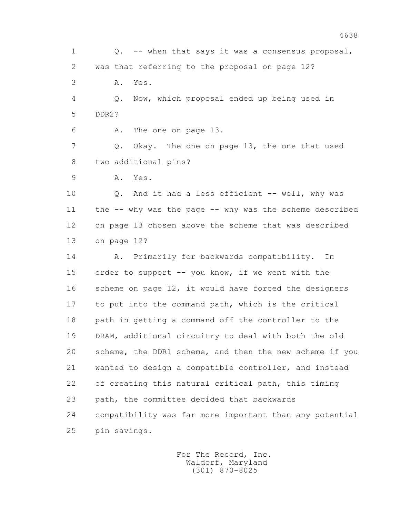1 Q. -- when that says it was a consensus proposal, 2 was that referring to the proposal on page 12? 3 A. Yes. 4 Q. Now, which proposal ended up being used in 5 DDR2? 6 A. The one on page 13. 7 Q. Okay. The one on page 13, the one that used 8 two additional pins? 9 A. Yes. 10 Q. And it had a less efficient -- well, why was 11 the -- why was the page -- why was the scheme described 12 on page 13 chosen above the scheme that was described 13 on page 12? 14 A. Primarily for backwards compatibility. In 15 order to support -- you know, if we went with the 16 scheme on page 12, it would have forced the designers 17 to put into the command path, which is the critical 18 path in getting a command off the controller to the 19 DRAM, additional circuitry to deal with both the old 20 scheme, the DDR1 scheme, and then the new scheme if you 21 wanted to design a compatible controller, and instead 22 of creating this natural critical path, this timing 23 path, the committee decided that backwards 24 compatibility was far more important than any potential 25 pin savings.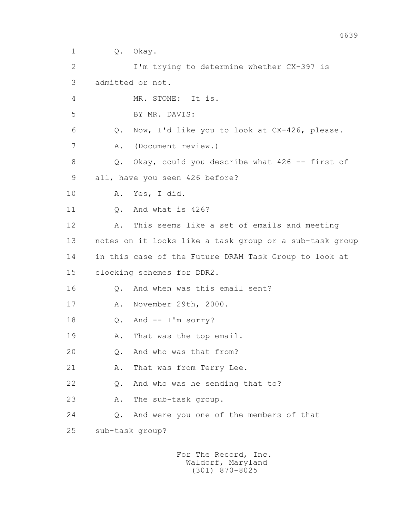1 Q. Okay. 2 I'm trying to determine whether CX-397 is 3 admitted or not. 4 MR. STONE: It is. 5 BY MR. DAVIS: 6 Q. Now, I'd like you to look at CX-426, please. 7 A. (Document review.) 8 Q. Okay, could you describe what 426 -- first of 9 all, have you seen 426 before? 10 A. Yes, I did. 11 Q. And what is 426? 12 A. This seems like a set of emails and meeting 13 notes on it looks like a task group or a sub-task group 14 in this case of the Future DRAM Task Group to look at 15 clocking schemes for DDR2. 16 0. And when was this email sent? 17 A. November 29th, 2000. 18 Q. And -- I'm sorry? 19 A. That was the top email. 20 Q. And who was that from? 21 A. That was from Terry Lee. 22 Q. And who was he sending that to? 23 A. The sub-task group. 24 Q. And were you one of the members of that 25 sub-task group?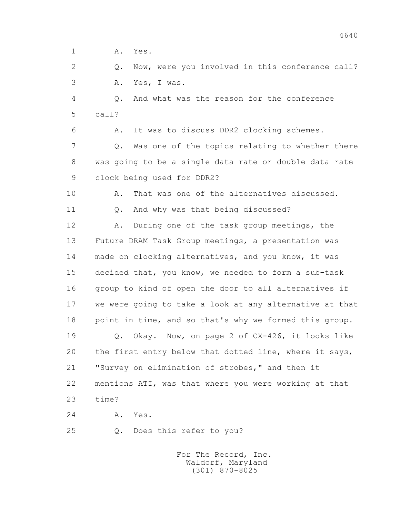1 **A.** Yes.

 2 Q. Now, were you involved in this conference call? 3 A. Yes, I was.

 4 Q. And what was the reason for the conference 5 call?

 6 A. It was to discuss DDR2 clocking schemes. 7 Q. Was one of the topics relating to whether there 8 was going to be a single data rate or double data rate 9 clock being used for DDR2?

10 A. That was one of the alternatives discussed.

11 Q. And why was that being discussed?

 12 A. During one of the task group meetings, the 13 Future DRAM Task Group meetings, a presentation was 14 made on clocking alternatives, and you know, it was 15 decided that, you know, we needed to form a sub-task 16 group to kind of open the door to all alternatives if 17 we were going to take a look at any alternative at that 18 point in time, and so that's why we formed this group.

 19 Q. Okay. Now, on page 2 of CX-426, it looks like 20 the first entry below that dotted line, where it says, 21 "Survey on elimination of strobes," and then it 22 mentions ATI, was that where you were working at that 23 time?

24 A. Yes.

25 Q. Does this refer to you?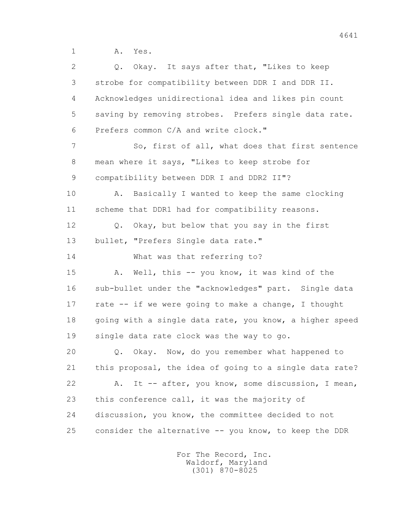1 A. Yes.

 2 Q. Okay. It says after that, "Likes to keep 3 strobe for compatibility between DDR I and DDR II. 4 Acknowledges unidirectional idea and likes pin count 5 saving by removing strobes. Prefers single data rate. 6 Prefers common C/A and write clock." 7 So, first of all, what does that first sentence 8 mean where it says, "Likes to keep strobe for 9 compatibility between DDR I and DDR2 II"? 10 A. Basically I wanted to keep the same clocking 11 scheme that DDR1 had for compatibility reasons. 12 Q. Okay, but below that you say in the first 13 bullet, "Prefers Single data rate." 14 What was that referring to? 15 A. Well, this -- you know, it was kind of the 16 sub-bullet under the "acknowledges" part. Single data 17 rate -- if we were going to make a change, I thought 18 going with a single data rate, you know, a higher speed 19 single data rate clock was the way to go. 20 Q. Okay. Now, do you remember what happened to 21 this proposal, the idea of going to a single data rate? 22 A. It -- after, you know, some discussion, I mean, 23 this conference call, it was the majority of 24 discussion, you know, the committee decided to not 25 consider the alternative -- you know, to keep the DDR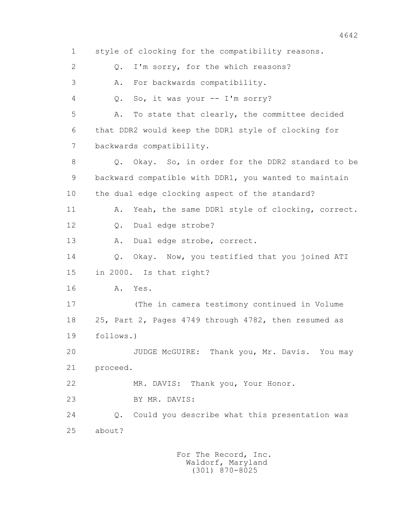1 style of clocking for the compatibility reasons. 2 0. I'm sorry, for the which reasons? 3 A. For backwards compatibility. 4 Q. So, it was your -- I'm sorry? 5 A. To state that clearly, the committee decided 6 that DDR2 would keep the DDR1 style of clocking for 7 backwards compatibility. 8 Q. Okay. So, in order for the DDR2 standard to be 9 backward compatible with DDR1, you wanted to maintain 10 the dual edge clocking aspect of the standard? 11 A. Yeah, the same DDR1 style of clocking, correct. 12 Q. Dual edge strobe? 13 A. Dual edge strobe, correct. 14 Q. Okay. Now, you testified that you joined ATI 15 in 2000. Is that right? 16 A. Yes. 17 (The in camera testimony continued in Volume 18 25, Part 2, Pages 4749 through 4782, then resumed as 19 follows.) 20 JUDGE McGUIRE: Thank you, Mr. Davis. You may 21 proceed. 22 MR. DAVIS: Thank you, Your Honor. 23 BY MR. DAVIS: 24 Q. Could you describe what this presentation was 25 about?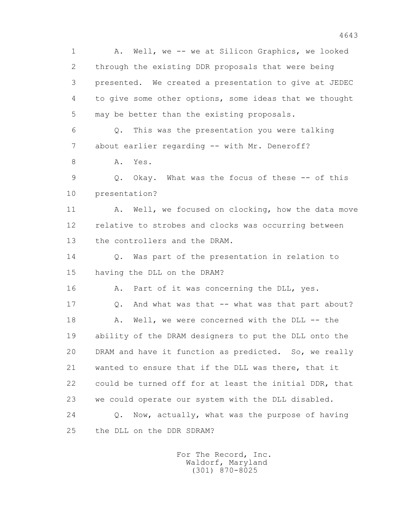1 A. Well, we -- we at Silicon Graphics, we looked 2 through the existing DDR proposals that were being 3 presented. We created a presentation to give at JEDEC 4 to give some other options, some ideas that we thought 5 may be better than the existing proposals. 6 Q. This was the presentation you were talking 7 about earlier regarding -- with Mr. Deneroff? 8 A. Yes. 9 Q. Okay. What was the focus of these -- of this 10 presentation? 11 A. Well, we focused on clocking, how the data move 12 relative to strobes and clocks was occurring between 13 the controllers and the DRAM. 14 Q. Was part of the presentation in relation to 15 having the DLL on the DRAM? 16 A. Part of it was concerning the DLL, yes. 17 Q. And what was that -- what was that part about? 18 A. Well, we were concerned with the DLL -- the 19 ability of the DRAM designers to put the DLL onto the 20 DRAM and have it function as predicted. So, we really 21 wanted to ensure that if the DLL was there, that it 22 could be turned off for at least the initial DDR, that 23 we could operate our system with the DLL disabled. 24 Q. Now, actually, what was the purpose of having 25 the DLL on the DDR SDRAM?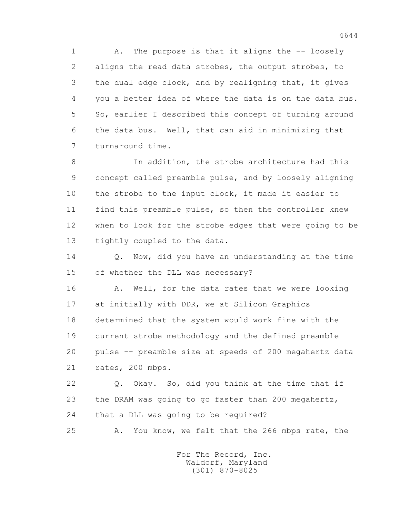1 A. The purpose is that it aligns the -- loosely 2 aligns the read data strobes, the output strobes, to 3 the dual edge clock, and by realigning that, it gives 4 you a better idea of where the data is on the data bus. 5 So, earlier I described this concept of turning around 6 the data bus. Well, that can aid in minimizing that 7 turnaround time.

 8 In addition, the strobe architecture had this 9 concept called preamble pulse, and by loosely aligning 10 the strobe to the input clock, it made it easier to 11 find this preamble pulse, so then the controller knew 12 when to look for the strobe edges that were going to be 13 tightly coupled to the data.

14 0. Now, did you have an understanding at the time 15 of whether the DLL was necessary?

16 A. Well, for the data rates that we were looking 17 at initially with DDR, we at Silicon Graphics 18 determined that the system would work fine with the 19 current strobe methodology and the defined preamble 20 pulse -- preamble size at speeds of 200 megahertz data 21 rates, 200 mbps.

 22 Q. Okay. So, did you think at the time that if 23 the DRAM was going to go faster than 200 megahertz, 24 that a DLL was going to be required?

25 A. You know, we felt that the 266 mbps rate, the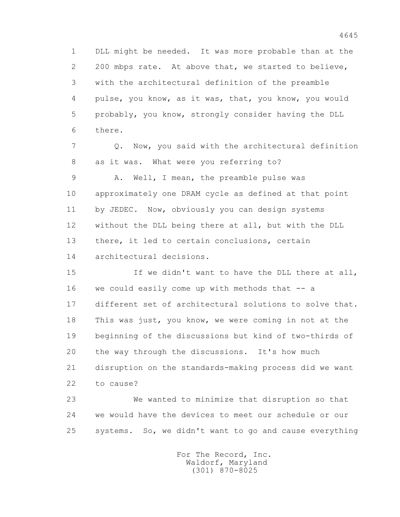1 DLL might be needed. It was more probable than at the 2 200 mbps rate. At above that, we started to believe, 3 with the architectural definition of the preamble 4 pulse, you know, as it was, that, you know, you would 5 probably, you know, strongly consider having the DLL 6 there.

 7 Q. Now, you said with the architectural definition 8 as it was. What were you referring to?

 9 A. Well, I mean, the preamble pulse was 10 approximately one DRAM cycle as defined at that point 11 by JEDEC. Now, obviously you can design systems 12 without the DLL being there at all, but with the DLL 13 there, it led to certain conclusions, certain 14 architectural decisions.

 15 If we didn't want to have the DLL there at all, 16 we could easily come up with methods that -- a 17 different set of architectural solutions to solve that. 18 This was just, you know, we were coming in not at the 19 beginning of the discussions but kind of two-thirds of 20 the way through the discussions. It's how much 21 disruption on the standards-making process did we want 22 to cause?

 23 We wanted to minimize that disruption so that 24 we would have the devices to meet our schedule or our 25 systems. So, we didn't want to go and cause everything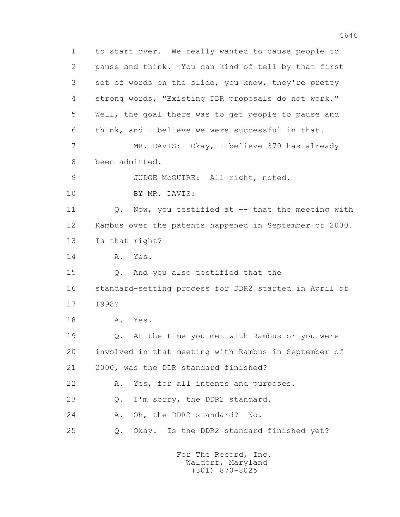1 to start over. We really wanted to cause people to 2 pause and think. You can kind of tell by that first 3 set of words on the slide, you know, they're pretty 4 strong words, "Existing DDR proposals do not work." 5 Well, the goal there was to get people to pause and 6 think, and I believe we were successful in that. 7 MR. DAVIS: Okay, I believe 370 has already 8 been admitted. 9 JUDGE McGUIRE: All right, noted. 10 BY MR. DAVIS: 11 Q. Now, you testified at -- that the meeting with 12 Rambus over the patents happened in September of 2000. 13 Is that right? 14 A. Yes. 15 Q. And you also testified that the 16 standard-setting process for DDR2 started in April of 17 1998? 18 A. Yes. 19 Q. At the time you met with Rambus or you were 20 involved in that meeting with Rambus in September of 21 2000, was the DDR standard finished? 22 A. Yes, for all intents and purposes. 23 Q. I'm sorry, the DDR2 standard. 24 A. Oh, the DDR2 standard? No. 25 Q. Okay. Is the DDR2 standard finished yet?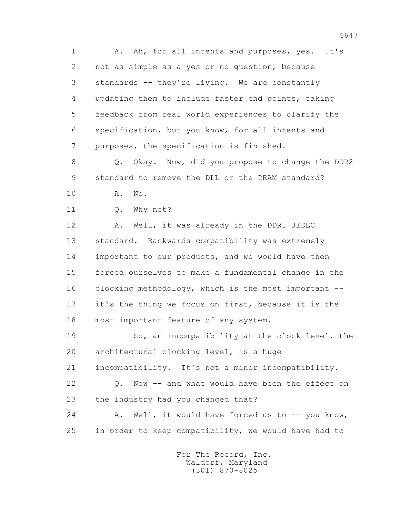1 A. Ah, for all intents and purposes, yes. It's 2 not as simple as a yes or no question, because 3 standards -- they're living. We are constantly 4 updating them to include faster end points, taking 5 feedback from real world experiences to clarify the 6 specification, but you know, for all intents and 7 purposes, the specification is finished.

 8 Q. Okay. Now, did you propose to change the DDR2 9 standard to remove the DLL or the DRAM standard? 10 A. No.

11 0. Why not?

 12 A. Well, it was already in the DDR1 JEDEC 13 standard. Backwards compatibility was extremely 14 important to our products, and we would have then 15 forced ourselves to make a fundamental change in the 16 clocking methodology, which is the most important -- 17 it's the thing we focus on first, because it is the 18 most important feature of any system.

 19 So, an incompatibility at the clock level, the 20 architectural clocking level, is a huge

21 incompatibility. It's not a minor incompatibility.

 22 Q. Now -- and what would have been the effect on 23 the industry had you changed that?

24 A. Well, it would have forced us to -- you know, 25 in order to keep compatibility, we would have had to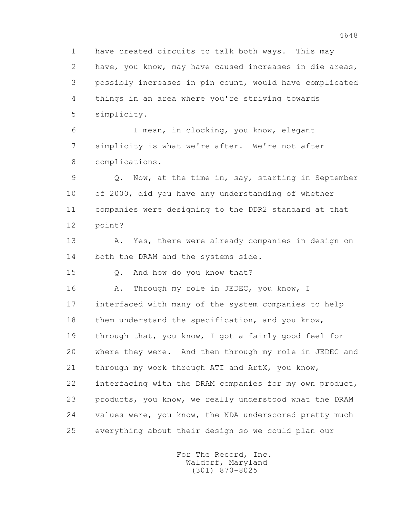1 have created circuits to talk both ways. This may 2 have, you know, may have caused increases in die areas, 3 possibly increases in pin count, would have complicated 4 things in an area where you're striving towards 5 simplicity.

 6 I mean, in clocking, you know, elegant 7 simplicity is what we're after. We're not after 8 complications.

 9 Q. Now, at the time in, say, starting in September 10 of 2000, did you have any understanding of whether 11 companies were designing to the DDR2 standard at that 12 point?

 13 A. Yes, there were already companies in design on 14 both the DRAM and the systems side.

15 Q. And how do you know that?

16 A. Through my role in JEDEC, you know, I 17 interfaced with many of the system companies to help 18 them understand the specification, and you know, 19 through that, you know, I got a fairly good feel for 20 where they were. And then through my role in JEDEC and 21 through my work through ATI and ArtX, you know, 22 interfacing with the DRAM companies for my own product, 23 products, you know, we really understood what the DRAM 24 values were, you know, the NDA underscored pretty much 25 everything about their design so we could plan our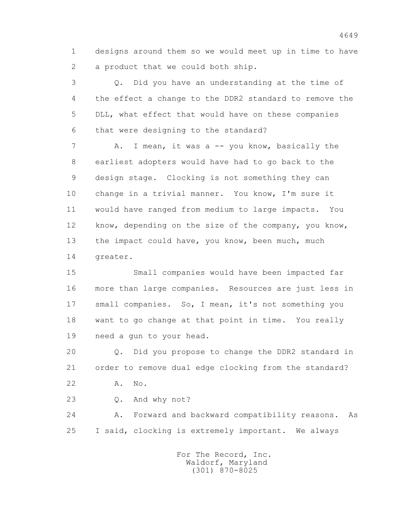1 designs around them so we would meet up in time to have 2 a product that we could both ship.

 3 Q. Did you have an understanding at the time of 4 the effect a change to the DDR2 standard to remove the 5 DLL, what effect that would have on these companies 6 that were designing to the standard?

7 A. I mean, it was a -- you know, basically the 8 earliest adopters would have had to go back to the 9 design stage. Clocking is not something they can 10 change in a trivial manner. You know, I'm sure it 11 would have ranged from medium to large impacts. You 12 know, depending on the size of the company, you know, 13 the impact could have, you know, been much, much 14 greater.

 15 Small companies would have been impacted far 16 more than large companies. Resources are just less in 17 small companies. So, I mean, it's not something you 18 want to go change at that point in time. You really 19 need a gun to your head.

 20 Q. Did you propose to change the DDR2 standard in 21 order to remove dual edge clocking from the standard? 22 A. No.

23 Q. And why not?

 24 A. Forward and backward compatibility reasons. As 25 I said, clocking is extremely important. We always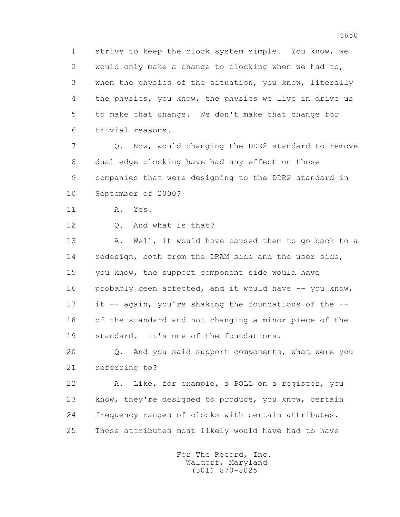1 strive to keep the clock system simple. You know, we 2 would only make a change to clocking when we had to, 3 when the physics of the situation, you know, literally 4 the physics, you know, the physics we live in drive us 5 to make that change. We don't make that change for 6 trivial reasons.

 7 Q. Now, would changing the DDR2 standard to remove 8 dual edge clocking have had any effect on those 9 companies that were designing to the DDR2 standard in 10 September of 2000?

11 A. Yes.

12 Q. And what is that?

13 A. Well, it would have caused them to go back to a 14 redesign, both from the DRAM side and the user side, 15 you know, the support component side would have 16 probably been affected, and it would have -- you know, 17 it -- again, you're shaking the foundations of the -- 18 of the standard and not changing a minor piece of the 19 standard. It's one of the foundations.

 20 Q. And you said support components, what were you 21 referring to?

 22 A. Like, for example, a POLL on a register, you 23 know, they're designed to produce, you know, certain 24 frequency ranges of clocks with certain attributes. 25 Those attributes most likely would have had to have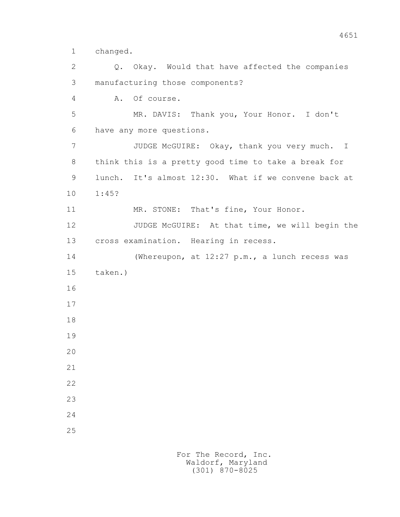1 changed.

 2 Q. Okay. Would that have affected the companies 3 manufacturing those components? 4 A. Of course. 5 MR. DAVIS: Thank you, Your Honor. I don't 6 have any more questions. 7 JUDGE McGUIRE: Okay, thank you very much. I 8 think this is a pretty good time to take a break for 9 lunch. It's almost 12:30. What if we convene back at 10 1:45? 11 MR. STONE: That's fine, Your Honor. 12 JUDGE McGUIRE: At that time, we will begin the 13 cross examination. Hearing in recess. 14 (Whereupon, at 12:27 p.m., a lunch recess was 15 taken.) 16 17 18 19 20 21 22 23 24 25 For The Record, Inc. Waldorf, Maryland (301) 870-8025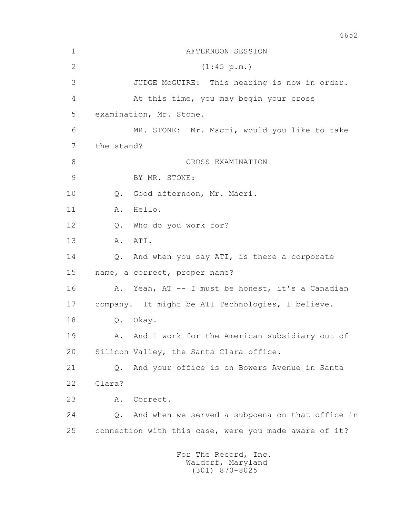| $\mathbf 1$  | AFTERNOON SESSION                                                |
|--------------|------------------------------------------------------------------|
| $\mathbf{2}$ | (1:45 p.m.)                                                      |
| 3            | JUDGE McGUIRE: This hearing is now in order.                     |
| 4            | At this time, you may begin your cross                           |
| 5            | examination, Mr. Stone.                                          |
| 6            | MR. STONE: Mr. Macri, would you like to take                     |
| 7            | the stand?                                                       |
| 8            | CROSS EXAMINATION                                                |
| 9            | BY MR. STONE:                                                    |
| 10           | Good afternoon, Mr. Macri.<br>Q.                                 |
| 11           | Hello.<br>Α.                                                     |
| 12           | Who do you work for?<br>Q.                                       |
| 13           | ATI.<br>Α.                                                       |
| 14           | And when you say ATI, is there a corporate<br>Q.                 |
| 15           | name, a correct, proper name?                                    |
| 16           | Yeah, AT -- I must be honest, it's a Canadian<br>Α.              |
| 17           | company. It might be ATI Technologies, I believe.                |
| 18           | $\mathbb Q$ .<br>Okay.                                           |
| 19           | And I work for the American subsidiary out of<br>Α.              |
| 20           | Silicon Valley, the Santa Clara office.                          |
| 21           | $Q_{\bullet}$<br>And your office is on Bowers Avenue in Santa    |
| 22           | Clara?                                                           |
| 23           | Correct.<br>Α.                                                   |
| 24           | And when we served a subpoena on that office in<br>$Q_{\bullet}$ |
| 25           | connection with this case, were you made aware of it?            |
|              | For The Record, Inc.<br>Waldorf, Maryland                        |

4652

(301) 870-8025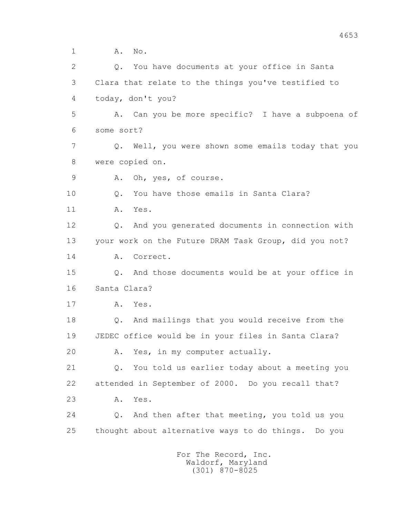1 **A.** No.

 2 Q. You have documents at your office in Santa 3 Clara that relate to the things you've testified to 4 today, don't you? 5 A. Can you be more specific? I have a subpoena of 6 some sort? 7 Q. Well, you were shown some emails today that you 8 were copied on. 9 A. Oh, yes, of course. 10 Q. You have those emails in Santa Clara? 11 A. Yes. 12 Q. And you generated documents in connection with 13 your work on the Future DRAM Task Group, did you not? 14 A. Correct. 15 Q. And those documents would be at your office in 16 Santa Clara? 17 A. Yes. 18 Q. And mailings that you would receive from the 19 JEDEC office would be in your files in Santa Clara? 20 A. Yes, in my computer actually. 21 Q. You told us earlier today about a meeting you 22 attended in September of 2000. Do you recall that? 23 A. Yes. 24 Q. And then after that meeting, you told us you 25 thought about alternative ways to do things. Do you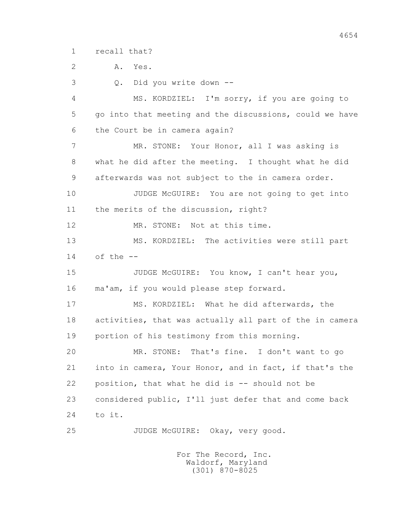1 recall that?

2 A. Yes.

 3 Q. Did you write down -- 4 MS. KORDZIEL: I'm sorry, if you are going to 5 go into that meeting and the discussions, could we have 6 the Court be in camera again? 7 MR. STONE: Your Honor, all I was asking is 8 what he did after the meeting. I thought what he did 9 afterwards was not subject to the in camera order. 10 JUDGE McGUIRE: You are not going to get into 11 the merits of the discussion, right? 12 MR. STONE: Not at this time. 13 MS. KORDZIEL: The activities were still part  $14$  of the  $-$ 15 JUDGE McGUIRE: You know, I can't hear you, 16 ma'am, if you would please step forward. 17 MS. KORDZIEL: What he did afterwards, the 18 activities, that was actually all part of the in camera 19 portion of his testimony from this morning. 20 MR. STONE: That's fine. I don't want to go 21 into in camera, Your Honor, and in fact, if that's the 22 position, that what he did is -- should not be 23 considered public, I'll just defer that and come back 24 to it. 25 JUDGE McGUIRE: Okay, very good.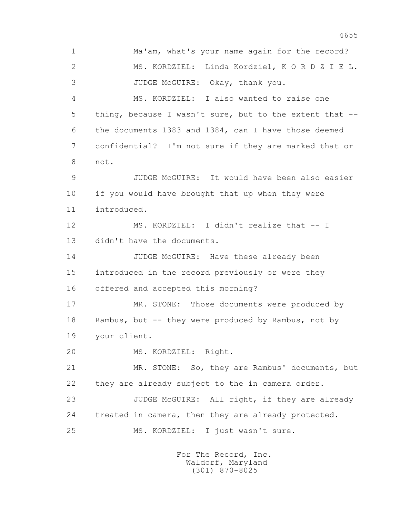1 Ma'am, what's your name again for the record? 2 MS. KORDZIEL: Linda Kordziel, K O R D Z I E L. 3 JUDGE McGUIRE: Okay, thank you. 4 MS. KORDZIEL: I also wanted to raise one 5 thing, because I wasn't sure, but to the extent that -- 6 the documents 1383 and 1384, can I have those deemed 7 confidential? I'm not sure if they are marked that or 8 not. 9 JUDGE McGUIRE: It would have been also easier 10 if you would have brought that up when they were 11 introduced. 12 MS. KORDZIEL: I didn't realize that -- I 13 didn't have the documents. 14 JUDGE McGUIRE: Have these already been 15 introduced in the record previously or were they 16 offered and accepted this morning? 17 MR. STONE: Those documents were produced by 18 Rambus, but -- they were produced by Rambus, not by 19 your client. 20 MS. KORDZIEL: Right. 21 MR. STONE: So, they are Rambus' documents, but 22 they are already subject to the in camera order. 23 JUDGE McGUIRE: All right, if they are already 24 treated in camera, then they are already protected. 25 MS. KORDZIEL: I just wasn't sure. For The Record, Inc.

 Waldorf, Maryland (301) 870-8025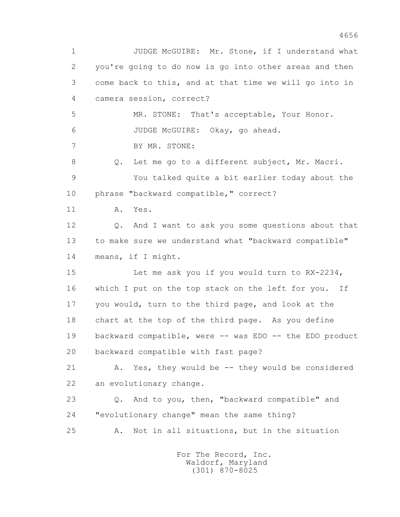1 JUDGE McGUIRE: Mr. Stone, if I understand what 2 you're going to do now is go into other areas and then 3 come back to this, and at that time we will go into in 4 camera session, correct? 5 MR. STONE: That's acceptable, Your Honor. 6 JUDGE McGUIRE: Okay, go ahead. 7 BY MR. STONE: 8 Q. Let me go to a different subject, Mr. Macri. 9 You talked quite a bit earlier today about the 10 phrase "backward compatible," correct? 11 A. Yes. 12 Q. And I want to ask you some questions about that 13 to make sure we understand what "backward compatible" 14 means, if I might. 15 Let me ask you if you would turn to RX-2234, 16 which I put on the top stack on the left for you. If 17 you would, turn to the third page, and look at the 18 chart at the top of the third page. As you define 19 backward compatible, were -- was EDO -- the EDO product 20 backward compatible with fast page? 21 A. Yes, they would be -- they would be considered 22 an evolutionary change. 23 Q. And to you, then, "backward compatible" and 24 "evolutionary change" mean the same thing? 25 A. Not in all situations, but in the situation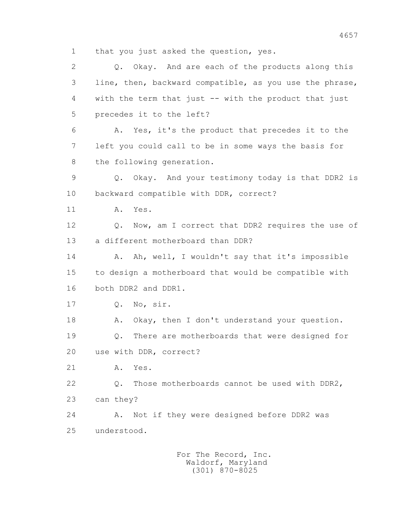1 that you just asked the question, yes.

2 0. Okay. And are each of the products along this 3 line, then, backward compatible, as you use the phrase, 4 with the term that just -- with the product that just 5 precedes it to the left? 6 A. Yes, it's the product that precedes it to the 7 left you could call to be in some ways the basis for 8 the following generation. 9 Q. Okay. And your testimony today is that DDR2 is 10 backward compatible with DDR, correct? 11 A. Yes. 12 Q. Now, am I correct that DDR2 requires the use of 13 a different motherboard than DDR? 14 A. Ah, well, I wouldn't say that it's impossible 15 to design a motherboard that would be compatible with 16 both DDR2 and DDR1. 17 Q. No, sir. 18 A. Okay, then I don't understand your question. 19 Q. There are motherboards that were designed for 20 use with DDR, correct? 21 A. Yes. 22 Q. Those motherboards cannot be used with DDR2, 23 can they? 24 A. Not if they were designed before DDR2 was 25 understood.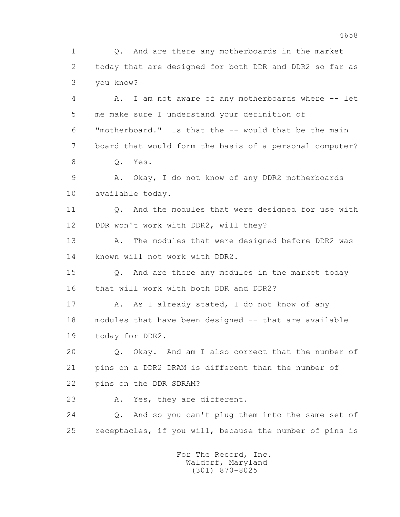1 Q. And are there any motherboards in the market 2 today that are designed for both DDR and DDR2 so far as 3 you know?

 4 A. I am not aware of any motherboards where -- let 5 me make sure I understand your definition of 6 "motherboard." Is that the -- would that be the main 7 board that would form the basis of a personal computer? 8 Q. Yes.

 9 A. Okay, I do not know of any DDR2 motherboards 10 available today.

11 0. And the modules that were designed for use with 12 DDR won't work with DDR2, will they?

13 A. The modules that were designed before DDR2 was 14 known will not work with DDR2.

 15 Q. And are there any modules in the market today 16 that will work with both DDR and DDR2?

17 A. As I already stated, I do not know of any 18 modules that have been designed -- that are available 19 today for DDR2.

 20 Q. Okay. And am I also correct that the number of 21 pins on a DDR2 DRAM is different than the number of 22 pins on the DDR SDRAM?

23 A. Yes, they are different.

 24 Q. And so you can't plug them into the same set of 25 receptacles, if you will, because the number of pins is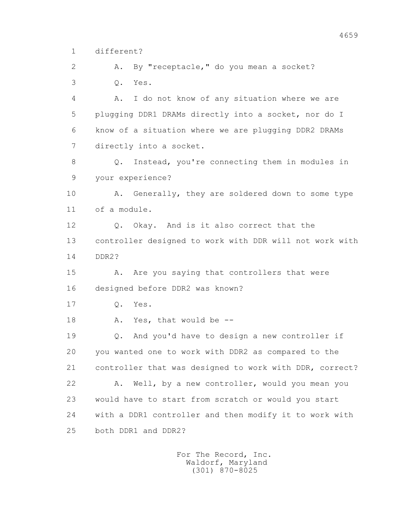1 different?

 2 A. By "receptacle," do you mean a socket? 3 Q. Yes.

 4 A. I do not know of any situation where we are 5 plugging DDR1 DRAMs directly into a socket, nor do I 6 know of a situation where we are plugging DDR2 DRAMs 7 directly into a socket.

 8 Q. Instead, you're connecting them in modules in 9 your experience?

 10 A. Generally, they are soldered down to some type 11 of a module.

 12 Q. Okay. And is it also correct that the 13 controller designed to work with DDR will not work with 14 DDR2?

15 A. Are you saying that controllers that were 16 designed before DDR2 was known?

17 Q. Yes.

18 A. Yes, that would be --

 19 Q. And you'd have to design a new controller if 20 you wanted one to work with DDR2 as compared to the 21 controller that was designed to work with DDR, correct? 22 A. Well, by a new controller, would you mean you 23 would have to start from scratch or would you start 24 with a DDR1 controller and then modify it to work with 25 both DDR1 and DDR2?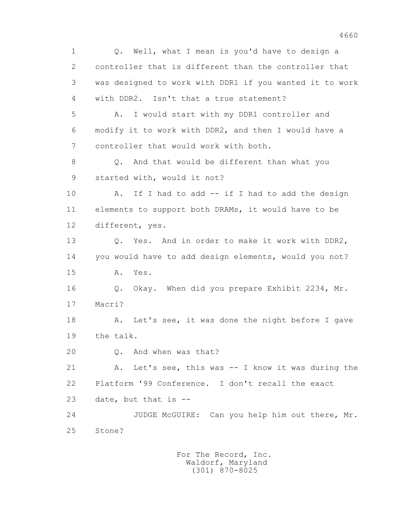1 Q. Well, what I mean is you'd have to design a 2 controller that is different than the controller that 3 was designed to work with DDR1 if you wanted it to work 4 with DDR2. Isn't that a true statement? 5 A. I would start with my DDR1 controller and 6 modify it to work with DDR2, and then I would have a 7 controller that would work with both. 8 0. And that would be different than what you 9 started with, would it not? 10 A. If I had to add -- if I had to add the design 11 elements to support both DRAMs, it would have to be 12 different, yes. 13 Q. Yes. And in order to make it work with DDR2, 14 you would have to add design elements, would you not? 15 A. Yes. 16 Q. Okay. When did you prepare Exhibit 2234, Mr. 17 Macri? 18 A. Let's see, it was done the night before I gave 19 the talk. 20 Q. And when was that? 21 A. Let's see, this was -- I know it was during the 22 Platform '99 Conference. I don't recall the exact 23 date, but that is -- 24 JUDGE McGUIRE: Can you help him out there, Mr. 25 Stone?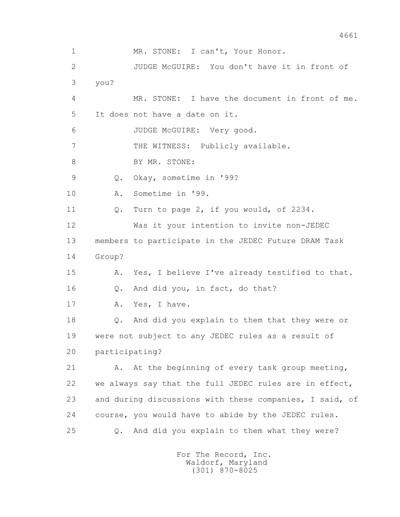1 MR. STONE: I can't, Your Honor. 2 JUDGE McGUIRE: You don't have it in front of 3 you? 4 MR. STONE: I have the document in front of me. 5 It does not have a date on it. 6 JUDGE McGUIRE: Very good. 7 THE WITNESS: Publicly available. 8 BY MR. STONE: 9 Q. Okay, sometime in '99? 10 A. Sometime in '99. 11 Q. Turn to page 2, if you would, of 2234. 12 Was it your intention to invite non-JEDEC 13 members to participate in the JEDEC Future DRAM Task 14 Group? 15 A. Yes, I believe I've already testified to that. 16 Q. And did you, in fact, do that? 17 A. Yes, I have. 18 Q. And did you explain to them that they were or 19 were not subject to any JEDEC rules as a result of 20 participating? 21 A. At the beginning of every task group meeting, 22 we always say that the full JEDEC rules are in effect, 23 and during discussions with these companies, I said, of 24 course, you would have to abide by the JEDEC rules. 25 Q. And did you explain to them what they were?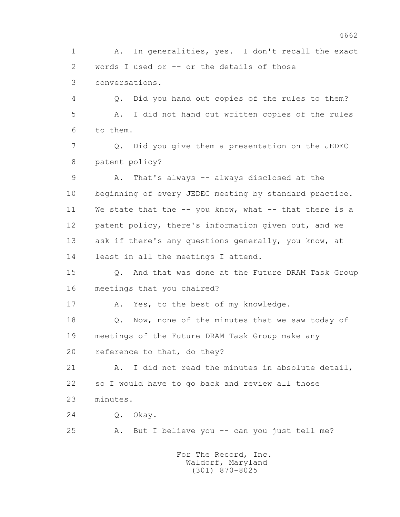1 A. In generalities, yes. I don't recall the exact 2 words I used or -- or the details of those 3 conversations.

 4 Q. Did you hand out copies of the rules to them? 5 A. I did not hand out written copies of the rules 6 to them.

 7 Q. Did you give them a presentation on the JEDEC 8 patent policy?

 9 A. That's always -- always disclosed at the 10 beginning of every JEDEC meeting by standard practice. 11 We state that the -- you know, what -- that there is a 12 patent policy, there's information given out, and we 13 ask if there's any questions generally, you know, at 14 least in all the meetings I attend.

 15 Q. And that was done at the Future DRAM Task Group 16 meetings that you chaired?

17 A. Yes, to the best of my knowledge.

18 Q. Now, none of the minutes that we saw today of 19 meetings of the Future DRAM Task Group make any 20 reference to that, do they?

21 A. I did not read the minutes in absolute detail, 22 so I would have to go back and review all those 23 minutes.

24 Q. Okay.

25 A. But I believe you -- can you just tell me?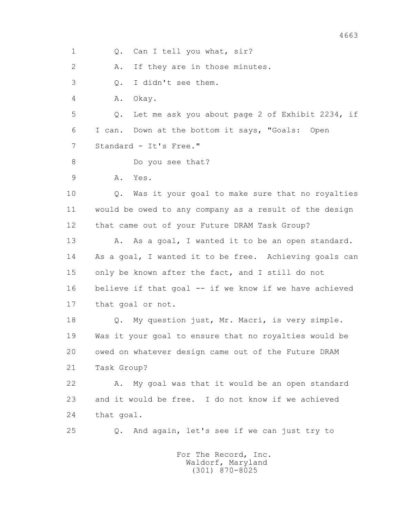1 Q. Can I tell you what, sir?

2 A. If they are in those minutes.

3 Q. I didn't see them.

4 A. Okay.

 5 Q. Let me ask you about page 2 of Exhibit 2234, if 6 I can. Down at the bottom it says, "Goals: Open 7 Standard - It's Free."

8 Do you see that?

9 A. Yes.

 10 Q. Was it your goal to make sure that no royalties 11 would be owed to any company as a result of the design 12 that came out of your Future DRAM Task Group?

13 A. As a goal, I wanted it to be an open standard. 14 As a goal, I wanted it to be free. Achieving goals can 15 only be known after the fact, and I still do not 16 believe if that goal -- if we know if we have achieved 17 that goal or not.

 18 Q. My question just, Mr. Macri, is very simple. 19 Was it your goal to ensure that no royalties would be 20 owed on whatever design came out of the Future DRAM 21 Task Group?

 22 A. My goal was that it would be an open standard 23 and it would be free. I do not know if we achieved 24 that goal.

25 Q. And again, let's see if we can just try to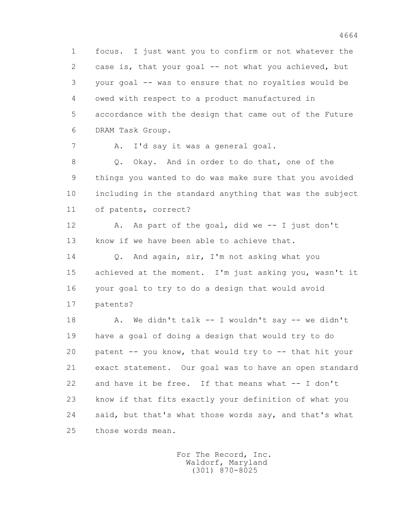1 focus. I just want you to confirm or not whatever the 2 case is, that your goal -- not what you achieved, but 3 your goal -- was to ensure that no royalties would be 4 owed with respect to a product manufactured in 5 accordance with the design that came out of the Future 6 DRAM Task Group.

7 A. I'd say it was a general goal.

 8 Q. Okay. And in order to do that, one of the 9 things you wanted to do was make sure that you avoided 10 including in the standard anything that was the subject 11 of patents, correct?

 12 A. As part of the goal, did we -- I just don't 13 know if we have been able to achieve that.

 14 Q. And again, sir, I'm not asking what you 15 achieved at the moment. I'm just asking you, wasn't it 16 your goal to try to do a design that would avoid 17 patents?

 18 A. We didn't talk -- I wouldn't say -- we didn't 19 have a goal of doing a design that would try to do 20 patent -- you know, that would try to -- that hit your 21 exact statement. Our goal was to have an open standard 22 and have it be free. If that means what -- I don't 23 know if that fits exactly your definition of what you 24 said, but that's what those words say, and that's what 25 those words mean.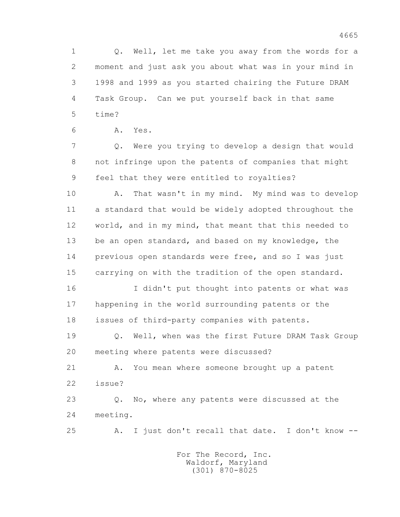1 Q. Well, let me take you away from the words for a 2 moment and just ask you about what was in your mind in 3 1998 and 1999 as you started chairing the Future DRAM 4 Task Group. Can we put yourself back in that same 5 time?

```
 6 A. Yes.
```
 7 Q. Were you trying to develop a design that would 8 not infringe upon the patents of companies that might 9 feel that they were entitled to royalties?

 10 A. That wasn't in my mind. My mind was to develop 11 a standard that would be widely adopted throughout the 12 world, and in my mind, that meant that this needed to 13 be an open standard, and based on my knowledge, the 14 previous open standards were free, and so I was just 15 carrying on with the tradition of the open standard.

 16 I didn't put thought into patents or what was 17 happening in the world surrounding patents or the 18 issues of third-party companies with patents.

 19 Q. Well, when was the first Future DRAM Task Group 20 meeting where patents were discussed?

21 A. You mean where someone brought up a patent 22 issue?

 23 Q. No, where any patents were discussed at the 24 meeting.

25 A. I just don't recall that date. I don't know --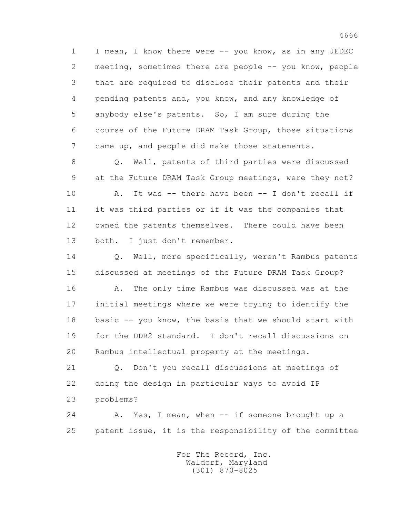1 I mean, I know there were -- you know, as in any JEDEC 2 meeting, sometimes there are people -- you know, people 3 that are required to disclose their patents and their 4 pending patents and, you know, and any knowledge of 5 anybody else's patents. So, I am sure during the 6 course of the Future DRAM Task Group, those situations 7 came up, and people did make those statements.

 8 Q. Well, patents of third parties were discussed 9 at the Future DRAM Task Group meetings, were they not? 10 A. It was -- there have been -- I don't recall if 11 it was third parties or if it was the companies that 12 owned the patents themselves. There could have been 13 both. I just don't remember.

14 0. Well, more specifically, weren't Rambus patents 15 discussed at meetings of the Future DRAM Task Group? 16 A. The only time Rambus was discussed was at the 17 initial meetings where we were trying to identify the 18 basic -- you know, the basis that we should start with 19 for the DDR2 standard. I don't recall discussions on 20 Rambus intellectual property at the meetings.

 21 Q. Don't you recall discussions at meetings of 22 doing the design in particular ways to avoid IP 23 problems?

24 A. Yes, I mean, when -- if someone brought up a 25 patent issue, it is the responsibility of the committee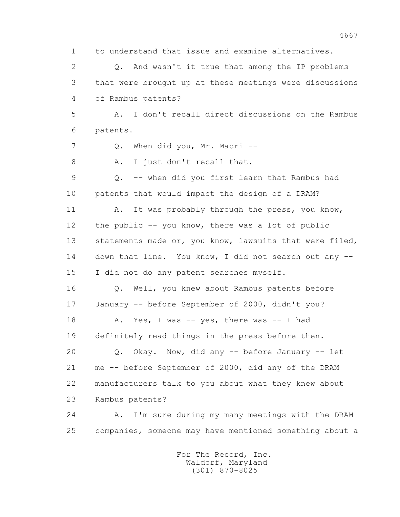1 to understand that issue and examine alternatives. 2 Q. And wasn't it true that among the IP problems 3 that were brought up at these meetings were discussions 4 of Rambus patents? 5 A. I don't recall direct discussions on the Rambus 6 patents. 7 Q. When did you, Mr. Macri --8 A. I just don't recall that. 9 Q. -- when did you first learn that Rambus had 10 patents that would impact the design of a DRAM? 11 A. It was probably through the press, you know, 12 the public -- you know, there was a lot of public 13 statements made or, you know, lawsuits that were filed, 14 down that line. You know, I did not search out any -- 15 I did not do any patent searches myself. 16 Q. Well, you knew about Rambus patents before 17 January -- before September of 2000, didn't you? 18 A. Yes, I was -- yes, there was -- I had 19 definitely read things in the press before then. 20 Q. Okay. Now, did any -- before January -- let 21 me -- before September of 2000, did any of the DRAM 22 manufacturers talk to you about what they knew about 23 Rambus patents? 24 A. I'm sure during my many meetings with the DRAM 25 companies, someone may have mentioned something about a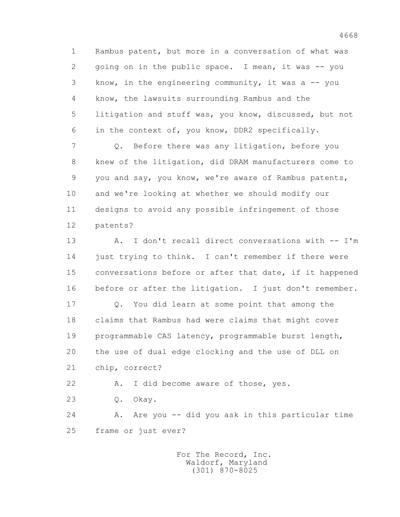1 Rambus patent, but more in a conversation of what was 2 going on in the public space. I mean, it was -- you  $3$  know, in the engineering community, it was a  $-$ - you 4 know, the lawsuits surrounding Rambus and the 5 litigation and stuff was, you know, discussed, but not 6 in the context of, you know, DDR2 specifically.

 7 Q. Before there was any litigation, before you 8 knew of the litigation, did DRAM manufacturers come to 9 you and say, you know, we're aware of Rambus patents, 10 and we're looking at whether we should modify our 11 designs to avoid any possible infringement of those 12 patents?

 13 A. I don't recall direct conversations with -- I'm 14 just trying to think. I can't remember if there were 15 conversations before or after that date, if it happened 16 before or after the litigation. I just don't remember.

 17 Q. You did learn at some point that among the 18 claims that Rambus had were claims that might cover 19 programmable CAS latency, programmable burst length, 20 the use of dual edge clocking and the use of DLL on 21 chip, correct?

22 A. I did become aware of those, yes.

23 Q. Okay.

 24 A. Are you -- did you ask in this particular time 25 frame or just ever?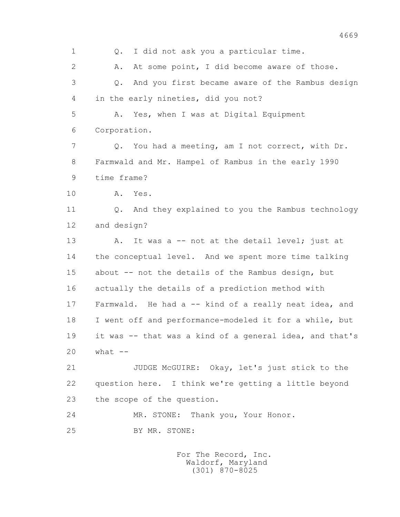1 Q. I did not ask you a particular time. 2 A. At some point, I did become aware of those. 3 Q. And you first became aware of the Rambus design 4 in the early nineties, did you not? 5 A. Yes, when I was at Digital Equipment 6 Corporation. 7 Q. You had a meeting, am I not correct, with Dr. 8 Farmwald and Mr. Hampel of Rambus in the early 1990 9 time frame? 10 A. Yes. 11 Q. And they explained to you the Rambus technology 12 and design? 13 A. It was a -- not at the detail level; just at 14 the conceptual level. And we spent more time talking 15 about -- not the details of the Rambus design, but 16 actually the details of a prediction method with 17 Farmwald. He had a -- kind of a really neat idea, and 18 I went off and performance-modeled it for a while, but 19 it was -- that was a kind of a general idea, and that's  $20$  what  $-$  21 JUDGE McGUIRE: Okay, let's just stick to the 22 question here. I think we're getting a little beyond 23 the scope of the question. 24 MR. STONE: Thank you, Your Honor. 25 BY MR. STONE: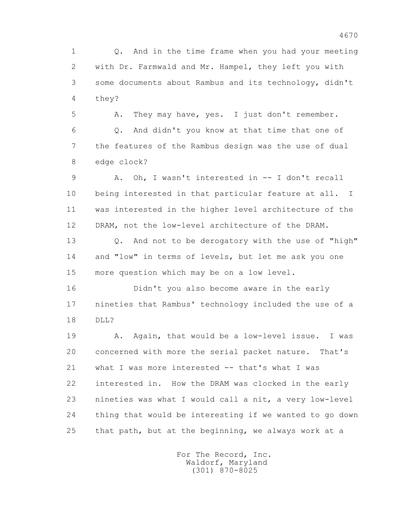1 Q. And in the time frame when you had your meeting 2 with Dr. Farmwald and Mr. Hampel, they left you with 3 some documents about Rambus and its technology, didn't 4 they?

 5 A. They may have, yes. I just don't remember. 6 Q. And didn't you know at that time that one of 7 the features of the Rambus design was the use of dual 8 edge clock?

 9 A. Oh, I wasn't interested in -- I don't recall 10 being interested in that particular feature at all. I 11 was interested in the higher level architecture of the 12 DRAM, not the low-level architecture of the DRAM.

 13 Q. And not to be derogatory with the use of "high" 14 and "low" in terms of levels, but let me ask you one 15 more question which may be on a low level.

 16 Didn't you also become aware in the early 17 nineties that Rambus' technology included the use of a 18 DLL?

 19 A. Again, that would be a low-level issue. I was 20 concerned with more the serial packet nature. That's 21 what I was more interested -- that's what I was 22 interested in. How the DRAM was clocked in the early 23 nineties was what I would call a nit, a very low-level 24 thing that would be interesting if we wanted to go down 25 that path, but at the beginning, we always work at a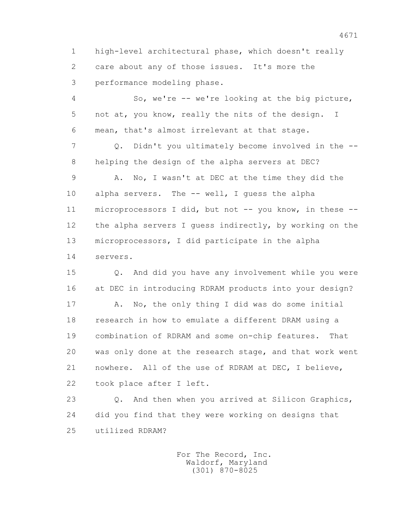1 high-level architectural phase, which doesn't really 2 care about any of those issues. It's more the 3 performance modeling phase.

 4 So, we're -- we're looking at the big picture, 5 not at, you know, really the nits of the design. I 6 mean, that's almost irrelevant at that stage.

 7 Q. Didn't you ultimately become involved in the -- 8 helping the design of the alpha servers at DEC?

 9 A. No, I wasn't at DEC at the time they did the 10 alpha servers. The -- well, I guess the alpha 11 microprocessors I did, but not -- you know, in these -- 12 the alpha servers I guess indirectly, by working on the 13 microprocessors, I did participate in the alpha 14 servers.

 15 Q. And did you have any involvement while you were 16 at DEC in introducing RDRAM products into your design?

17 A. No, the only thing I did was do some initial 18 research in how to emulate a different DRAM using a 19 combination of RDRAM and some on-chip features. That 20 was only done at the research stage, and that work went 21 nowhere. All of the use of RDRAM at DEC, I believe, 22 took place after I left.

 23 Q. And then when you arrived at Silicon Graphics, 24 did you find that they were working on designs that 25 utilized RDRAM?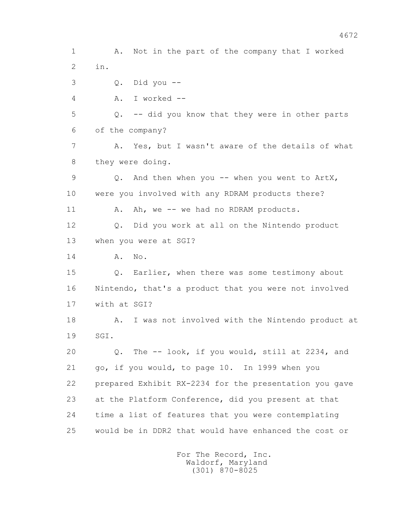1 A. Not in the part of the company that I worked 2 in. 3 Q. Did you -- 4 A. I worked -- 5 Q. -- did you know that they were in other parts 6 of the company? 7 A. Yes, but I wasn't aware of the details of what 8 they were doing. 9 Q. And then when you -- when you went to ArtX, 10 were you involved with any RDRAM products there? 11 A. Ah, we -- we had no RDRAM products. 12 Q. Did you work at all on the Nintendo product 13 when you were at SGI? 14 **A.** No. 15 Q. Earlier, when there was some testimony about 16 Nintendo, that's a product that you were not involved 17 with at SGI? 18 A. I was not involved with the Nintendo product at 19 SGI. 20 Q. The -- look, if you would, still at 2234, and 21 go, if you would, to page 10. In 1999 when you 22 prepared Exhibit RX-2234 for the presentation you gave 23 at the Platform Conference, did you present at that 24 time a list of features that you were contemplating 25 would be in DDR2 that would have enhanced the cost or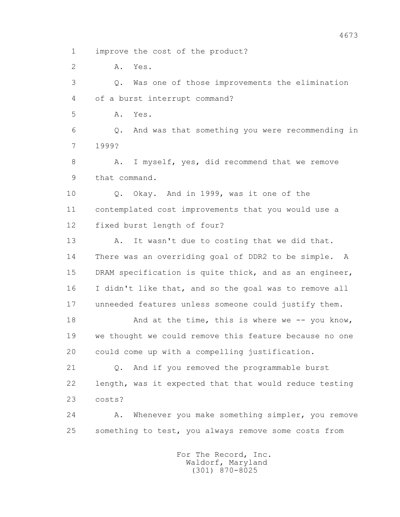1 improve the cost of the product?

2 A. Yes.

 3 Q. Was one of those improvements the elimination 4 of a burst interrupt command? 5 A. Yes. 6 Q. And was that something you were recommending in 7 1999? 8 A. I myself, yes, did recommend that we remove 9 that command. 10 Q. Okay. And in 1999, was it one of the 11 contemplated cost improvements that you would use a 12 fixed burst length of four? 13 A. It wasn't due to costing that we did that. 14 There was an overriding goal of DDR2 to be simple. A 15 DRAM specification is quite thick, and as an engineer, 16 I didn't like that, and so the goal was to remove all 17 unneeded features unless someone could justify them. 18 And at the time, this is where we -- you know, 19 we thought we could remove this feature because no one 20 could come up with a compelling justification. 21 Q. And if you removed the programmable burst 22 length, was it expected that that would reduce testing 23 costs?

24 A. Whenever you make something simpler, you remove 25 something to test, you always remove some costs from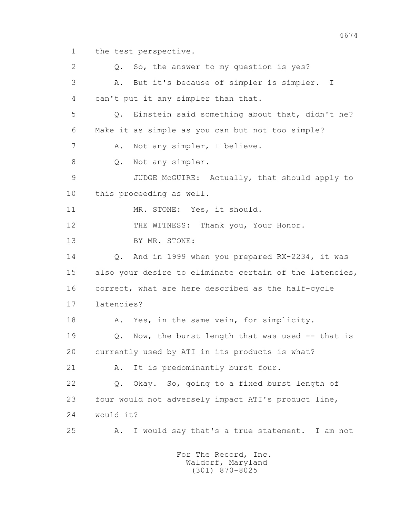1 the test perspective.

 2 Q. So, the answer to my question is yes? 3 A. But it's because of simpler is simpler. I 4 can't put it any simpler than that. 5 Q. Einstein said something about that, didn't he? 6 Make it as simple as you can but not too simple? 7 A. Not any simpler, I believe. 8 Q. Not any simpler. 9 JUDGE McGUIRE: Actually, that should apply to 10 this proceeding as well. 11 MR. STONE: Yes, it should. 12 THE WITNESS: Thank you, Your Honor. 13 BY MR. STONE: 14 Q. And in 1999 when you prepared RX-2234, it was 15 also your desire to eliminate certain of the latencies, 16 correct, what are here described as the half-cycle 17 latencies? 18 A. Yes, in the same vein, for simplicity. 19 0. Now, the burst length that was used -- that is 20 currently used by ATI in its products is what? 21 A. It is predominantly burst four. 22 Q. Okay. So, going to a fixed burst length of 23 four would not adversely impact ATI's product line, 24 would it? 25 A. I would say that's a true statement. I am not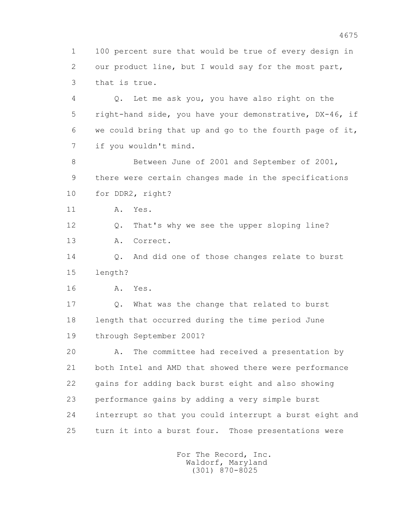1 100 percent sure that would be true of every design in 2 our product line, but I would say for the most part, 3 that is true.

 4 Q. Let me ask you, you have also right on the 5 right-hand side, you have your demonstrative, DX-46, if 6 we could bring that up and go to the fourth page of it, 7 if you wouldn't mind.

8 Between June of 2001 and September of 2001, 9 there were certain changes made in the specifications 10 for DDR2, right?

11 A. Yes.

 12 Q. That's why we see the upper sloping line? 13 A. Correct.

14 0. And did one of those changes relate to burst 15 length?

16 A. Yes.

 17 Q. What was the change that related to burst 18 length that occurred during the time period June 19 through September 2001?

 20 A. The committee had received a presentation by 21 both Intel and AMD that showed there were performance 22 gains for adding back burst eight and also showing 23 performance gains by adding a very simple burst 24 interrupt so that you could interrupt a burst eight and 25 turn it into a burst four. Those presentations were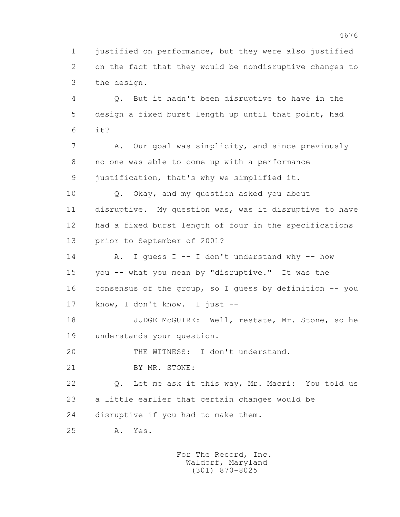1 justified on performance, but they were also justified 2 on the fact that they would be nondisruptive changes to 3 the design.

 4 Q. But it hadn't been disruptive to have in the 5 design a fixed burst length up until that point, had 6 it?

 7 A. Our goal was simplicity, and since previously 8 no one was able to come up with a performance 9 justification, that's why we simplified it.

 10 Q. Okay, and my question asked you about 11 disruptive. My question was, was it disruptive to have 12 had a fixed burst length of four in the specifications 13 prior to September of 2001?

14 A. I guess I -- I don't understand why -- how 15 you -- what you mean by "disruptive." It was the 16 consensus of the group, so I guess by definition -- you 17 know, I don't know. I just --

 18 JUDGE McGUIRE: Well, restate, Mr. Stone, so he 19 understands your question.

20 THE WITNESS: I don't understand.

21 BY MR. STONE:

 22 Q. Let me ask it this way, Mr. Macri: You told us 23 a little earlier that certain changes would be 24 disruptive if you had to make them.

25 A. Yes.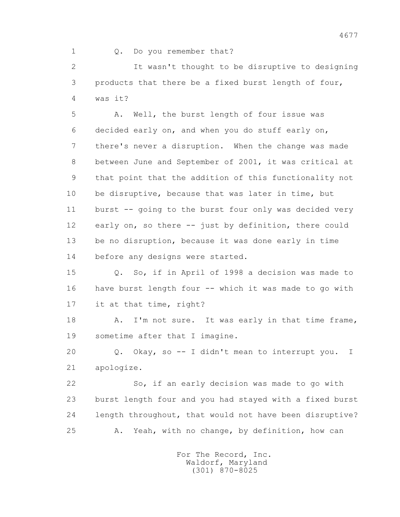1 Q. Do you remember that?

 2 It wasn't thought to be disruptive to designing 3 products that there be a fixed burst length of four, 4 was it?

 5 A. Well, the burst length of four issue was 6 decided early on, and when you do stuff early on, 7 there's never a disruption. When the change was made 8 between June and September of 2001, it was critical at 9 that point that the addition of this functionality not 10 be disruptive, because that was later in time, but 11 burst -- going to the burst four only was decided very 12 early on, so there -- just by definition, there could 13 be no disruption, because it was done early in time 14 before any designs were started.

 15 Q. So, if in April of 1998 a decision was made to 16 have burst length four -- which it was made to go with 17 it at that time, right?

18 A. I'm not sure. It was early in that time frame, 19 sometime after that I imagine.

 20 Q. Okay, so -- I didn't mean to interrupt you. I 21 apologize.

 22 So, if an early decision was made to go with 23 burst length four and you had stayed with a fixed burst 24 length throughout, that would not have been disruptive? 25 A. Yeah, with no change, by definition, how can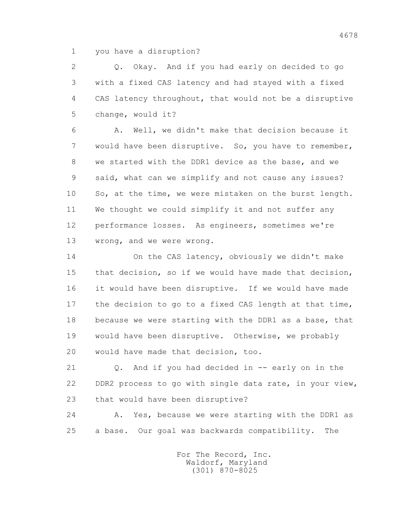1 you have a disruption?

 2 Q. Okay. And if you had early on decided to go 3 with a fixed CAS latency and had stayed with a fixed 4 CAS latency throughout, that would not be a disruptive 5 change, would it?

 6 A. Well, we didn't make that decision because it 7 would have been disruptive. So, you have to remember, 8 we started with the DDR1 device as the base, and we 9 said, what can we simplify and not cause any issues? 10 So, at the time, we were mistaken on the burst length. 11 We thought we could simplify it and not suffer any 12 performance losses. As engineers, sometimes we're 13 wrong, and we were wrong.

 14 On the CAS latency, obviously we didn't make 15 that decision, so if we would have made that decision, 16 it would have been disruptive. If we would have made 17 the decision to go to a fixed CAS length at that time, 18 because we were starting with the DDR1 as a base, that 19 would have been disruptive. Otherwise, we probably 20 would have made that decision, too.

 21 Q. And if you had decided in -- early on in the 22 DDR2 process to go with single data rate, in your view, 23 that would have been disruptive?

 24 A. Yes, because we were starting with the DDR1 as 25 a base. Our goal was backwards compatibility. The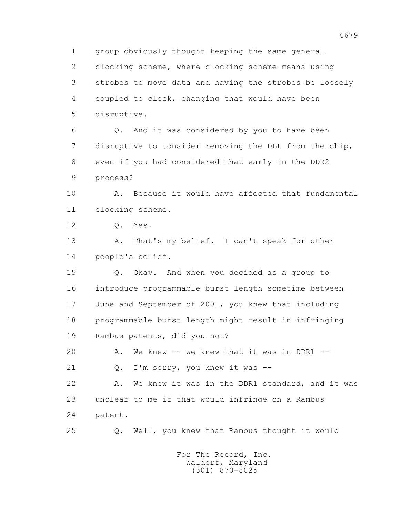1 group obviously thought keeping the same general 2 clocking scheme, where clocking scheme means using 3 strobes to move data and having the strobes be loosely 4 coupled to clock, changing that would have been 5 disruptive.

 6 Q. And it was considered by you to have been 7 disruptive to consider removing the DLL from the chip, 8 even if you had considered that early in the DDR2 9 process?

 10 A. Because it would have affected that fundamental 11 clocking scheme.

12 Q. Yes.

 13 A. That's my belief. I can't speak for other 14 people's belief.

 15 Q. Okay. And when you decided as a group to 16 introduce programmable burst length sometime between 17 June and September of 2001, you knew that including 18 programmable burst length might result in infringing 19 Rambus patents, did you not?

20 A. We knew -- we knew that it was in DDR1 --21 Q. I'm sorry, you knew it was --

 22 A. We knew it was in the DDR1 standard, and it was 23 unclear to me if that would infringe on a Rambus 24 patent.

25 Q. Well, you knew that Rambus thought it would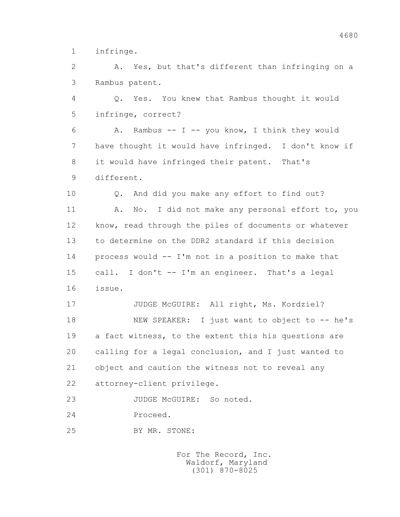1 infringe.

 2 A. Yes, but that's different than infringing on a 3 Rambus patent.

 4 Q. Yes. You knew that Rambus thought it would 5 infringe, correct?

 6 A. Rambus -- I -- you know, I think they would 7 have thought it would have infringed. I don't know if 8 it would have infringed their patent. That's 9 different.

 10 Q. And did you make any effort to find out? 11 A. No. I did not make any personal effort to, you 12 know, read through the piles of documents or whatever 13 to determine on the DDR2 standard if this decision 14 process would -- I'm not in a position to make that 15 call. I don't -- I'm an engineer. That's a legal 16 issue.

 17 JUDGE McGUIRE: All right, Ms. Kordziel? 18 NEW SPEAKER: I just want to object to -- he's 19 a fact witness, to the extent this his questions are 20 calling for a legal conclusion, and I just wanted to 21 object and caution the witness not to reveal any 22 attorney-client privilege.

23 JUDGE McGUIRE: So noted.

24 Proceed.

25 BY MR. STONE: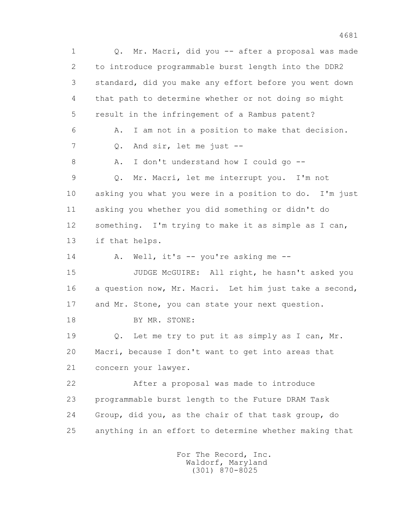1 Q. Mr. Macri, did you -- after a proposal was made 2 to introduce programmable burst length into the DDR2 3 standard, did you make any effort before you went down 4 that path to determine whether or not doing so might 5 result in the infringement of a Rambus patent? 6 A. I am not in a position to make that decision. 7 Q. And sir, let me just -- 8 A. I don't understand how I could go -- 9 Q. Mr. Macri, let me interrupt you. I'm not 10 asking you what you were in a position to do. I'm just 11 asking you whether you did something or didn't do 12 something. I'm trying to make it as simple as I can, 13 if that helps. 14 A. Well, it's -- you're asking me -- 15 JUDGE McGUIRE: All right, he hasn't asked you 16 a question now, Mr. Macri. Let him just take a second, 17 and Mr. Stone, you can state your next question. 18 BY MR. STONE: 19 Q. Let me try to put it as simply as I can, Mr. 20 Macri, because I don't want to get into areas that 21 concern your lawyer. 22 After a proposal was made to introduce 23 programmable burst length to the Future DRAM Task 24 Group, did you, as the chair of that task group, do 25 anything in an effort to determine whether making that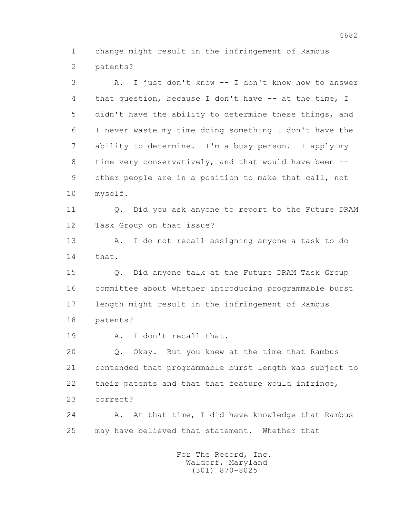1 change might result in the infringement of Rambus 2 patents?

 3 A. I just don't know -- I don't know how to answer 4 that question, because I don't have -- at the time, I 5 didn't have the ability to determine these things, and 6 I never waste my time doing something I don't have the 7 ability to determine. I'm a busy person. I apply my 8 time very conservatively, and that would have been -- 9 other people are in a position to make that call, not 10 myself.

 11 Q. Did you ask anyone to report to the Future DRAM 12 Task Group on that issue?

 13 A. I do not recall assigning anyone a task to do 14 that.

 15 Q. Did anyone talk at the Future DRAM Task Group 16 committee about whether introducing programmable burst 17 length might result in the infringement of Rambus 18 patents?

19 A. I don't recall that.

 20 Q. Okay. But you knew at the time that Rambus 21 contended that programmable burst length was subject to 22 their patents and that that feature would infringe, 23 correct?

24 A. At that time, I did have knowledge that Rambus 25 may have believed that statement. Whether that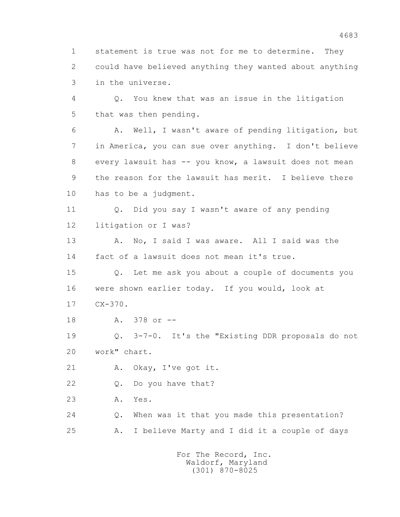1 statement is true was not for me to determine. They 2 could have believed anything they wanted about anything 3 in the universe.

 4 Q. You knew that was an issue in the litigation 5 that was then pending.

 6 A. Well, I wasn't aware of pending litigation, but 7 in America, you can sue over anything. I don't believe 8 every lawsuit has -- you know, a lawsuit does not mean 9 the reason for the lawsuit has merit. I believe there 10 has to be a judgment.

 11 Q. Did you say I wasn't aware of any pending 12 litigation or I was?

 13 A. No, I said I was aware. All I said was the 14 fact of a lawsuit does not mean it's true.

 15 Q. Let me ask you about a couple of documents you 16 were shown earlier today. If you would, look at 17 CX-370.

18 A. 378 or --

 19 Q. 3-7-0. It's the "Existing DDR proposals do not 20 work" chart.

21 A. Okay, I've got it.

22 Q. Do you have that?

23 A. Yes.

 24 Q. When was it that you made this presentation? 25 A. I believe Marty and I did it a couple of days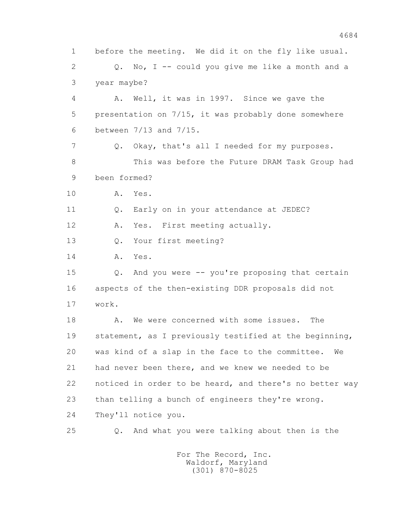1 before the meeting. We did it on the fly like usual. 2 Q. No, I -- could you give me like a month and a 3 year maybe? 4 A. Well, it was in 1997. Since we gave the 5 presentation on 7/15, it was probably done somewhere 6 between 7/13 and 7/15. 7 Q. Okay, that's all I needed for my purposes. 8 This was before the Future DRAM Task Group had 9 been formed? 10 A. Yes. 11 0. Early on in your attendance at JEDEC? 12 A. Yes. First meeting actually. 13 Q. Your first meeting? 14 A. Yes. 15 Q. And you were -- you're proposing that certain 16 aspects of the then-existing DDR proposals did not 17 work. 18 A. We were concerned with some issues. The 19 statement, as I previously testified at the beginning, 20 was kind of a slap in the face to the committee. We 21 had never been there, and we knew we needed to be 22 noticed in order to be heard, and there's no better way 23 than telling a bunch of engineers they're wrong. 24 They'll notice you. 25 Q. And what you were talking about then is the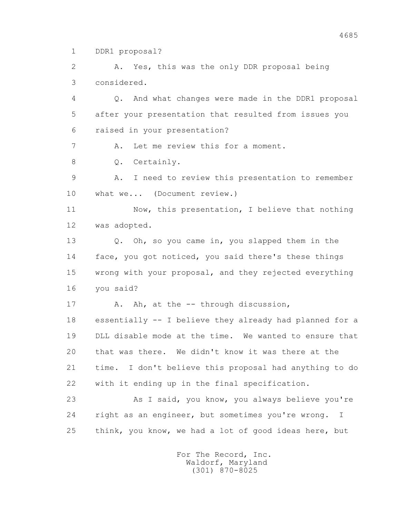1 DDR1 proposal?

 2 A. Yes, this was the only DDR proposal being 3 considered.

 4 Q. And what changes were made in the DDR1 proposal 5 after your presentation that resulted from issues you 6 raised in your presentation?

7 A. Let me review this for a moment.

8 0. Certainly.

 9 A. I need to review this presentation to remember 10 what we... (Document review.)

 11 Now, this presentation, I believe that nothing 12 was adopted.

 13 Q. Oh, so you came in, you slapped them in the 14 face, you got noticed, you said there's these things 15 wrong with your proposal, and they rejected everything 16 you said?

17 A. Ah, at the -- through discussion, 18 essentially -- I believe they already had planned for a 19 DLL disable mode at the time. We wanted to ensure that 20 that was there. We didn't know it was there at the 21 time. I don't believe this proposal had anything to do 22 with it ending up in the final specification.

 23 As I said, you know, you always believe you're 24 right as an engineer, but sometimes you're wrong. I 25 think, you know, we had a lot of good ideas here, but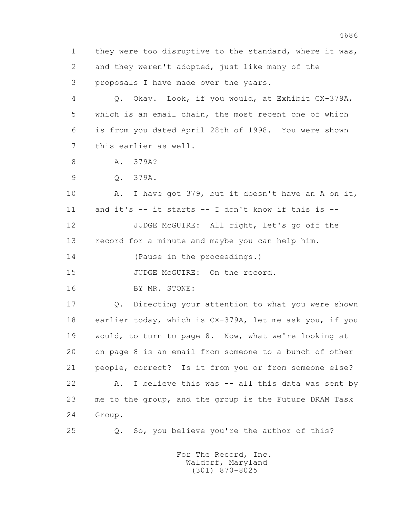1 they were too disruptive to the standard, where it was, 2 and they weren't adopted, just like many of the 3 proposals I have made over the years.

 4 Q. Okay. Look, if you would, at Exhibit CX-379A, 5 which is an email chain, the most recent one of which 6 is from you dated April 28th of 1998. You were shown 7 this earlier as well.

8 A. 379A?

9 Q. 379A.

 10 A. I have got 379, but it doesn't have an A on it, 11 and it's -- it starts -- I don't know if this is -- 12 JUDGE McGUIRE: All right, let's go off the

13 record for a minute and maybe you can help him.

14 (Pause in the proceedings.)

15 JUDGE McGUIRE: On the record.

16 BY MR. STONE:

 17 Q. Directing your attention to what you were shown 18 earlier today, which is CX-379A, let me ask you, if you 19 would, to turn to page 8. Now, what we're looking at 20 on page 8 is an email from someone to a bunch of other 21 people, correct? Is it from you or from someone else? 22 A. I believe this was -- all this data was sent by 23 me to the group, and the group is the Future DRAM Task 24 Group.

25 Q. So, you believe you're the author of this?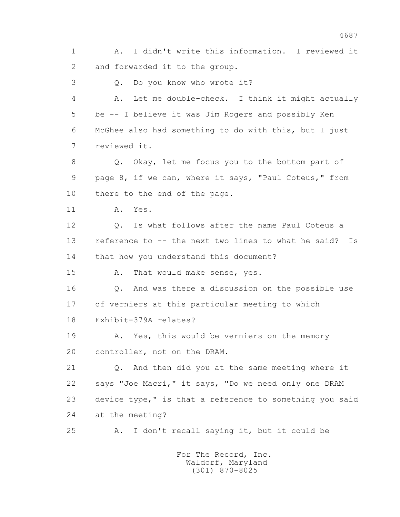1 A. I didn't write this information. I reviewed it 2 and forwarded it to the group. 3 Q. Do you know who wrote it? 4 A. Let me double-check. I think it might actually 5 be -- I believe it was Jim Rogers and possibly Ken 6 McGhee also had something to do with this, but I just 7 reviewed it. 8 Q. Okay, let me focus you to the bottom part of 9 page 8, if we can, where it says, "Paul Coteus," from 10 there to the end of the page. 11 A. Yes. 12 Q. Is what follows after the name Paul Coteus a 13 reference to -- the next two lines to what he said? Is 14 that how you understand this document? 15 A. That would make sense, yes. 16 Q. And was there a discussion on the possible use 17 of verniers at this particular meeting to which 18 Exhibit-379A relates? 19 A. Yes, this would be verniers on the memory 20 controller, not on the DRAM. 21 Q. And then did you at the same meeting where it 22 says "Joe Macri," it says, "Do we need only one DRAM 23 device type," is that a reference to something you said 24 at the meeting? 25 A. I don't recall saying it, but it could be For The Record, Inc. Waldorf, Maryland

(301) 870-8025

4687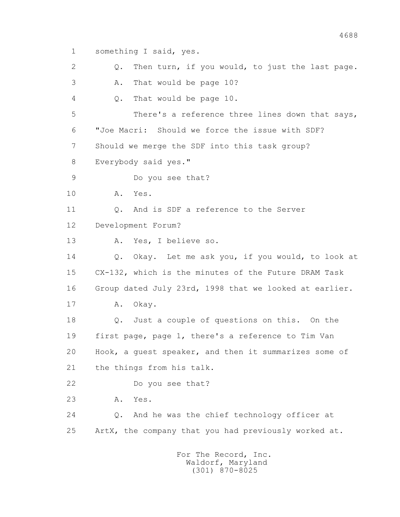1 something I said, yes. 2 Q. Then turn, if you would, to just the last page. 3 A. That would be page 10? 4 Q. That would be page 10. 5 There's a reference three lines down that says, 6 "Joe Macri: Should we force the issue with SDF? 7 Should we merge the SDF into this task group? 8 Everybody said yes." 9 Do you see that? 10 A. Yes. 11 0. And is SDF a reference to the Server 12 Development Forum? 13 A. Yes, I believe so. 14 Q. Okay. Let me ask you, if you would, to look at 15 CX-132, which is the minutes of the Future DRAM Task 16 Group dated July 23rd, 1998 that we looked at earlier. 17 A. Okay. 18 Q. Just a couple of questions on this. On the 19 first page, page 1, there's a reference to Tim Van 20 Hook, a guest speaker, and then it summarizes some of 21 the things from his talk. 22 Do you see that? 23 A. Yes. 24 Q. And he was the chief technology officer at 25 ArtX, the company that you had previously worked at. For The Record, Inc.

> Waldorf, Maryland (301) 870-8025

4688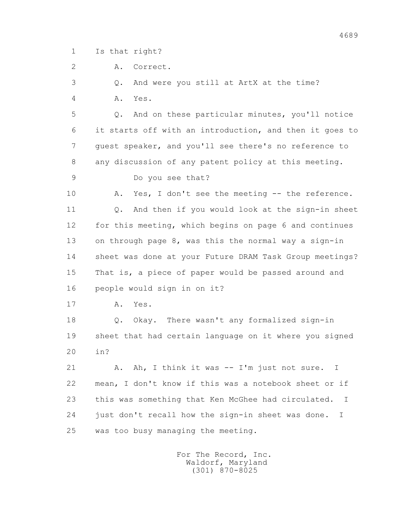1 Is that right?

2 A. Correct.

3 Q. And were you still at ArtX at the time?

4 A. Yes.

 5 Q. And on these particular minutes, you'll notice 6 it starts off with an introduction, and then it goes to 7 guest speaker, and you'll see there's no reference to 8 any discussion of any patent policy at this meeting.

9 Do you see that?

 10 A. Yes, I don't see the meeting -- the reference. 11 Q. And then if you would look at the sign-in sheet 12 for this meeting, which begins on page 6 and continues 13 on through page 8, was this the normal way a sign-in 14 sheet was done at your Future DRAM Task Group meetings? 15 That is, a piece of paper would be passed around and 16 people would sign in on it?

17 A. Yes.

 18 Q. Okay. There wasn't any formalized sign-in 19 sheet that had certain language on it where you signed 20 in?

21 A. Ah, I think it was -- I'm just not sure. I 22 mean, I don't know if this was a notebook sheet or if 23 this was something that Ken McGhee had circulated. I 24 just don't recall how the sign-in sheet was done. I 25 was too busy managing the meeting.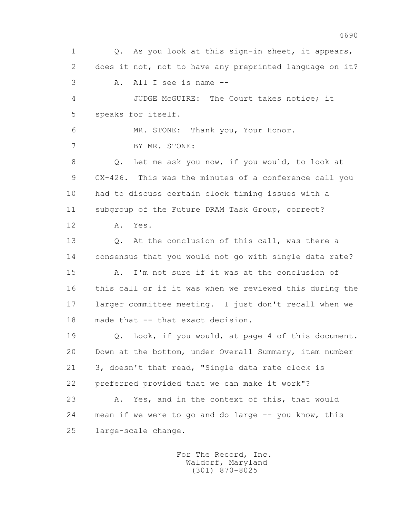1 0. As you look at this sign-in sheet, it appears, 2 does it not, not to have any preprinted language on it? 3 A. All I see is name -- 4 JUDGE McGUIRE: The Court takes notice; it 5 speaks for itself. 6 MR. STONE: Thank you, Your Honor. 7 BY MR. STONE: 8 Q. Let me ask you now, if you would, to look at 9 CX-426. This was the minutes of a conference call you 10 had to discuss certain clock timing issues with a 11 subgroup of the Future DRAM Task Group, correct? 12 A. Yes. 13 0. At the conclusion of this call, was there a 14 consensus that you would not go with single data rate? 15 A. I'm not sure if it was at the conclusion of 16 this call or if it was when we reviewed this during the 17 larger committee meeting. I just don't recall when we 18 made that -- that exact decision. 19 Q. Look, if you would, at page 4 of this document. 20 Down at the bottom, under Overall Summary, item number 21 3, doesn't that read, "Single data rate clock is 22 preferred provided that we can make it work"? 23 A. Yes, and in the context of this, that would 24 mean if we were to go and do large -- you know, this 25 large-scale change.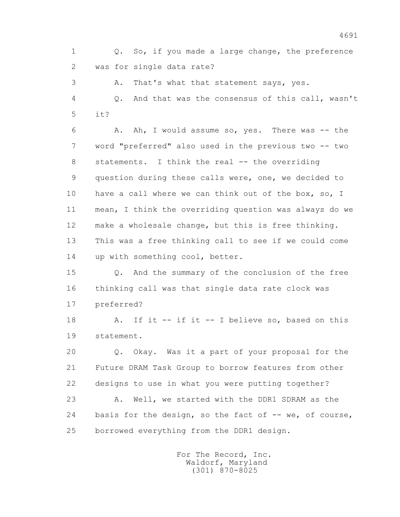1 Q. So, if you made a large change, the preference 2 was for single data rate?

 3 A. That's what that statement says, yes. 4 Q. And that was the consensus of this call, wasn't  $5$   $i+2$ 

 6 A. Ah, I would assume so, yes. There was -- the 7 word "preferred" also used in the previous two -- two 8 statements. I think the real -- the overriding 9 question during these calls were, one, we decided to 10 have a call where we can think out of the box, so, I 11 mean, I think the overriding question was always do we 12 make a wholesale change, but this is free thinking. 13 This was a free thinking call to see if we could come 14 up with something cool, better.

 15 Q. And the summary of the conclusion of the free 16 thinking call was that single data rate clock was 17 preferred?

 18 A. If it -- if it -- I believe so, based on this 19 statement.

 20 Q. Okay. Was it a part of your proposal for the 21 Future DRAM Task Group to borrow features from other 22 designs to use in what you were putting together?

 23 A. Well, we started with the DDR1 SDRAM as the 24 basis for the design, so the fact of -- we, of course, 25 borrowed everything from the DDR1 design.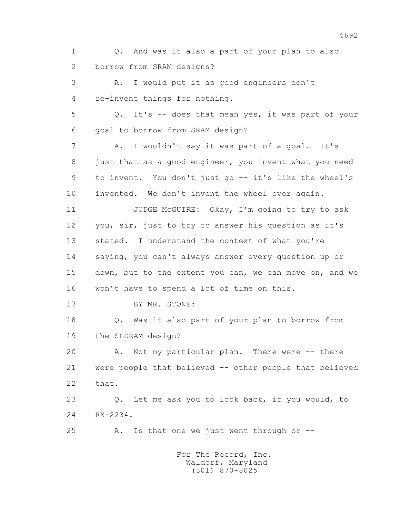1 Q. And was it also a part of your plan to also 2 borrow from SRAM designs? 3 A. I would put it as good engineers don't 4 re-invent things for nothing. 5 Q. It's -- does that mean yes, it was part of your 6 goal to borrow from SRAM design? 7 A. I wouldn't say it was part of a goal. It's 8 just that as a good engineer, you invent what you need 9 to invent. You don't just go -- it's like the wheel's 10 invented. We don't invent the wheel over again. 11 JUDGE McGUIRE: Okay, I'm going to try to ask 12 you, sir, just to try to answer his question as it's 13 stated. I understand the context of what you're 14 saying, you can't always answer every question up or 15 down, but to the extent you can, we can move on, and we 16 won't have to spend a lot of time on this. 17 BY MR. STONE: 18 Q. Was it also part of your plan to borrow from 19 the SLDRAM design? 20 A. Not my particular plan. There were -- there 21 were people that believed -- other people that believed 22 that. 23 Q. Let me ask you to look back, if you would, to 24 RX-2234. 25 A. Is that one we just went through or -- For The Record, Inc.

 Waldorf, Maryland (301) 870-8025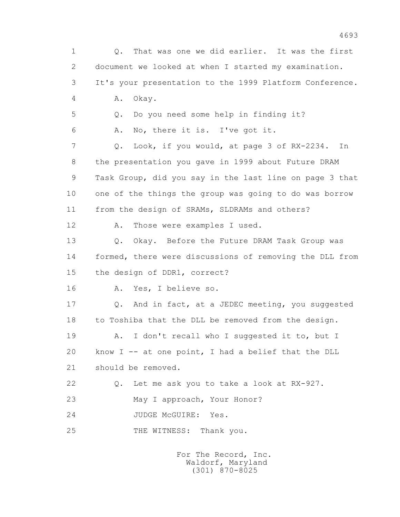1 Q. That was one we did earlier. It was the first 2 document we looked at when I started my examination. 3 It's your presentation to the 1999 Platform Conference. 4 A. Okay. 5 Q. Do you need some help in finding it? 6 A. No, there it is. I've got it. 7 Q. Look, if you would, at page 3 of RX-2234. In 8 the presentation you gave in 1999 about Future DRAM 9 Task Group, did you say in the last line on page 3 that 10 one of the things the group was going to do was borrow 11 from the design of SRAMs, SLDRAMs and others? 12 A. Those were examples I used. 13 Q. Okay. Before the Future DRAM Task Group was 14 formed, there were discussions of removing the DLL from 15 the design of DDR1, correct? 16 A. Yes, I believe so. 17 Q. And in fact, at a JEDEC meeting, you suggested 18 to Toshiba that the DLL be removed from the design. 19 A. I don't recall who I suggested it to, but I 20 know I -- at one point, I had a belief that the DLL 21 should be removed. 22 Q. Let me ask you to take a look at RX-927. 23 May I approach, Your Honor? 24 JUDGE McGUIRE: Yes. 25 THE WITNESS: Thank you. For The Record, Inc. Waldorf, Maryland

4693

(301) 870-8025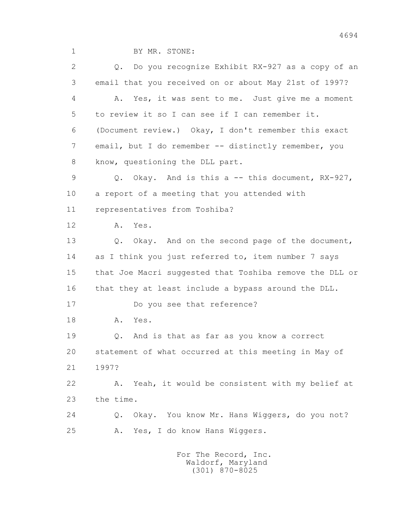1 BY MR. STONE:

 2 Q. Do you recognize Exhibit RX-927 as a copy of an 3 email that you received on or about May 21st of 1997? 4 A. Yes, it was sent to me. Just give me a moment 5 to review it so I can see if I can remember it. 6 (Document review.) Okay, I don't remember this exact 7 email, but I do remember -- distinctly remember, you 8 know, questioning the DLL part. 9 Q. Okay. And is this a -- this document, RX-927, 10 a report of a meeting that you attended with 11 representatives from Toshiba? 12 A. Yes. 13 0. Okay. And on the second page of the document, 14 as I think you just referred to, item number 7 says 15 that Joe Macri suggested that Toshiba remove the DLL or 16 that they at least include a bypass around the DLL. 17 Do you see that reference? 18 A. Yes. 19 Q. And is that as far as you know a correct 20 statement of what occurred at this meeting in May of 21 1997? 22 A. Yeah, it would be consistent with my belief at 23 the time. 24 Q. Okay. You know Mr. Hans Wiggers, do you not? 25 A. Yes, I do know Hans Wiggers.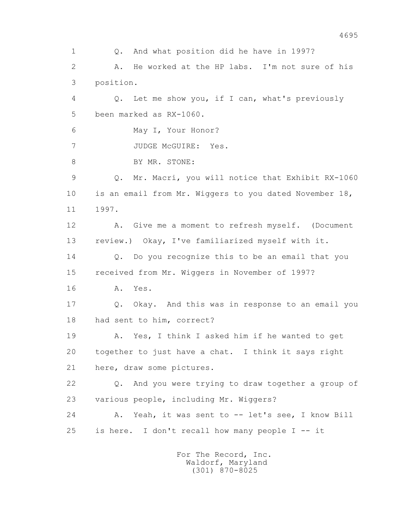1 Q. And what position did he have in 1997? 2 A. He worked at the HP labs. I'm not sure of his 3 position. 4 Q. Let me show you, if I can, what's previously 5 been marked as RX-1060. 6 May I, Your Honor? 7 JUDGE McGUIRE: Yes. 8 BY MR. STONE: 9 Q. Mr. Macri, you will notice that Exhibit RX-1060 10 is an email from Mr. Wiggers to you dated November 18, 11 1997. 12 A. Give me a moment to refresh myself. (Document 13 review.) Okay, I've familiarized myself with it. 14 Q. Do you recognize this to be an email that you 15 received from Mr. Wiggers in November of 1997? 16 A. Yes. 17 Q. Okay. And this was in response to an email you 18 had sent to him, correct? 19 A. Yes, I think I asked him if he wanted to get 20 together to just have a chat. I think it says right 21 here, draw some pictures. 22 Q. And you were trying to draw together a group of 23 various people, including Mr. Wiggers? 24 A. Yeah, it was sent to -- let's see, I know Bill 25 is here. I don't recall how many people I -- it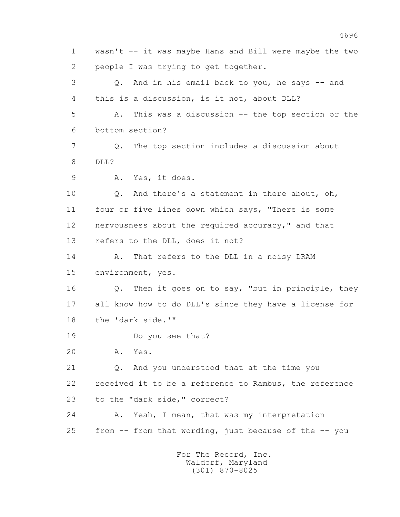1 wasn't -- it was maybe Hans and Bill were maybe the two 2 people I was trying to get together. 3 Q. And in his email back to you, he says -- and 4 this is a discussion, is it not, about DLL? 5 A. This was a discussion -- the top section or the 6 bottom section? 7 Q. The top section includes a discussion about 8 DLL? 9 A. Yes, it does. 10 Q. And there's a statement in there about, oh, 11 four or five lines down which says, "There is some 12 nervousness about the required accuracy," and that 13 refers to the DLL, does it not? 14 A. That refers to the DLL in a noisy DRAM 15 environment, yes. 16 Q. Then it goes on to say, "but in principle, they 17 all know how to do DLL's since they have a license for 18 the 'dark side.'" 19 Do you see that? 20 A. Yes. 21 Q. And you understood that at the time you 22 received it to be a reference to Rambus, the reference 23 to the "dark side," correct? 24 A. Yeah, I mean, that was my interpretation 25 from -- from that wording, just because of the -- you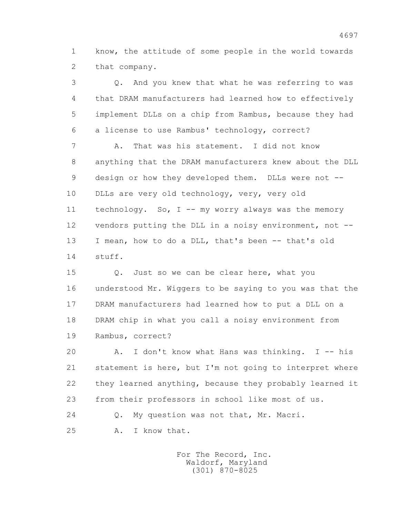1 know, the attitude of some people in the world towards 2 that company.

 3 Q. And you knew that what he was referring to was 4 that DRAM manufacturers had learned how to effectively 5 implement DLLs on a chip from Rambus, because they had 6 a license to use Rambus' technology, correct? 7 A. That was his statement. I did not know 8 anything that the DRAM manufacturers knew about the DLL 9 design or how they developed them. DLLs were not -- 10 DLLs are very old technology, very, very old 11 technology. So,  $I$  -- my worry always was the memory 12 vendors putting the DLL in a noisy environment, not -- 13 I mean, how to do a DLL, that's been -- that's old 14 stuff.

15 Q. Just so we can be clear here, what you 16 understood Mr. Wiggers to be saying to you was that the 17 DRAM manufacturers had learned how to put a DLL on a 18 DRAM chip in what you call a noisy environment from 19 Rambus, correct?

 20 A. I don't know what Hans was thinking. I -- his 21 statement is here, but I'm not going to interpret where 22 they learned anything, because they probably learned it 23 from their professors in school like most of us. 24 Q. My question was not that, Mr. Macri.

25 A. I know that.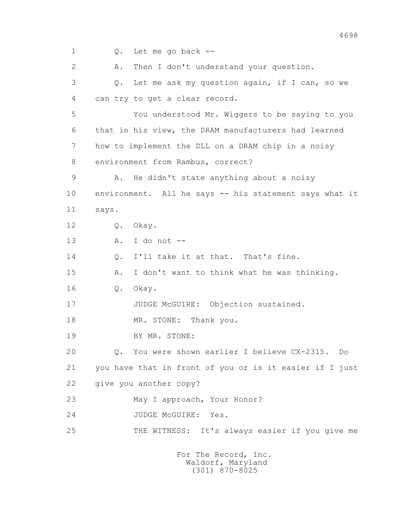1 Q. Let me go back -- 2 A. Then I don't understand your question. 3 Q. Let me ask my question again, if I can, so we 4 can try to get a clear record. 5 You understood Mr. Wiggers to be saying to you 6 that in his view, the DRAM manufacturers had learned 7 how to implement the DLL on a DRAM chip in a noisy 8 environment from Rambus, correct? 9 A. He didn't state anything about a noisy 10 environment. All he says -- his statement says what it 11 says. 12 Q. Okay. 13 A. I do not -- 14 Q. I'll take it at that. That's fine. 15 A. I don't want to think what he was thinking. 16 Q. Okay. 17 JUDGE McGUIRE: Objection sustained. 18 MR. STONE: Thank you. 19 BY MR. STONE: 20 Q. You were shown earlier I believe CX-2315. Do 21 you have that in front of you or is it easier if I just 22 give you another copy? 23 May I approach, Your Honor? 24 JUDGE McGUIRE: Yes. 25 THE WITNESS: It's always easier if you give me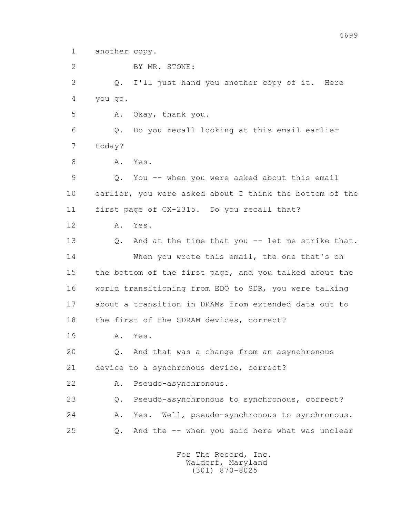1 another copy.

2 BY MR. STONE:

 3 Q. I'll just hand you another copy of it. Here 4 you go.

5 A. Okay, thank you.

 6 Q. Do you recall looking at this email earlier 7 today?

8 A. Yes.

 9 Q. You -- when you were asked about this email 10 earlier, you were asked about I think the bottom of the 11 first page of CX-2315. Do you recall that?

12 A. Yes.

 13 Q. And at the time that you -- let me strike that. 14 When you wrote this email, the one that's on 15 the bottom of the first page, and you talked about the 16 world transitioning from EDO to SDR, you were talking 17 about a transition in DRAMs from extended data out to 18 the first of the SDRAM devices, correct?

19 A. Yes.

 20 Q. And that was a change from an asynchronous 21 device to a synchronous device, correct?

22 A. Pseudo-asynchronous.

 23 Q. Pseudo-asynchronous to synchronous, correct? 24 A. Yes. Well, pseudo-synchronous to synchronous. 25 Q. And the -- when you said here what was unclear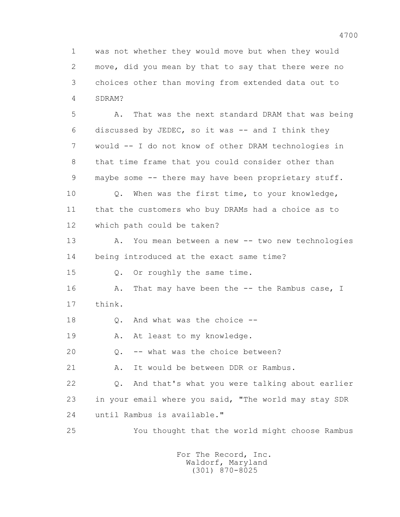1 was not whether they would move but when they would 2 move, did you mean by that to say that there were no 3 choices other than moving from extended data out to 4 SDRAM?

 5 A. That was the next standard DRAM that was being 6 discussed by JEDEC, so it was -- and I think they 7 would -- I do not know of other DRAM technologies in 8 that time frame that you could consider other than 9 maybe some -- there may have been proprietary stuff.

 10 Q. When was the first time, to your knowledge, 11 that the customers who buy DRAMs had a choice as to 12 which path could be taken?

 13 A. You mean between a new -- two new technologies 14 being introduced at the exact same time?

15 Q. Or roughly the same time.

16 A. That may have been the -- the Rambus case, I 17 think.

18 Q. And what was the choice --

19 A. At least to my knowledge.

20 Q. -- what was the choice between?

21 A. It would be between DDR or Rambus.

 22 Q. And that's what you were talking about earlier 23 in your email where you said, "The world may stay SDR 24 until Rambus is available."

25 You thought that the world might choose Rambus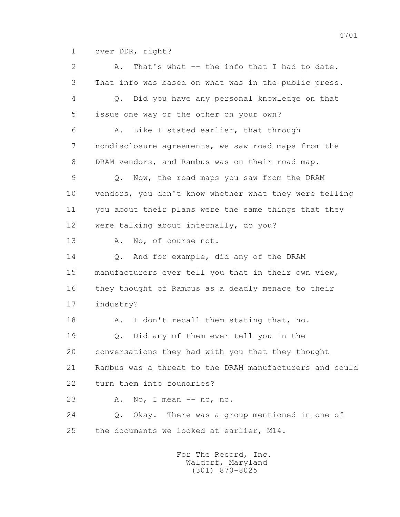1 over DDR, right?

 2 A. That's what -- the info that I had to date. 3 That info was based on what was in the public press. 4 Q. Did you have any personal knowledge on that 5 issue one way or the other on your own? 6 A. Like I stated earlier, that through 7 nondisclosure agreements, we saw road maps from the 8 DRAM vendors, and Rambus was on their road map. 9 Q. Now, the road maps you saw from the DRAM 10 vendors, you don't know whether what they were telling 11 you about their plans were the same things that they 12 were talking about internally, do you? 13 A. No, of course not. 14 0. And for example, did any of the DRAM 15 manufacturers ever tell you that in their own view, 16 they thought of Rambus as a deadly menace to their 17 industry? 18 A. I don't recall them stating that, no. 19 Q. Did any of them ever tell you in the 20 conversations they had with you that they thought 21 Rambus was a threat to the DRAM manufacturers and could 22 turn them into foundries? 23 A. No, I mean -- no, no. 24 Q. Okay. There was a group mentioned in one of 25 the documents we looked at earlier, M14.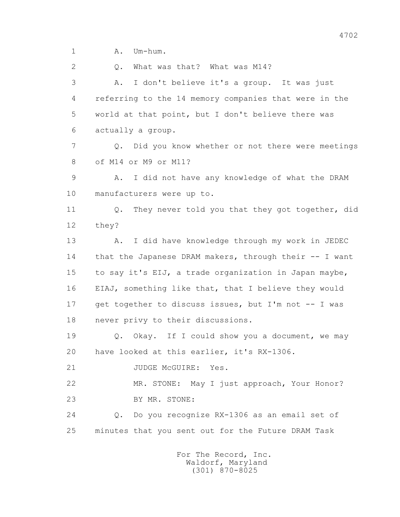1 A. Um-hum.

2 Q. What was that? What was M14?

 3 A. I don't believe it's a group. It was just 4 referring to the 14 memory companies that were in the 5 world at that point, but I don't believe there was 6 actually a group.

 7 Q. Did you know whether or not there were meetings 8 of M14 or M9 or M11?

 9 A. I did not have any knowledge of what the DRAM 10 manufacturers were up to.

11 0. They never told you that they got together, did 12 they?

 13 A. I did have knowledge through my work in JEDEC 14 that the Japanese DRAM makers, through their -- I want 15 to say it's EIJ, a trade organization in Japan maybe, 16 EIAJ, something like that, that I believe they would 17 get together to discuss issues, but I'm not -- I was 18 never privy to their discussions.

19 0. Okay. If I could show you a document, we may 20 have looked at this earlier, it's RX-1306.

21 JUDGE McGUIRE: Yes.

 22 MR. STONE: May I just approach, Your Honor? 23 BY MR. STONE:

 24 Q. Do you recognize RX-1306 as an email set of 25 minutes that you sent out for the Future DRAM Task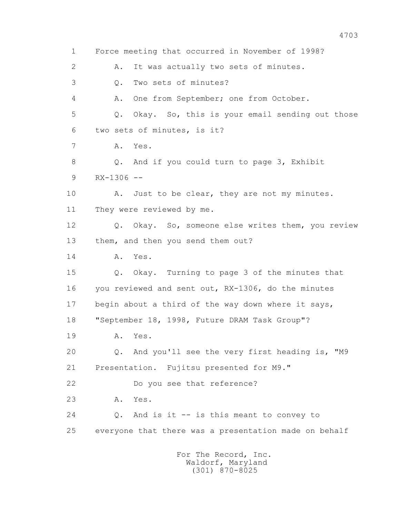1 Force meeting that occurred in November of 1998? 2 A. It was actually two sets of minutes. 3 Q. Two sets of minutes? 4 A. One from September; one from October. 5 Q. Okay. So, this is your email sending out those 6 two sets of minutes, is it? 7 A. Yes. 8 Q. And if you could turn to page 3, Exhibit  $9$  RX-1306 --10 A. Just to be clear, they are not my minutes. 11 They were reviewed by me. 12 Q. Okay. So, someone else writes them, you review 13 them, and then you send them out? 14 A. Yes. 15 Q. Okay. Turning to page 3 of the minutes that 16 you reviewed and sent out, RX-1306, do the minutes 17 begin about a third of the way down where it says, 18 "September 18, 1998, Future DRAM Task Group"? 19 A. Yes. 20 Q. And you'll see the very first heading is, "M9 21 Presentation. Fujitsu presented for M9." 22 Do you see that reference? 23 A. Yes. 24 Q. And is it -- is this meant to convey to 25 everyone that there was a presentation made on behalf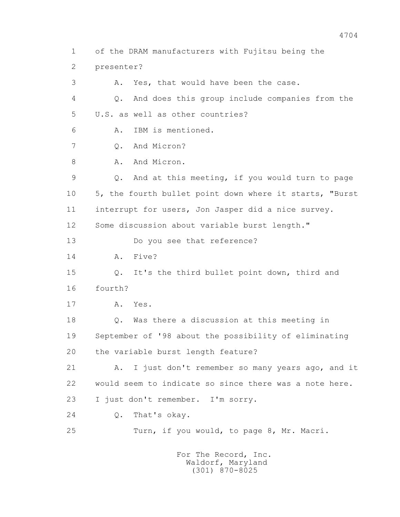1 of the DRAM manufacturers with Fujitsu being the 2 presenter? 3 A. Yes, that would have been the case. 4 Q. And does this group include companies from the 5 U.S. as well as other countries? 6 A. IBM is mentioned. 7 Q. And Micron? 8 A. And Micron. 9 Q. And at this meeting, if you would turn to page 10 5, the fourth bullet point down where it starts, "Burst 11 interrupt for users, Jon Jasper did a nice survey. 12 Some discussion about variable burst length." 13 Do you see that reference? 14 A. Five? 15 Q. It's the third bullet point down, third and 16 fourth? 17 A. Yes. 18 Q. Was there a discussion at this meeting in 19 September of '98 about the possibility of eliminating 20 the variable burst length feature? 21 A. I just don't remember so many years ago, and it 22 would seem to indicate so since there was a note here. 23 I just don't remember. I'm sorry. 24 Q. That's okay. 25 Turn, if you would, to page 8, Mr. Macri. For The Record, Inc.

 Waldorf, Maryland (301) 870-8025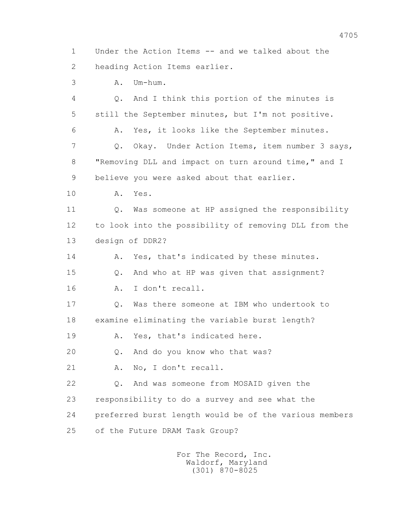1 Under the Action Items -- and we talked about the 2 heading Action Items earlier.

3 A. Um-hum.

 4 Q. And I think this portion of the minutes is 5 still the September minutes, but I'm not positive. 6 A. Yes, it looks like the September minutes. 7 Q. Okay. Under Action Items, item number 3 says, 8 "Removing DLL and impact on turn around time," and I 9 believe you were asked about that earlier. 10 A. Yes. 11 0. Was someone at HP assigned the responsibility 12 to look into the possibility of removing DLL from the 13 design of DDR2? 14 A. Yes, that's indicated by these minutes. 15 Q. And who at HP was given that assignment? 16 A. I don't recall. 17 Q. Was there someone at IBM who undertook to 18 examine eliminating the variable burst length? 19 A. Yes, that's indicated here. 20 Q. And do you know who that was? 21 A. No, I don't recall. 22 Q. And was someone from MOSAID given the 23 responsibility to do a survey and see what the 24 preferred burst length would be of the various members 25 of the Future DRAM Task Group?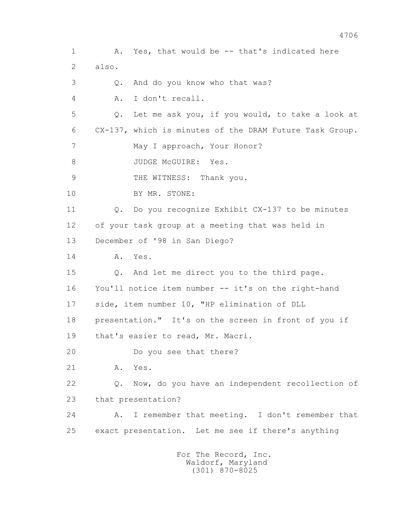1 A. Yes, that would be -- that's indicated here 2 also. 3 Q. And do you know who that was? 4 A. I don't recall. 5 Q. Let me ask you, if you would, to take a look at 6 CX-137, which is minutes of the DRAM Future Task Group. 7 May I approach, Your Honor? 8 JUDGE McGUIRE: Yes. 9 THE WITNESS: Thank you. 10 BY MR. STONE: 11 Q. Do you recognize Exhibit CX-137 to be minutes 12 of your task group at a meeting that was held in 13 December of '98 in San Diego? 14 A. Yes. 15 Q. And let me direct you to the third page. 16 You'll notice item number -- it's on the right-hand 17 side, item number 10, "HP elimination of DLL 18 presentation." It's on the screen in front of you if 19 that's easier to read, Mr. Macri. 20 Do you see that there? 21 A. Yes. 22 Q. Now, do you have an independent recollection of 23 that presentation? 24 A. I remember that meeting. I don't remember that 25 exact presentation. Let me see if there's anything For The Record, Inc. Waldorf, Maryland

(301) 870-8025

4706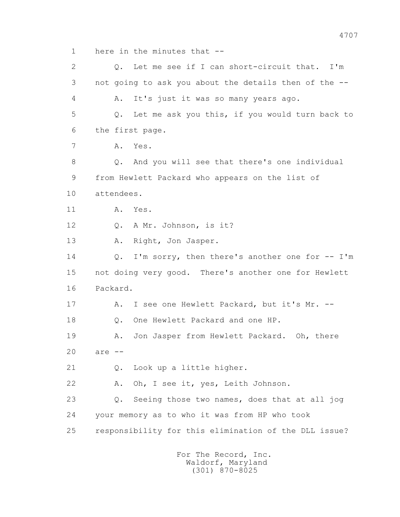1 here in the minutes that --

2 0. Let me see if I can short-circuit that. I'm 3 not going to ask you about the details then of the -- 4 A. It's just it was so many years ago. 5 Q. Let me ask you this, if you would turn back to 6 the first page. 7 A. Yes. 8 Q. And you will see that there's one individual 9 from Hewlett Packard who appears on the list of 10 attendees. 11 A. Yes. 12 Q. A Mr. Johnson, is it? 13 A. Right, Jon Jasper. 14 Q. I'm sorry, then there's another one for -- I'm 15 not doing very good. There's another one for Hewlett 16 Packard. 17 A. I see one Hewlett Packard, but it's Mr. -- 18 Q. One Hewlett Packard and one HP. 19 A. Jon Jasper from Hewlett Packard. Oh, there 20 are -- 21 Q. Look up a little higher. 22 A. Oh, I see it, yes, Leith Johnson. 23 Q. Seeing those two names, does that at all jog 24 your memory as to who it was from HP who took 25 responsibility for this elimination of the DLL issue?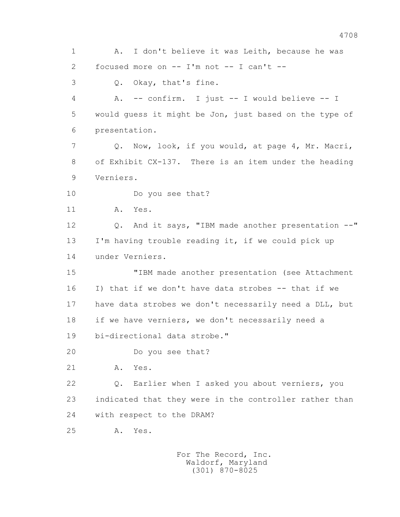1 A. I don't believe it was Leith, because he was 2 focused more on  $--$  I'm not  $--$  I can't  $--$  3 Q. Okay, that's fine. 4 A. -- confirm. I just -- I would believe -- I 5 would guess it might be Jon, just based on the type of 6 presentation. 7 Q. Now, look, if you would, at page 4, Mr. Macri, 8 of Exhibit CX-137. There is an item under the heading 9 Verniers. 10 Do you see that? 11 A. Yes. 12 Q. And it says, "IBM made another presentation --" 13 I'm having trouble reading it, if we could pick up 14 under Verniers. 15 "IBM made another presentation (see Attachment 16 I) that if we don't have data strobes -- that if we 17 have data strobes we don't necessarily need a DLL, but 18 if we have verniers, we don't necessarily need a 19 bi-directional data strobe." 20 Do you see that? 21 A. Yes. 22 Q. Earlier when I asked you about verniers, you 23 indicated that they were in the controller rather than 24 with respect to the DRAM? 25 A. Yes.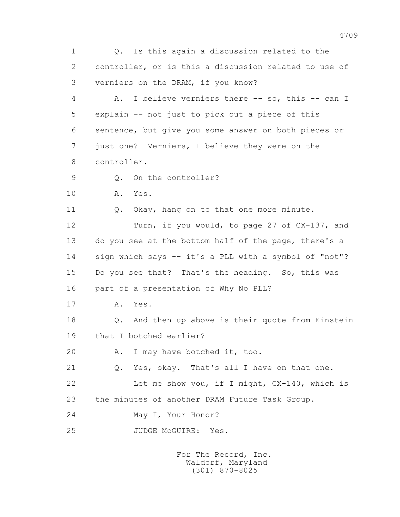1 Q. Is this again a discussion related to the 2 controller, or is this a discussion related to use of 3 verniers on the DRAM, if you know? 4 A. I believe verniers there -- so, this -- can I 5 explain -- not just to pick out a piece of this 6 sentence, but give you some answer on both pieces or 7 just one? Verniers, I believe they were on the 8 controller. 9 0. On the controller? 10 A. Yes. 11 O. Okay, hang on to that one more minute. 12 Turn, if you would, to page 27 of CX-137, and 13 do you see at the bottom half of the page, there's a 14 sign which says -- it's a PLL with a symbol of "not"? 15 Do you see that? That's the heading. So, this was 16 part of a presentation of Why No PLL? 17 A. Yes. 18 Q. And then up above is their quote from Einstein 19 that I botched earlier? 20 A. I may have botched it, too. 21 Q. Yes, okay. That's all I have on that one. 22 Let me show you, if I might, CX-140, which is 23 the minutes of another DRAM Future Task Group. 24 May I, Your Honor? 25 JUDGE McGUIRE: Yes.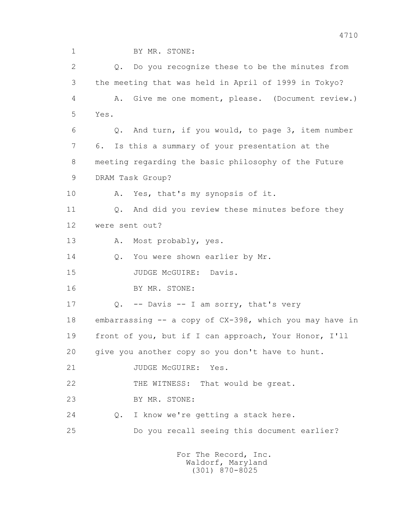1 BY MR. STONE:

 2 Q. Do you recognize these to be the minutes from 3 the meeting that was held in April of 1999 in Tokyo? 4 A. Give me one moment, please. (Document review.) 5 Yes. 6 Q. And turn, if you would, to page 3, item number 7 6. Is this a summary of your presentation at the 8 meeting regarding the basic philosophy of the Future 9 DRAM Task Group? 10 A. Yes, that's my synopsis of it. 11 0. And did you review these minutes before they 12 were sent out? 13 A. Most probably, yes. 14 O. You were shown earlier by Mr. 15 JUDGE McGUIRE: Davis. 16 BY MR. STONE: 17 Q. -- Davis -- I am sorry, that's very 18 embarrassing -- a copy of CX-398, which you may have in 19 front of you, but if I can approach, Your Honor, I'll 20 give you another copy so you don't have to hunt. 21 JUDGE McGUIRE: Yes. 22 THE WITNESS: That would be great. 23 BY MR. STONE: 24 Q. I know we're getting a stack here. 25 Do you recall seeing this document earlier?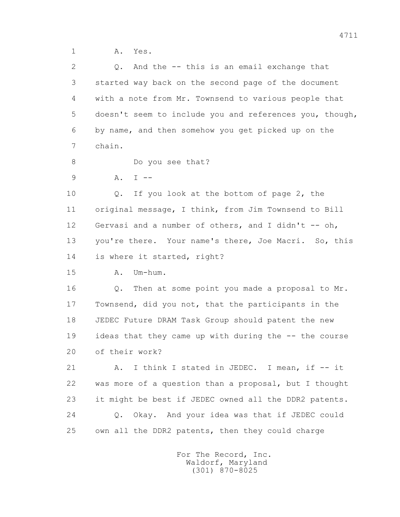1 A. Yes.

 2 Q. And the -- this is an email exchange that 3 started way back on the second page of the document 4 with a note from Mr. Townsend to various people that 5 doesn't seem to include you and references you, though, 6 by name, and then somehow you get picked up on the 7 chain. 8 Do you see that? 9 A. I -- 10 Q. If you look at the bottom of page 2, the 11 original message, I think, from Jim Townsend to Bill 12 Gervasi and a number of others, and I didn't -- oh, 13 you're there. Your name's there, Joe Macri. So, this 14 is where it started, right? 15 A. Um-hum. 16 0. Then at some point you made a proposal to Mr. 17 Townsend, did you not, that the participants in the 18 JEDEC Future DRAM Task Group should patent the new 19 ideas that they came up with during the -- the course 20 of their work? 21 A. I think I stated in JEDEC. I mean, if -- it 22 was more of a question than a proposal, but I thought 23 it might be best if JEDEC owned all the DDR2 patents. 24 Q. Okay. And your idea was that if JEDEC could 25 own all the DDR2 patents, then they could charge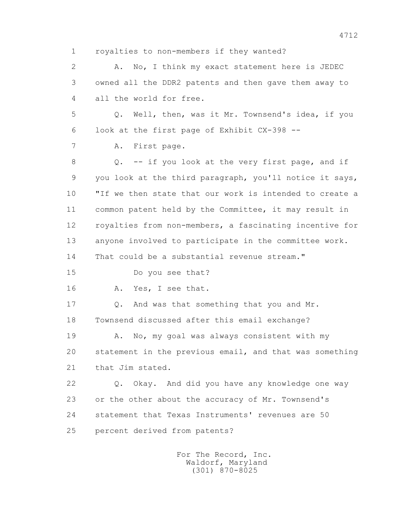1 royalties to non-members if they wanted? 2 A. No, I think my exact statement here is JEDEC 3 owned all the DDR2 patents and then gave them away to 4 all the world for free. 5 Q. Well, then, was it Mr. Townsend's idea, if you 6 look at the first page of Exhibit CX-398 -- 7 A. First page. 8 Q. -- if you look at the very first page, and if 9 you look at the third paragraph, you'll notice it says, 10 "If we then state that our work is intended to create a 11 common patent held by the Committee, it may result in 12 royalties from non-members, a fascinating incentive for 13 anyone involved to participate in the committee work. 14 That could be a substantial revenue stream." 15 Do you see that? 16 A. Yes, I see that. 17 Q. And was that something that you and Mr. 18 Townsend discussed after this email exchange? 19 A. No, my goal was always consistent with my 20 statement in the previous email, and that was something 21 that Jim stated. 22 Q. Okay. And did you have any knowledge one way 23 or the other about the accuracy of Mr. Townsend's 24 statement that Texas Instruments' revenues are 50 25 percent derived from patents?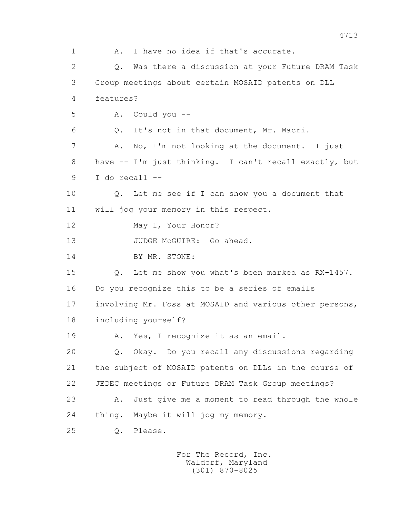1 A. I have no idea if that's accurate. 2 Q. Was there a discussion at your Future DRAM Task 3 Group meetings about certain MOSAID patents on DLL 4 features? 5 A. Could you -- 6 Q. It's not in that document, Mr. Macri. 7 A. No, I'm not looking at the document. I just 8 have -- I'm just thinking. I can't recall exactly, but 9 I do recall -- 10 Q. Let me see if I can show you a document that 11 will jog your memory in this respect. 12 May I, Your Honor? 13 JUDGE McGUIRE: Go ahead. 14 BY MR. STONE: 15 Q. Let me show you what's been marked as RX-1457. 16 Do you recognize this to be a series of emails 17 involving Mr. Foss at MOSAID and various other persons, 18 including yourself? 19 A. Yes, I recognize it as an email. 20 Q. Okay. Do you recall any discussions regarding 21 the subject of MOSAID patents on DLLs in the course of 22 JEDEC meetings or Future DRAM Task Group meetings? 23 A. Just give me a moment to read through the whole 24 thing. Maybe it will jog my memory. 25 Q. Please.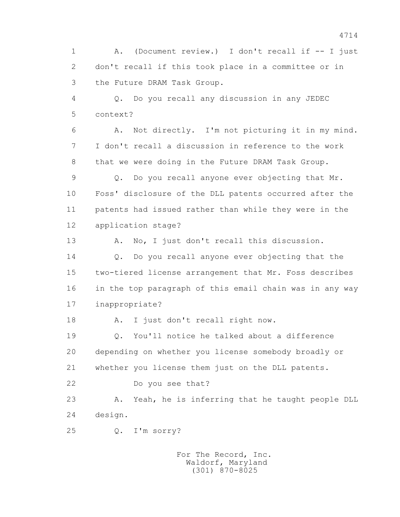1 A. (Document review.) I don't recall if -- I just 2 don't recall if this took place in a committee or in 3 the Future DRAM Task Group.

 4 Q. Do you recall any discussion in any JEDEC 5 context?

 6 A. Not directly. I'm not picturing it in my mind. 7 I don't recall a discussion in reference to the work 8 that we were doing in the Future DRAM Task Group.

 9 Q. Do you recall anyone ever objecting that Mr. 10 Foss' disclosure of the DLL patents occurred after the 11 patents had issued rather than while they were in the 12 application stage?

 13 A. No, I just don't recall this discussion. 14 0. Do you recall anyone ever objecting that the 15 two-tiered license arrangement that Mr. Foss describes 16 in the top paragraph of this email chain was in any way 17 inappropriate?

18 A. I just don't recall right now.

 19 Q. You'll notice he talked about a difference 20 depending on whether you license somebody broadly or 21 whether you license them just on the DLL patents.

22 Do you see that?

 23 A. Yeah, he is inferring that he taught people DLL 24 design.

25 Q. I'm sorry?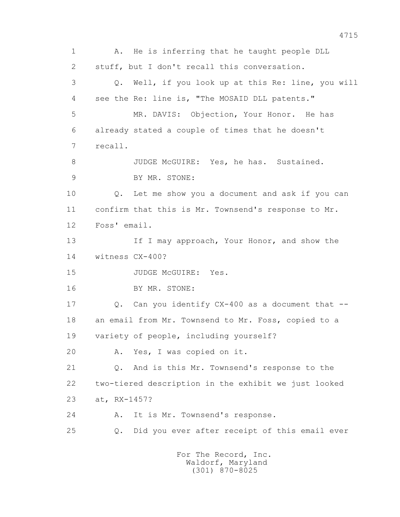1 A. He is inferring that he taught people DLL 2 stuff, but I don't recall this conversation. 3 Q. Well, if you look up at this Re: line, you will 4 see the Re: line is, "The MOSAID DLL patents." 5 MR. DAVIS: Objection, Your Honor. He has 6 already stated a couple of times that he doesn't 7 recall. 8 JUDGE McGUIRE: Yes, he has. Sustained. 9 BY MR. STONE: 10 Q. Let me show you a document and ask if you can 11 confirm that this is Mr. Townsend's response to Mr. 12 Foss' email. 13 If I may approach, Your Honor, and show the 14 witness CX-400? 15 JUDGE McGUIRE: Yes. 16 BY MR. STONE: 17 Q. Can you identify CX-400 as a document that -- 18 an email from Mr. Townsend to Mr. Foss, copied to a 19 variety of people, including yourself? 20 A. Yes, I was copied on it. 21 Q. And is this Mr. Townsend's response to the 22 two-tiered description in the exhibit we just looked 23 at, RX-1457? 24 A. It is Mr. Townsend's response. 25 Q. Did you ever after receipt of this email ever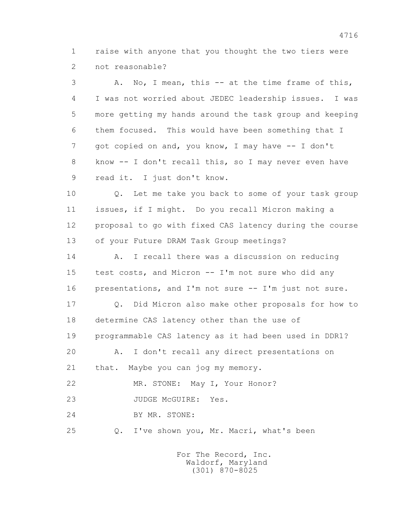1 raise with anyone that you thought the two tiers were 2 not reasonable?

 3 A. No, I mean, this -- at the time frame of this, 4 I was not worried about JEDEC leadership issues. I was 5 more getting my hands around the task group and keeping 6 them focused. This would have been something that I 7 got copied on and, you know, I may have -- I don't 8 know -- I don't recall this, so I may never even have 9 read it. I just don't know.

 10 Q. Let me take you back to some of your task group 11 issues, if I might. Do you recall Micron making a 12 proposal to go with fixed CAS latency during the course 13 of your Future DRAM Task Group meetings?

 14 A. I recall there was a discussion on reducing 15 test costs, and Micron -- I'm not sure who did any 16 presentations, and I'm not sure -- I'm just not sure.

 17 Q. Did Micron also make other proposals for how to 18 determine CAS latency other than the use of 19 programmable CAS latency as it had been used in DDR1?

20 A. I don't recall any direct presentations on

21 that. Maybe you can jog my memory.

22 MR. STONE: May I, Your Honor?

23 JUDGE McGUIRE: Yes.

24 BY MR. STONE:

25 Q. I've shown you, Mr. Macri, what's been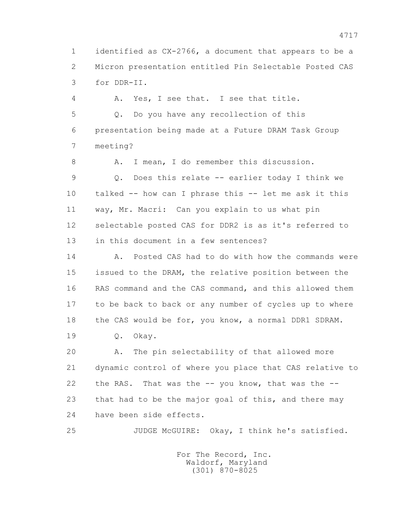1 identified as CX-2766, a document that appears to be a 2 Micron presentation entitled Pin Selectable Posted CAS 3 for DDR-II.

 4 A. Yes, I see that. I see that title. 5 Q. Do you have any recollection of this 6 presentation being made at a Future DRAM Task Group 7 meeting?

8 A. I mean, I do remember this discussion. 9 Q. Does this relate -- earlier today I think we 10 talked -- how can I phrase this -- let me ask it this 11 way, Mr. Macri: Can you explain to us what pin 12 selectable posted CAS for DDR2 is as it's referred to 13 in this document in a few sentences?

 14 A. Posted CAS had to do with how the commands were 15 issued to the DRAM, the relative position between the 16 RAS command and the CAS command, and this allowed them 17 to be back to back or any number of cycles up to where 18 the CAS would be for, you know, a normal DDR1 SDRAM.

19 Q. Okay.

 20 A. The pin selectability of that allowed more 21 dynamic control of where you place that CAS relative to 22 the RAS. That was the -- you know, that was the -- 23 that had to be the major goal of this, and there may 24 have been side effects.

25 JUDGE McGUIRE: Okay, I think he's satisfied.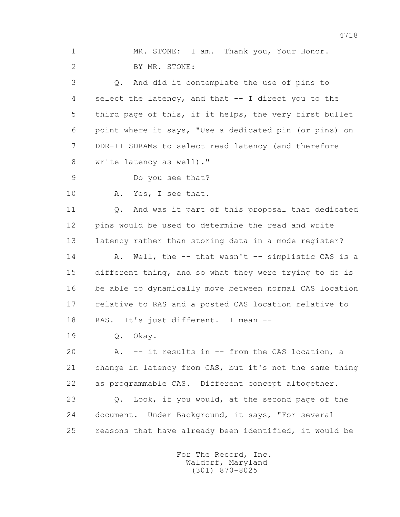1 MR. STONE: I am. Thank you, Your Honor. 2 BY MR. STONE: 3 Q. And did it contemplate the use of pins to 4 select the latency, and that -- I direct you to the 5 third page of this, if it helps, the very first bullet 6 point where it says, "Use a dedicated pin (or pins) on 7 DDR-II SDRAMs to select read latency (and therefore 8 write latency as well)." 9 Do you see that? 10 A. Yes, I see that. 11 Q. And was it part of this proposal that dedicated 12 pins would be used to determine the read and write 13 latency rather than storing data in a mode register? 14 A. Well, the -- that wasn't -- simplistic CAS is a 15 different thing, and so what they were trying to do is 16 be able to dynamically move between normal CAS location 17 relative to RAS and a posted CAS location relative to 18 RAS. It's just different. I mean -- 19 Q. Okay. 20 A. -- it results in -- from the CAS location, a 21 change in latency from CAS, but it's not the same thing 22 as programmable CAS. Different concept altogether. 23 Q. Look, if you would, at the second page of the 24 document. Under Background, it says, "For several 25 reasons that have already been identified, it would be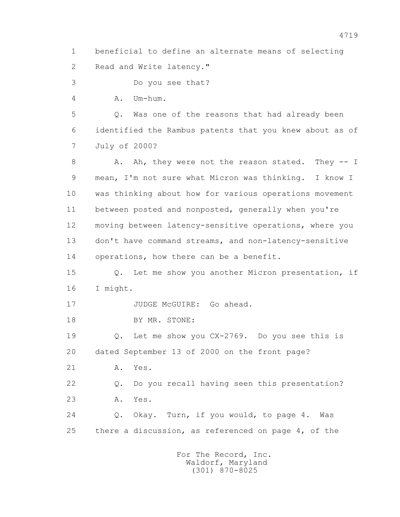1 beneficial to define an alternate means of selecting 2 Read and Write latency."

3 Do you see that?

4 A. Um-hum.

 5 Q. Was one of the reasons that had already been 6 identified the Rambus patents that you knew about as of 7 July of 2000?

8 A. Ah, they were not the reason stated. They -- I 9 mean, I'm not sure what Micron was thinking. I know I 10 was thinking about how for various operations movement 11 between posted and nonposted, generally when you're 12 moving between latency-sensitive operations, where you 13 don't have command streams, and non-latency-sensitive 14 operations, how there can be a benefit.

15 Q. Let me show you another Micron presentation, if 16 I might.

17 JUDGE McGUIRE: Go ahead.

18 BY MR. STONE:

 19 Q. Let me show you CX-2769. Do you see this is 20 dated September 13 of 2000 on the front page?

21 A. Yes.

 22 Q. Do you recall having seen this presentation? 23 A. Yes.

 24 Q. Okay. Turn, if you would, to page 4. Was 25 there a discussion, as referenced on page 4, of the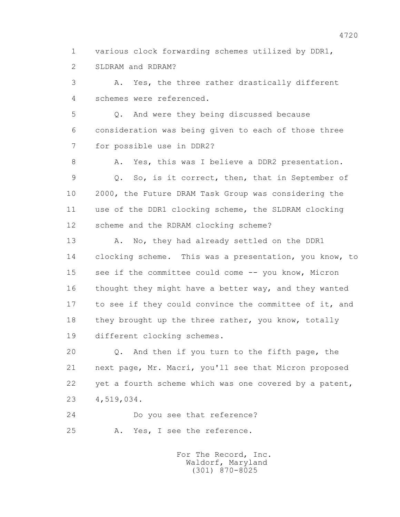1 various clock forwarding schemes utilized by DDR1,

2 SLDRAM and RDRAM?

 3 A. Yes, the three rather drastically different 4 schemes were referenced.

 5 Q. And were they being discussed because 6 consideration was being given to each of those three 7 for possible use in DDR2?

8 A. Yes, this was I believe a DDR2 presentation. 9 Q. So, is it correct, then, that in September of 10 2000, the Future DRAM Task Group was considering the 11 use of the DDR1 clocking scheme, the SLDRAM clocking 12 scheme and the RDRAM clocking scheme?

13 A. No, they had already settled on the DDR1 14 clocking scheme. This was a presentation, you know, to 15 see if the committee could come -- you know, Micron 16 thought they might have a better way, and they wanted 17 to see if they could convince the committee of it, and 18 they brought up the three rather, you know, totally 19 different clocking schemes.

 20 Q. And then if you turn to the fifth page, the 21 next page, Mr. Macri, you'll see that Micron proposed 22 yet a fourth scheme which was one covered by a patent, 23 4,519,034.

 24 Do you see that reference? 25 A. Yes, I see the reference.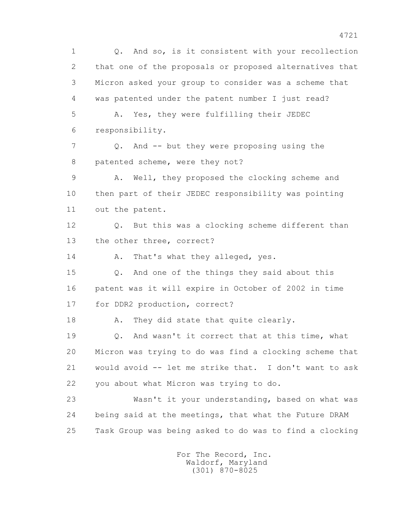1 Q. And so, is it consistent with your recollection 2 that one of the proposals or proposed alternatives that 3 Micron asked your group to consider was a scheme that 4 was patented under the patent number I just read? 5 A. Yes, they were fulfilling their JEDEC 6 responsibility. 7 Q. And -- but they were proposing using the 8 patented scheme, were they not? 9 A. Well, they proposed the clocking scheme and 10 then part of their JEDEC responsibility was pointing 11 out the patent. 12 Q. But this was a clocking scheme different than 13 the other three, correct? 14 A. That's what they alleged, yes. 15 Q. And one of the things they said about this 16 patent was it will expire in October of 2002 in time 17 for DDR2 production, correct? 18 A. They did state that quite clearly. 19 Q. And wasn't it correct that at this time, what 20 Micron was trying to do was find a clocking scheme that 21 would avoid -- let me strike that. I don't want to ask 22 you about what Micron was trying to do. 23 Wasn't it your understanding, based on what was 24 being said at the meetings, that what the Future DRAM 25 Task Group was being asked to do was to find a clocking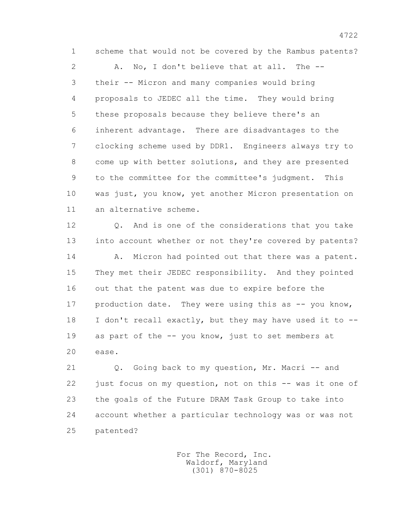1 scheme that would not be covered by the Rambus patents?

2 A. No, I don't believe that at all. The -- 3 their -- Micron and many companies would bring 4 proposals to JEDEC all the time. They would bring 5 these proposals because they believe there's an 6 inherent advantage. There are disadvantages to the 7 clocking scheme used by DDR1. Engineers always try to 8 come up with better solutions, and they are presented 9 to the committee for the committee's judgment. This 10 was just, you know, yet another Micron presentation on 11 an alternative scheme.

 12 Q. And is one of the considerations that you take 13 into account whether or not they're covered by patents? 14 A. Micron had pointed out that there was a patent. 15 They met their JEDEC responsibility. And they pointed 16 out that the patent was due to expire before the 17 production date. They were using this as -- you know, 18 I don't recall exactly, but they may have used it to -- 19 as part of the -- you know, just to set members at 20 ease.

21 Q. Going back to my question, Mr. Macri -- and 22 just focus on my question, not on this -- was it one of 23 the goals of the Future DRAM Task Group to take into 24 account whether a particular technology was or was not 25 patented?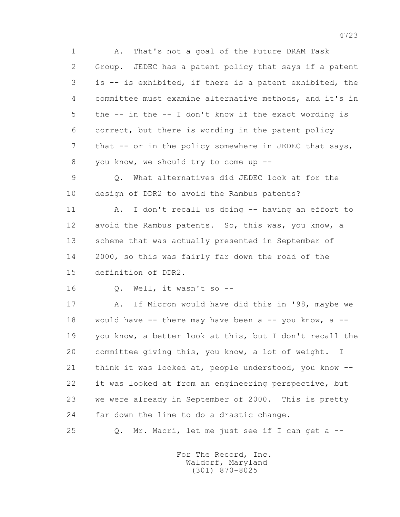1 A. That's not a goal of the Future DRAM Task 2 Group. JEDEC has a patent policy that says if a patent 3 is -- is exhibited, if there is a patent exhibited, the 4 committee must examine alternative methods, and it's in 5 the -- in the -- I don't know if the exact wording is 6 correct, but there is wording in the patent policy 7 that -- or in the policy somewhere in JEDEC that says, 8 you know, we should try to come up --

 9 Q. What alternatives did JEDEC look at for the 10 design of DDR2 to avoid the Rambus patents?

 11 A. I don't recall us doing -- having an effort to 12 avoid the Rambus patents. So, this was, you know, a 13 scheme that was actually presented in September of 14 2000, so this was fairly far down the road of the 15 definition of DDR2.

16 Q. Well, it wasn't so --

17 A. If Micron would have did this in '98, maybe we 18 would have  $--$  there may have been a  $--$  you know, a  $--$  19 you know, a better look at this, but I don't recall the 20 committee giving this, you know, a lot of weight. I 21 think it was looked at, people understood, you know -- 22 it was looked at from an engineering perspective, but 23 we were already in September of 2000. This is pretty 24 far down the line to do a drastic change.

25 Q. Mr. Macri, let me just see if I can get a --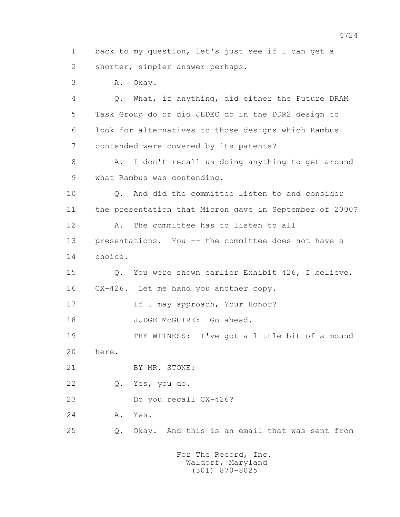1 back to my question, let's just see if I can get a 2 shorter, simpler answer perhaps.

3 A. Okay.

 4 Q. What, if anything, did either the Future DRAM 5 Task Group do or did JEDEC do in the DDR2 design to 6 look for alternatives to those designs which Rambus 7 contended were covered by its patents?

 8 A. I don't recall us doing anything to get around 9 what Rambus was contending.

 10 Q. And did the committee listen to and consider 11 the presentation that Micron gave in September of 2000?

 12 A. The committee has to listen to all 13 presentations. You -- the committee does not have a 14 choice.

 15 Q. You were shown earlier Exhibit 426, I believe, 16 CX-426. Let me hand you another copy.

17 If I may approach, Your Honor?

18 JUDGE McGUIRE: Go ahead.

19 THE WITNESS: I've got a little bit of a mound 20 here.

21 BY MR. STONE:

22 Q. Yes, you do.

23 Do you recall CX-426?

24 A. Yes.

25 Q. Okay. And this is an email that was sent from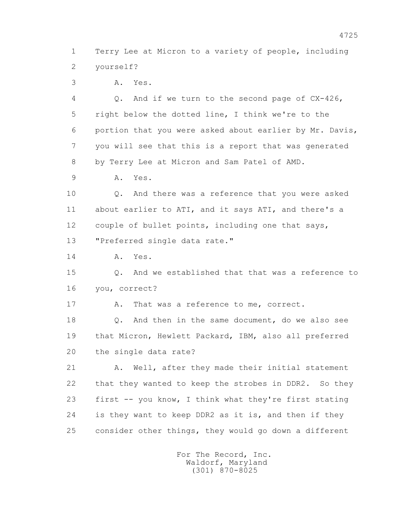1 Terry Lee at Micron to a variety of people, including 2 yourself?

3 A. Yes.

 4 Q. And if we turn to the second page of CX-426, 5 right below the dotted line, I think we're to the 6 portion that you were asked about earlier by Mr. Davis, 7 you will see that this is a report that was generated 8 by Terry Lee at Micron and Sam Patel of AMD.

9 A. Yes.

 10 Q. And there was a reference that you were asked 11 about earlier to ATI, and it says ATI, and there's a 12 couple of bullet points, including one that says, 13 "Preferred single data rate."

14 A. Yes.

 15 Q. And we established that that was a reference to 16 you, correct?

17 A. That was a reference to me, correct. 18 Q. And then in the same document, do we also see 19 that Micron, Hewlett Packard, IBM, also all preferred 20 the single data rate?

 21 A. Well, after they made their initial statement 22 that they wanted to keep the strobes in DDR2. So they 23 first -- you know, I think what they're first stating 24 is they want to keep DDR2 as it is, and then if they 25 consider other things, they would go down a different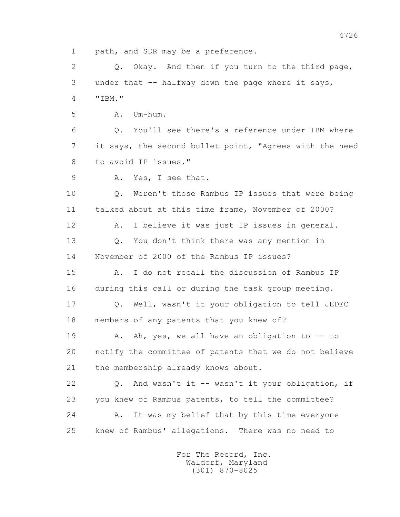1 path, and SDR may be a preference.

2 0. Okay. And then if you turn to the third page, 3 under that -- halfway down the page where it says, 4 "IBM."  $5$   $A$   $IIm-h_1$  $m$ . 6 Q. You'll see there's a reference under IBM where 7 it says, the second bullet point, "Agrees with the need 8 to avoid IP issues." 9 A. Yes, I see that. 10 Q. Weren't those Rambus IP issues that were being 11 talked about at this time frame, November of 2000? 12 A. I believe it was just IP issues in general. 13 Q. You don't think there was any mention in 14 November of 2000 of the Rambus IP issues? 15 A. I do not recall the discussion of Rambus IP 16 during this call or during the task group meeting. 17 Q. Well, wasn't it your obligation to tell JEDEC 18 members of any patents that you knew of? 19 A. Ah, yes, we all have an obligation to -- to 20 notify the committee of patents that we do not believe 21 the membership already knows about. 22 Q. And wasn't it -- wasn't it your obligation, if 23 you knew of Rambus patents, to tell the committee? 24 A. It was my belief that by this time everyone 25 knew of Rambus' allegations. There was no need to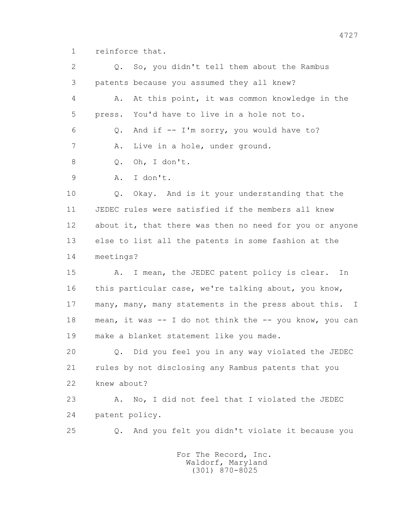1 reinforce that.

 2 Q. So, you didn't tell them about the Rambus 3 patents because you assumed they all knew? 4 A. At this point, it was common knowledge in the 5 press. You'd have to live in a hole not to. 6 Q. And if -- I'm sorry, you would have to? 7 A. Live in a hole, under ground. 8 Q. Oh, I don't. 9 A. I don't. 10 Q. Okay. And is it your understanding that the 11 JEDEC rules were satisfied if the members all knew 12 about it, that there was then no need for you or anyone 13 else to list all the patents in some fashion at the 14 meetings? 15 A. I mean, the JEDEC patent policy is clear. In 16 this particular case, we're talking about, you know, 17 many, many, many statements in the press about this. I 18 mean, it was -- I do not think the -- you know, you can 19 make a blanket statement like you made. 20 Q. Did you feel you in any way violated the JEDEC 21 rules by not disclosing any Rambus patents that you 22 knew about? 23 A. No, I did not feel that I violated the JEDEC 24 patent policy. 25 Q. And you felt you didn't violate it because you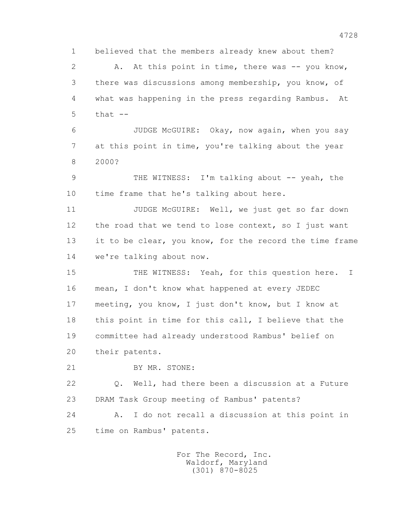1 believed that the members already knew about them? 2 A. At this point in time, there was -- you know, 3 there was discussions among membership, you know, of 4 what was happening in the press regarding Rambus. At  $5$  that  $-$  6 JUDGE McGUIRE: Okay, now again, when you say 7 at this point in time, you're talking about the year 8 2000? 9 THE WITNESS: I'm talking about -- yeah, the 10 time frame that he's talking about here. 11 JUDGE McGUIRE: Well, we just get so far down 12 the road that we tend to lose context, so I just want 13 it to be clear, you know, for the record the time frame 14 we're talking about now. 15 THE WITNESS: Yeah, for this question here. I 16 mean, I don't know what happened at every JEDEC 17 meeting, you know, I just don't know, but I know at 18 this point in time for this call, I believe that the 19 committee had already understood Rambus' belief on 20 their patents. 21 BY MR. STONE: 22 Q. Well, had there been a discussion at a Future 23 DRAM Task Group meeting of Rambus' patents? 24 A. I do not recall a discussion at this point in 25 time on Rambus' patents.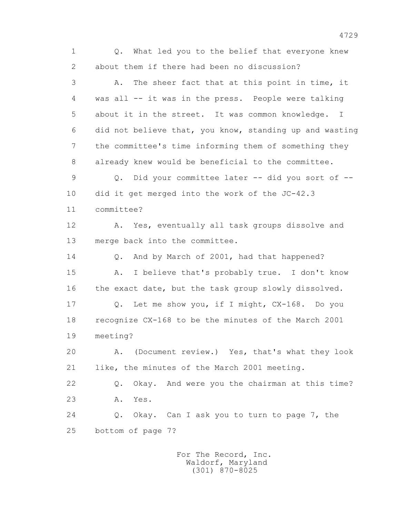1 Q. What led you to the belief that everyone knew 2 about them if there had been no discussion? 3 A. The sheer fact that at this point in time, it 4 was all -- it was in the press. People were talking 5 about it in the street. It was common knowledge. I 6 did not believe that, you know, standing up and wasting 7 the committee's time informing them of something they 8 already knew would be beneficial to the committee. 9 Q. Did your committee later -- did you sort of -- 10 did it get merged into the work of the JC-42.3 11 committee? 12 A. Yes, eventually all task groups dissolve and 13 merge back into the committee. 14 0. And by March of 2001, had that happened? 15 A. I believe that's probably true. I don't know 16 the exact date, but the task group slowly dissolved. 17 Q. Let me show you, if I might, CX-168. Do you 18 recognize CX-168 to be the minutes of the March 2001 19 meeting? 20 A. (Document review.) Yes, that's what they look 21 like, the minutes of the March 2001 meeting. 22 Q. Okay. And were you the chairman at this time? 23 A. Yes. 24 Q. Okay. Can I ask you to turn to page 7, the 25 bottom of page 7?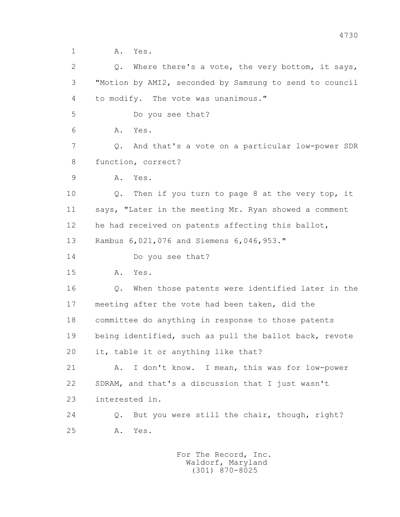1 **A.** Yes.

 2 Q. Where there's a vote, the very bottom, it says, 3 "Motion by AMI2, seconded by Samsung to send to council 4 to modify. The vote was unanimous." 5 Do you see that? 6 A. Yes. 7 Q. And that's a vote on a particular low-power SDR 8 function, correct? 9 A. Yes. 10 Q. Then if you turn to page 8 at the very top, it 11 says, "Later in the meeting Mr. Ryan showed a comment 12 he had received on patents affecting this ballot, 13 Rambus 6,021,076 and Siemens 6,046,953." 14 Do you see that? 15 A. Yes. 16 Q. When those patents were identified later in the 17 meeting after the vote had been taken, did the 18 committee do anything in response to those patents 19 being identified, such as pull the ballot back, revote 20 it, table it or anything like that? 21 A. I don't know. I mean, this was for low-power 22 SDRAM, and that's a discussion that I just wasn't 23 interested in. 24 Q. But you were still the chair, though, right? 25 A. Yes.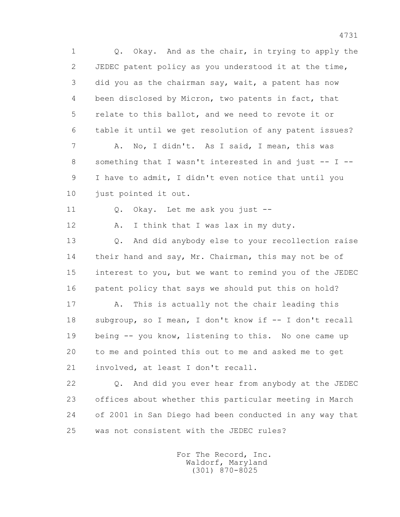1 Q. Okay. And as the chair, in trying to apply the 2 JEDEC patent policy as you understood it at the time, 3 did you as the chairman say, wait, a patent has now 4 been disclosed by Micron, two patents in fact, that 5 relate to this ballot, and we need to revote it or 6 table it until we get resolution of any patent issues? 7 A. No, I didn't. As I said, I mean, this was 8 something that I wasn't interested in and just -- I -- 9 I have to admit, I didn't even notice that until you 10 just pointed it out. 11 0. Okay. Let me ask you just --12 A. I think that I was lax in my duty. 13 Q. And did anybody else to your recollection raise

14 their hand and say, Mr. Chairman, this may not be of 15 interest to you, but we want to remind you of the JEDEC 16 patent policy that says we should put this on hold?

 17 A. This is actually not the chair leading this 18 subgroup, so I mean, I don't know if -- I don't recall 19 being -- you know, listening to this. No one came up 20 to me and pointed this out to me and asked me to get 21 involved, at least I don't recall.

 22 Q. And did you ever hear from anybody at the JEDEC 23 offices about whether this particular meeting in March 24 of 2001 in San Diego had been conducted in any way that 25 was not consistent with the JEDEC rules?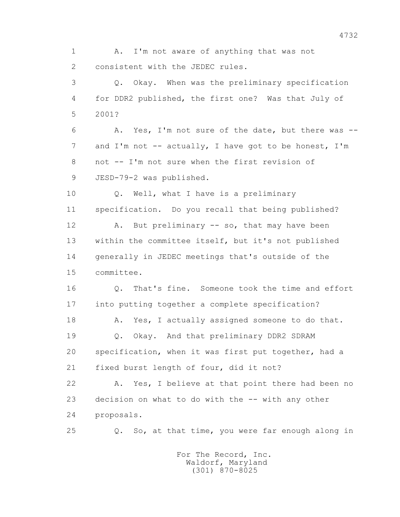1 A. I'm not aware of anything that was not 2 consistent with the JEDEC rules.

 3 Q. Okay. When was the preliminary specification 4 for DDR2 published, the first one? Was that July of 5 2001?

 6 A. Yes, I'm not sure of the date, but there was -- 7 and I'm not -- actually, I have got to be honest, I'm 8 not -- I'm not sure when the first revision of 9 JESD-79-2 was published.

 10 Q. Well, what I have is a preliminary 11 specification. Do you recall that being published?

12 A. But preliminary -- so, that may have been 13 within the committee itself, but it's not published 14 generally in JEDEC meetings that's outside of the 15 committee.

 16 Q. That's fine. Someone took the time and effort 17 into putting together a complete specification?

18 A. Yes, I actually assigned someone to do that. 19 Q. Okay. And that preliminary DDR2 SDRAM 20 specification, when it was first put together, had a 21 fixed burst length of four, did it not?

 22 A. Yes, I believe at that point there had been no 23 decision on what to do with the -- with any other 24 proposals.

25 Q. So, at that time, you were far enough along in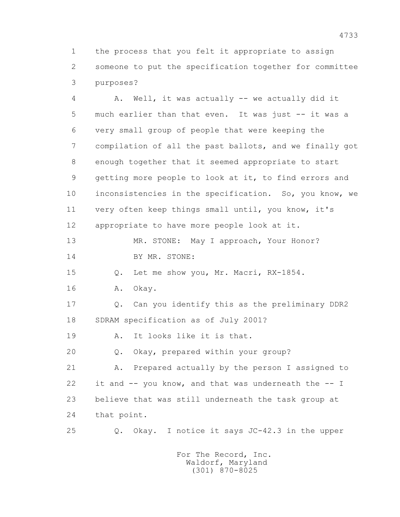1 the process that you felt it appropriate to assign 2 someone to put the specification together for committee 3 purposes?

 4 A. Well, it was actually -- we actually did it 5 much earlier than that even. It was just -- it was a 6 very small group of people that were keeping the 7 compilation of all the past ballots, and we finally got 8 enough together that it seemed appropriate to start 9 getting more people to look at it, to find errors and 10 inconsistencies in the specification. So, you know, we 11 very often keep things small until, you know, it's 12 appropriate to have more people look at it. 13 MR. STONE: May I approach, Your Honor? 14 BY MR. STONE: 15 Q. Let me show you, Mr. Macri, RX-1854. 16 A. Okay. 17 Q. Can you identify this as the preliminary DDR2 18 SDRAM specification as of July 2001? 19 A. It looks like it is that. 20 Q. Okay, prepared within your group? 21 A. Prepared actually by the person I assigned to 22 it and -- you know, and that was underneath the -- I 23 believe that was still underneath the task group at 24 that point. 25 Q. Okay. I notice it says JC-42.3 in the upper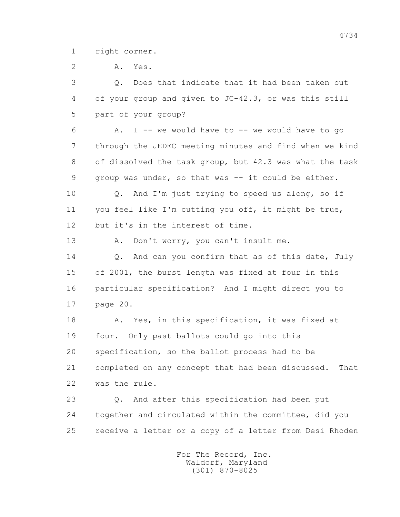1 right corner.

2 A. Yes.

 3 Q. Does that indicate that it had been taken out 4 of your group and given to JC-42.3, or was this still 5 part of your group?

 $6$  A. I -- we would have to -- we would have to go 7 through the JEDEC meeting minutes and find when we kind 8 of dissolved the task group, but 42.3 was what the task 9 group was under, so that was -- it could be either.

 10 Q. And I'm just trying to speed us along, so if 11 you feel like I'm cutting you off, it might be true, 12 but it's in the interest of time.

13 A. Don't worry, you can't insult me.

14 0. And can you confirm that as of this date, July 15 of 2001, the burst length was fixed at four in this 16 particular specification? And I might direct you to 17 page 20.

 18 A. Yes, in this specification, it was fixed at 19 four. Only past ballots could go into this 20 specification, so the ballot process had to be 21 completed on any concept that had been discussed. That 22 was the rule.

 23 Q. And after this specification had been put 24 together and circulated within the committee, did you 25 receive a letter or a copy of a letter from Desi Rhoden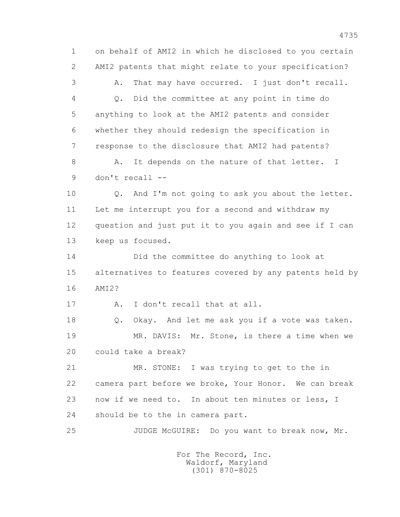1 on behalf of AMI2 in which he disclosed to you certain 2 AMI2 patents that might relate to your specification? 3 A. That may have occurred. I just don't recall. 4 Q. Did the committee at any point in time do 5 anything to look at the AMI2 patents and consider 6 whether they should redesign the specification in 7 response to the disclosure that AMI2 had patents? 8 A. It depends on the nature of that letter. I 9 don't recall -- 10 Q. And I'm not going to ask you about the letter. 11 Let me interrupt you for a second and withdraw my 12 question and just put it to you again and see if I can 13 keep us focused. 14 Did the committee do anything to look at 15 alternatives to features covered by any patents held by 16 AMI2? 17 A. I don't recall that at all. 18 Q. Okay. And let me ask you if a vote was taken. 19 MR. DAVIS: Mr. Stone, is there a time when we 20 could take a break? 21 MR. STONE: I was trying to get to the in 22 camera part before we broke, Your Honor. We can break 23 now if we need to. In about ten minutes or less, I 24 should be to the in camera part. 25 JUDGE McGUIRE: Do you want to break now, Mr.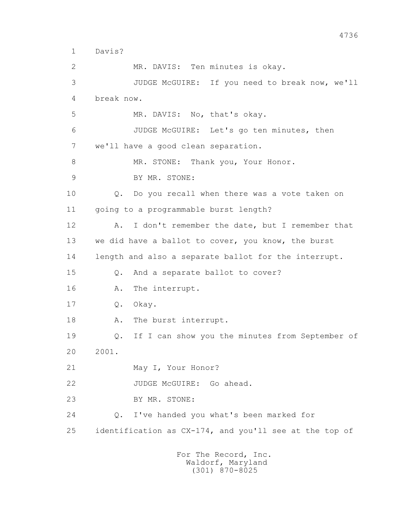1 Davis?

 2 MR. DAVIS: Ten minutes is okay. 3 JUDGE McGUIRE: If you need to break now, we'll 4 break now. 5 MR. DAVIS: No, that's okay. 6 JUDGE McGUIRE: Let's go ten minutes, then 7 we'll have a good clean separation. 8 MR. STONE: Thank you, Your Honor. 9 BY MR. STONE: 10 Q. Do you recall when there was a vote taken on 11 going to a programmable burst length? 12 A. I don't remember the date, but I remember that 13 we did have a ballot to cover, you know, the burst 14 length and also a separate ballot for the interrupt. 15 Q. And a separate ballot to cover? 16 A. The interrupt. 17 Q. Okay. 18 A. The burst interrupt. 19 Q. If I can show you the minutes from September of 20 2001. 21 May I, Your Honor? 22 JUDGE McGUIRE: Go ahead. 23 BY MR. STONE: 24 Q. I've handed you what's been marked for 25 identification as CX-174, and you'll see at the top of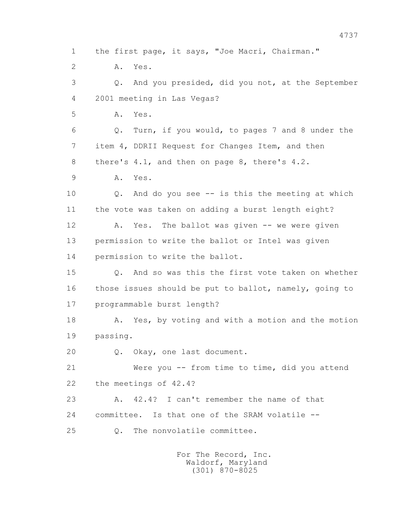1 the first page, it says, "Joe Macri, Chairman." 2 A. Yes. 3 Q. And you presided, did you not, at the September 4 2001 meeting in Las Vegas? 5 A. Yes. 6 Q. Turn, if you would, to pages 7 and 8 under the 7 item 4, DDRII Request for Changes Item, and then 8 there's 4.1, and then on page 8, there's 4.2. 9 A. Yes. 10 Q. And do you see -- is this the meeting at which 11 the vote was taken on adding a burst length eight? 12 A. Yes. The ballot was given -- we were given 13 permission to write the ballot or Intel was given 14 permission to write the ballot. 15 Q. And so was this the first vote taken on whether 16 those issues should be put to ballot, namely, going to 17 programmable burst length? 18 A. Yes, by voting and with a motion and the motion 19 passing. 20 Q. Okay, one last document. 21 Were you -- from time to time, did you attend 22 the meetings of 42.4? 23 A. 42.4? I can't remember the name of that 24 committee. Is that one of the SRAM volatile -- 25 Q. The nonvolatile committee.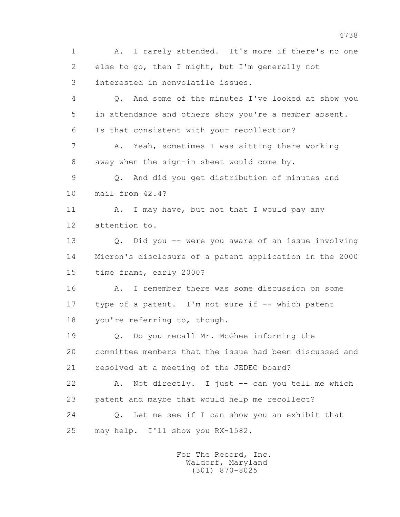1 A. I rarely attended. It's more if there's no one 2 else to go, then I might, but I'm generally not 3 interested in nonvolatile issues. 4 Q. And some of the minutes I've looked at show you 5 in attendance and others show you're a member absent. 6 Is that consistent with your recollection? 7 A. Yeah, sometimes I was sitting there working 8 away when the sign-in sheet would come by. 9 Q. And did you get distribution of minutes and 10 mail from 42.4? 11 A. I may have, but not that I would pay any 12 attention to. 13 Q. Did you -- were you aware of an issue involving 14 Micron's disclosure of a patent application in the 2000 15 time frame, early 2000? 16 A. I remember there was some discussion on some 17 type of a patent. I'm not sure if -- which patent 18 you're referring to, though. 19 Q. Do you recall Mr. McGhee informing the 20 committee members that the issue had been discussed and 21 resolved at a meeting of the JEDEC board? 22 A. Not directly. I just -- can you tell me which 23 patent and maybe that would help me recollect? 24 Q. Let me see if I can show you an exhibit that 25 may help. I'll show you RX-1582.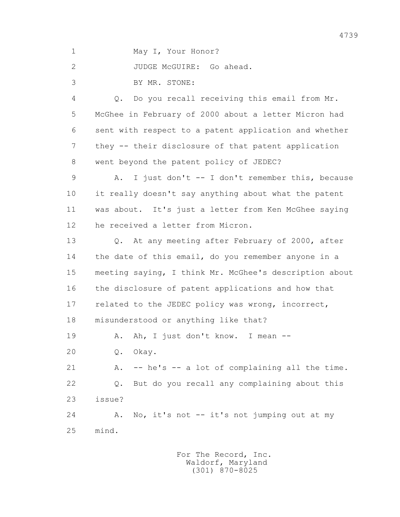1 May I, Your Honor?

2 JUDGE McGUIRE: Go ahead.

3 BY MR. STONE:

 4 Q. Do you recall receiving this email from Mr. 5 McGhee in February of 2000 about a letter Micron had 6 sent with respect to a patent application and whether 7 they -- their disclosure of that patent application 8 went beyond the patent policy of JEDEC?

 9 A. I just don't -- I don't remember this, because 10 it really doesn't say anything about what the patent 11 was about. It's just a letter from Ken McGhee saying 12 he received a letter from Micron.

13 0. At any meeting after February of 2000, after 14 the date of this email, do you remember anyone in a 15 meeting saying, I think Mr. McGhee's description about 16 the disclosure of patent applications and how that 17 related to the JEDEC policy was wrong, incorrect, 18 misunderstood or anything like that?

19 A. Ah, I just don't know. I mean --

20 Q. Okay.

 21 A. -- he's -- a lot of complaining all the time. 22 Q. But do you recall any complaining about this 23 issue?

 24 A. No, it's not -- it's not jumping out at my 25 mind.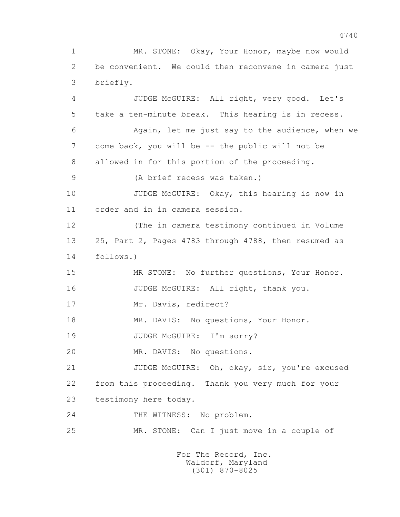1 MR. STONE: Okay, Your Honor, maybe now would 2 be convenient. We could then reconvene in camera just 3 briefly.

 4 JUDGE McGUIRE: All right, very good. Let's 5 take a ten-minute break. This hearing is in recess. 6 Again, let me just say to the audience, when we 7 come back, you will be -- the public will not be 8 allowed in for this portion of the proceeding. 9 (A brief recess was taken.) 10 JUDGE McGUIRE: Okay, this hearing is now in 11 order and in in camera session. 12 (The in camera testimony continued in Volume 13 25, Part 2, Pages 4783 through 4788, then resumed as 14 follows.) 15 MR STONE: No further questions, Your Honor. 16 JUDGE McGUIRE: All right, thank you. 17 Mr. Davis, redirect? 18 MR. DAVIS: No questions, Your Honor. 19 JUDGE McGUIRE: I'm sorry? 20 MR. DAVIS: No questions. 21 JUDGE McGUIRE: Oh, okay, sir, you're excused 22 from this proceeding. Thank you very much for your 23 testimony here today. 24 THE WITNESS: No problem. 25 MR. STONE: Can I just move in a couple of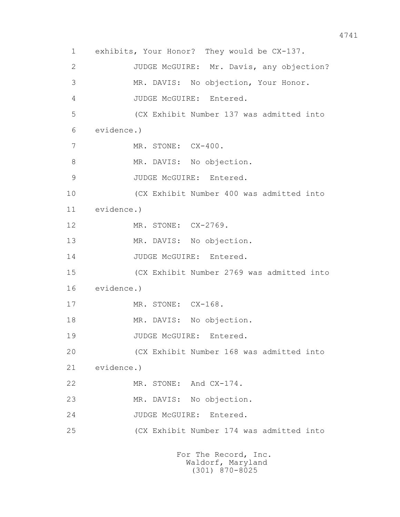1 exhibits, Your Honor? They would be CX-137. 2 JUDGE McGUIRE: Mr. Davis, any objection? 3 MR. DAVIS: No objection, Your Honor. 4 JUDGE McGUIRE: Entered. 5 (CX Exhibit Number 137 was admitted into 6 evidence.) 7 MR. STONE: CX-400. 8 MR. DAVIS: No objection. 9 JUDGE McGUIRE: Entered. 10 (CX Exhibit Number 400 was admitted into 11 evidence.) 12 MR. STONE: CX-2769. 13 MR. DAVIS: No objection. 14 JUDGE McGUIRE: Entered. 15 (CX Exhibit Number 2769 was admitted into 16 evidence.) 17 MR. STONE: CX-168. 18 MR. DAVIS: No objection. 19 JUDGE McGUIRE: Entered. 20 (CX Exhibit Number 168 was admitted into 21 evidence.) 22 MR. STONE: And CX-174. 23 MR. DAVIS: No objection. 24 JUDGE McGUIRE: Entered. 25 (CX Exhibit Number 174 was admitted into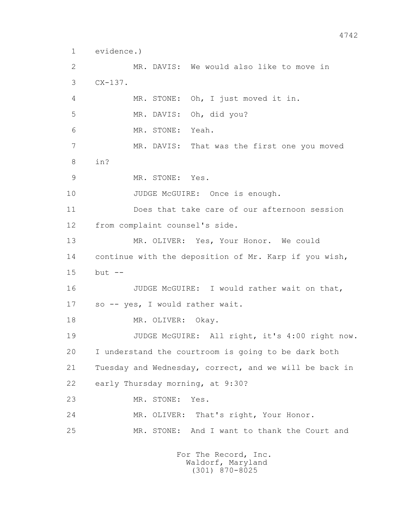1 evidence.)

 2 MR. DAVIS: We would also like to move in 3 CX-137. 4 MR. STONE: Oh, I just moved it in. 5 MR. DAVIS: Oh, did you? 6 MR. STONE: Yeah. 7 MR. DAVIS: That was the first one you moved 8 in? 9 MR. STONE: Yes. 10 JUDGE McGUIRE: Once is enough. 11 Does that take care of our afternoon session 12 from complaint counsel's side. 13 MR. OLIVER: Yes, Your Honor. We could 14 continue with the deposition of Mr. Karp if you wish, 15 but -- 16 JUDGE McGUIRE: I would rather wait on that, 17 so -- yes, I would rather wait. 18 MR. OLIVER: Okay. 19 JUDGE McGUIRE: All right, it's 4:00 right now. 20 I understand the courtroom is going to be dark both 21 Tuesday and Wednesday, correct, and we will be back in 22 early Thursday morning, at 9:30? 23 MR. STONE: Yes. 24 MR. OLIVER: That's right, Your Honor. 25 MR. STONE: And I want to thank the Court and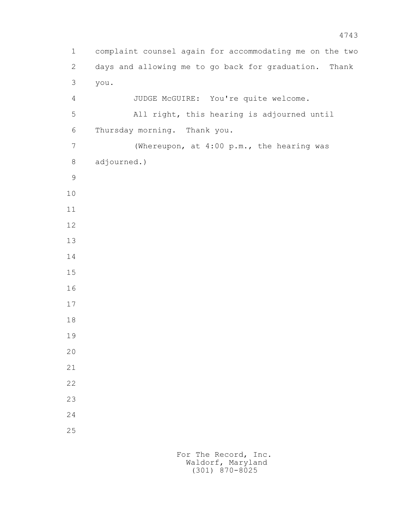1 complaint counsel again for accommodating me on the two 2 days and allowing me to go back for graduation. Thank 3 you. 4 JUDGE McGUIRE: You're quite welcome. 5 All right, this hearing is adjourned until 6 Thursday morning. Thank you. 7 (Whereupon, at 4:00 p.m., the hearing was 8 adjourned.)